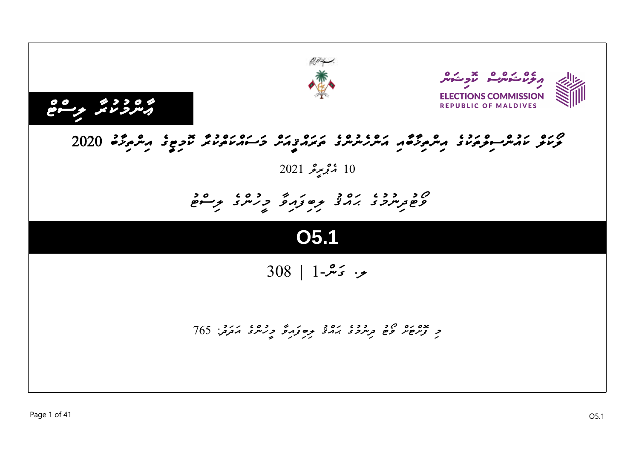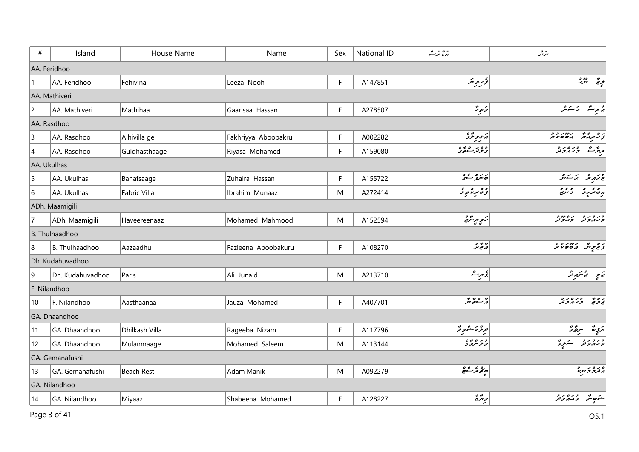| #                        | Island                | House Name        | Name                | Sex       | National ID | ، ه ، بر <u>م</u>                   | ىئرىتر                                         |
|--------------------------|-----------------------|-------------------|---------------------|-----------|-------------|-------------------------------------|------------------------------------------------|
|                          | AA. Feridhoo          |                   |                     |           |             |                                     |                                                |
|                          | AA. Feridhoo          | Fehivina          | Leeza Nooh          | F         | A147851     | ڈرعرمئر                             | الحريح الترجمة                                 |
|                          | AA. Mathiveri         |                   |                     |           |             |                                     |                                                |
| $\overline{\phantom{0}}$ | AA. Mathiveri         | Mathihaa          | Gaarisaa Hassan     | F         | A278507     | خاموش                               | ۇ برگ بركىش                                    |
|                          | AA. Rasdhoo           |                   |                     |           |             |                                     |                                                |
| 3                        | AA. Rasdhoo           | Alhivilla ge      | Fakhriyya Aboobakru | F         | A002282     | ەكمەرە ئۇتى                         | 77/77/<br>. ه بر ۱۸ گر                         |
| $\overline{4}$           | AA. Rasdhoo           | Guldhasthaage     | Riyasa Mohamed      | F         | A159080     | و ه بر _ه پر بر<br>پ نوتر سعیږي     | پروگ وره دو                                    |
| AA. Ukulhas              |                       |                   |                     |           |             |                                     |                                                |
| 5                        | AA. Ukulhas           | Banafsaage        | Zuhaira Hassan      | F         | A155722     | ە ئىرە ئەي                          | ەر ئەسىر ئەسكەنلەر<br>ئ                        |
| 6                        | AA. Ukulhas           | Fabric Villa      | Ibrahim Munaaz      | M         | A272414     | ۇ ھ <sub>ىرىم</sub> <sub>ھوڭر</sub> | رەپرىر دىر                                     |
|                          | ADh. Maamigili        |                   |                     |           |             |                                     |                                                |
|                          | ADh. Maamigili        | Haveereenaaz      | Mohamed Mahmood     | ${\sf M}$ | A152594     | ئەھ بىرىتى <i>ن</i> ج               | כנסנכ נסכב<br>בגמכ <mark>נ</mark> כגבע         |
|                          | B. Thulhaadhoo        |                   |                     |           |             |                                     |                                                |
| 8                        | <b>B.</b> Thulhaadhoo | Aazaadhu          | Fazleena Aboobakuru | F         | A108270     | پر بر حر<br>در سخ قر                | ره د پر در د د                                 |
|                          | Dh. Kudahuvadhoo      |                   |                     |           |             |                                     |                                                |
| 9                        | Dh. Kudahuvadhoo      | Paris             | Ali Junaid          | ${\sf M}$ | A213710     | ۇ بىر مە                            | أتمنح تحتمير فمر                               |
|                          | F. Nilandhoo          |                   |                     |           |             |                                     |                                                |
| $ 10\rangle$             | F. Nilandhoo          | Aasthaanaa        | Jauza Mohamed       | F         | A407701     | ۇ سەھ بىر                           | رەپ درەرد<br>ق <sub>ە</sub> رى <i>دى</i> ررونر |
|                          | GA. Dhaandhoo         |                   |                     |           |             |                                     |                                                |
| 11                       | GA. Dhaandhoo         | Dhilkash Villa    | Rageeba Nizam       | F         | A117796     | <sub>مر</sub> وكەش <sub>ۇر</sub> ۇ  | بَرَبٍۡ ۖ سِہۡوَدۡ                             |
| 12                       | GA. Dhaandhoo         | Mulanmaage        | Mohamed Saleem      | ${\sf M}$ | A113144     | و ر ه و »<br>و نوشرو د              | ورەر دېرو                                      |
|                          | GA. Gemanafushi       |                   |                     |           |             |                                     |                                                |
| 13                       | GA. Gemanafushi       | <b>Beach Rest</b> | Adam Manik          | ${\sf M}$ | A092279     | $rac{1}{2}$                         | پر ده ر<br>پر ترو تر سربر                      |
|                          | GA. Nilandhoo         |                   |                     |           |             |                                     |                                                |
| 14                       | GA. Nilandhoo         | Miyaaz            | Shabeena Mohamed    | F         | A128227     | حرچرمج                              | شوه شهر وره د و                                |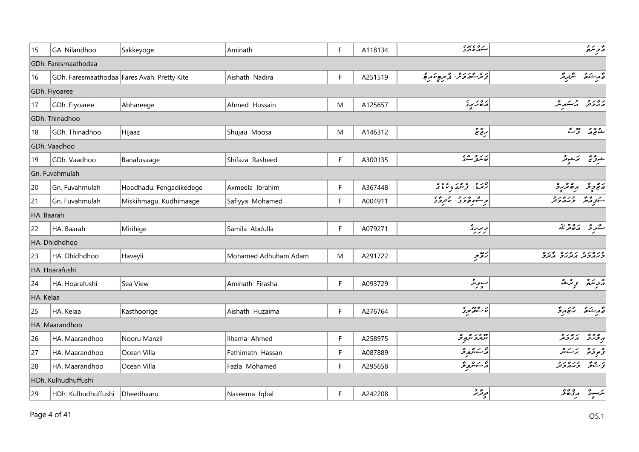| 15         | GA. Nilandhoo       | Sakkeyoge                                   | Aminath              | F           | A118134 | ر ۲۵ پر و<br>سود ۱۷ پرې       |                                  | و څخه سرچ      |  |  |  |
|------------|---------------------|---------------------------------------------|----------------------|-------------|---------|-------------------------------|----------------------------------|----------------|--|--|--|
|            | GDh. Faresmaathodaa |                                             |                      |             |         |                               |                                  |                |  |  |  |
| 16         |                     | GDh. Faresmaathodaa Fares Avah. Pretty Kite | Aishath Nadira       | F           | A251519 | ر، وررو و مرجونده             |                                  | ۇرىشكى ئىگرىگە |  |  |  |
|            | GDh. Fiyoaree       |                                             |                      |             |         |                               |                                  |                |  |  |  |
| 17         | GDh. Fiyoaree       | Abhareege                                   | Ahmed Hussain        | M           | A125657 | ەھەسىرى                       | رەرو جەسىرىكى                    |                |  |  |  |
|            | GDh. Thinadhoo      |                                             |                      |             |         |                               |                                  |                |  |  |  |
| 18         | GDh. Thinadhoo      | Hijaaz                                      | Shujau Moosa         | M           | A146312 | رِ چٌ نج                      |                                  | ے وہ وہ ک      |  |  |  |
|            | GDh. Vaadhoo        |                                             |                      |             |         |                               |                                  |                |  |  |  |
| 19         | GDh. Vaadhoo        | Banafusaage                                 | Shifaza Rasheed      | $\mathsf F$ | A300135 | ە ئىروپىيى                    |                                  | شورٌ کا کرشونر |  |  |  |
|            | Gn. Fuvahmulah      |                                             |                      |             |         |                               |                                  |                |  |  |  |
| 20         | Gn. Fuvahmulah      | Hoadhadu. Fengadikedege                     | Axmeela Ibrahim      | F           | A367448 | ج د ح ع ح و د د د د د د       | ړې د په مورد                     |                |  |  |  |
| 21         | Gn. Fuvahmulah      | Miskihmagu. Kudhimaage                      | Safiyya Mohamed      | F.          | A004911 | و صدر و دره<br>د سوره و دره و | 77073 2014                       |                |  |  |  |
| HA. Baarah |                     |                                             |                      |             |         |                               |                                  |                |  |  |  |
| 22         | HA. Baarah          | Mirihige                                    | Samila Abdulla       | F           | A079271 | حە مەرى <sup>ي</sup><br>مەم   | گويۇ <b>ئە</b> ھەراللە           |                |  |  |  |
|            | HA. Dhidhdhoo       |                                             |                      |             |         |                               |                                  |                |  |  |  |
| 23         | HA. Dhidhdhoo       | Haveyli                                     | Mohamed Adhuham Adam | M           | A291722 | رەيە                          | כנסנכ נכנס שנם<br>בגהכת התנכ התכ |                |  |  |  |
|            | HA. Hoarafushi      |                                             |                      |             |         |                               |                                  |                |  |  |  |
| 24         | HA. Hoarafushi      | Sea View                                    | Aminath Firasha      | F           | A093729 | سوه ده<br>پخه                 |                                  | أزويتكي وبرث   |  |  |  |
| HA. Kelaa  |                     |                                             |                      |             |         |                               |                                  |                |  |  |  |
| 25         | HA. Kelaa           | Kasthoorige                                 | Aishath Huzaima      | $\mathsf F$ | A276764 | ر ۶۶۵ ع<br>ما سنهج محرمه      | مەر شەر ئىم ئى                   |                |  |  |  |
|            | HA. Maarandhoo      |                                             |                      |             |         |                               |                                  |                |  |  |  |
| 26         | HA. Maarandhoo      | Nooru Manzil                                | Ilhama Ahmed         | $\mathsf F$ | A258975 | دو در ه <sub>رم</sub> و       | ەر ئەر تە                        | ە ۋرچ          |  |  |  |
| 27         | HA. Maarandhoo      | Ocean Villa                                 | Fathimath Hassan     | F           | A087889 | ە سەھ <sub>ى</sub> بو         |                                  | تؤودة يمكش     |  |  |  |
| 28         | HA. Maarandhoo      | Ocean Villa                                 | Fazla Mohamed        | F           | A295658 | ە ئەسەھرىقە ئ <sup>ى</sup> ر  | و ر ه ر و<br><i>و پر</i> و تر    | ى ئەشۇ         |  |  |  |
|            | HDh. Kulhudhuffushi |                                             |                      |             |         |                               |                                  |                |  |  |  |
| 29         | HDh. Kulhudhuffushi | Dheedhaaru                                  | Naseema Iqbal        | F           | A242208 | امریزیز                       | د تحریح تحر                      | ىئرسىدۇ        |  |  |  |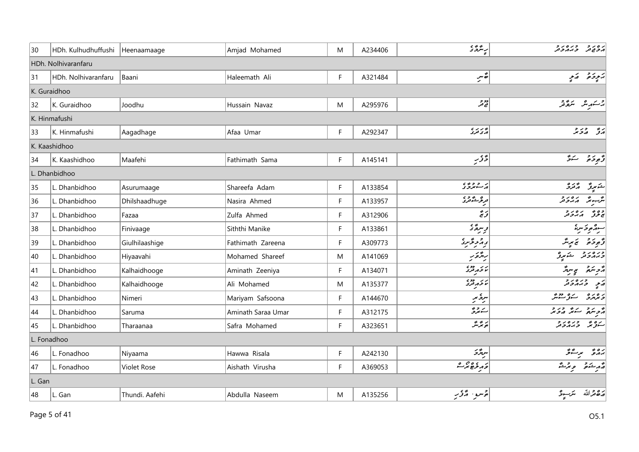| 30     | HDh. Kulhudhuffushi   Heenaamaage |                    | Amjad Mohamed      | M           | A234406 | لر پېژونو<br>ئو               | ג סג פג סגב<br>גבשנג בג גביג   |
|--------|-----------------------------------|--------------------|--------------------|-------------|---------|-------------------------------|--------------------------------|
|        | HDh. Nolhivaranfaru               |                    |                    |             |         |                               |                                |
| 31     | HDh. Nolhivaranfaru               | Baani              | Haleemath Ali      | $\mathsf F$ | A321484 | ځېبر                          | أيجوفر الأمج                   |
|        | K. Guraidhoo                      |                    |                    |             |         |                               |                                |
| 32     | K. Guraidhoo                      | Joodhu             | Hussain Navaz      | M           | A295976 | 3 متر<br>  فے فتر             | جر سکه مگر مگر مگر تر          |
|        | K. Hinmafushi                     |                    |                    |             |         |                               |                                |
| 33     | K. Hinmafushi                     | Aagadhage          | Afaa Umar          | $\mathsf F$ | A292347 | بر ر ر ر<br>در کاری           | برو اور در                     |
|        | K. Kaashidhoo                     |                    |                    |             |         |                               |                                |
| 34     | K. Kaashidhoo                     | Maafehi            | Fathimath Sama     | $\mathsf F$ | A145141 | ڈۇر                           | ژوده خر                        |
|        | L. Dhanbidhoo                     |                    |                    |             |         |                               |                                |
| 35     | L. Dhanbidhoo                     | Asurumaage         | Shareefa Adam      | $\mathsf F$ | A133854 | ر د د وه و<br>مرسومرد د       | شَمِرِزٌ أَرْتَرَدُ            |
| 36     | L. Dhanbidhoo                     | Dhilshaadhuge      | Nasira Ahmed       | F           | A133957 | توریح و بر<br>  توریح تقویم ی | ترجع أرورو                     |
| 37     | L. Dhanbidhoo                     | Fazaa              | Zulfa Ahmed        | F           | A312906 | تریخ                          | وه د برور و<br>بحثوثة المركز و |
| 38     | L. Dhanbidhoo                     | Finivaage          | Siththi Manike     | $\mathsf F$ | A133861 | وسرة کا                       | سەدە بەر ئەر.<br>بەر ئەرىپە    |
| 39     | L. Dhanbidhoo                     | Giulhilaashige     | Fathimath Zareena  | F           | A309773 | د د گروگردگی<br>بر مرکز مرکز  | ۋە دە ئىم ئىش                  |
| 40     | L. Dhanbidhoo                     | Hiyaavahi          | Mohamed Shareef    | M           | A141069 | رېژوَر                        | ورەرو شەرو                     |
| 41     | L. Dhanbidhoo                     | Kalhaidhooge       | Aminath Zeeniya    | F           | A134071 | ئەندەردە                      | أأدوسكم وسير                   |
| 42     | L. Dhanbidhoo                     | Kalhaidhooge       | Ali Mohamed        | M           | A135377 | ر د ده.<br>ما نز پر تر د      |                                |
| 43     | L. Dhanbidhoo                     | Nimeri             | Mariyam Safsoona   | F           | A144670 | سرځ سر                        | رەرە بەھەر                     |
| 44     | L. Dhanbidhoo                     | Saruma             | Aminath Saraa Umar | F           | A312175 | سەپرى                         | ړه سره د سره ور د              |
| 45     | L. Dhanbidhoo                     | Tharaanaa          | Safra Mohamed      | F           | A323651 | ۇبۇبىر                        | رو ورەرو                       |
|        | L. Fonadhoo                       |                    |                    |             |         |                               |                                |
| 46     | L. Fonadhoo                       | Niyaama            | Hawwa Risala       | $\mathsf F$ | A242130 | سرپڑی                         | رەۋ برگۇن<br>ئەھرە برگۇن       |
| 47     | L. Fonadhoo                       | <b>Violet Rose</b> | Aishath Virusha    | F           | A369053 | أقرمه في هيم في               |                                |
| L. Gan |                                   |                    |                    |             |         |                               |                                |
| 48     | L. Gan                            | Thundi. Aafehi     | Abdulla Naseem     | M           | A135256 | پرسور مجموعه                  | مَە هُدَاللّه سَرَ-وْ          |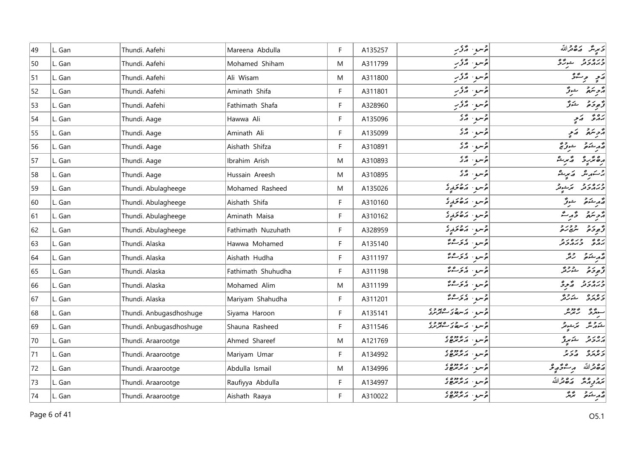| 49 | L. Gan | Thundi. Aafehi          | Mareena Abdulla    | F | A135257 | جوسور مجموعه                                                 | قَاسِيْتُمْ صَدَّةَ صَدَاللَّهُ                                                                                                                                                                                               |
|----|--------|-------------------------|--------------------|---|---------|--------------------------------------------------------------|-------------------------------------------------------------------------------------------------------------------------------------------------------------------------------------------------------------------------------|
| 50 | L. Gan | Thundi. Aafehi          | Mohamed Shiham     | M | A311799 | قوسعة مركزكر                                                 | وبره بر حسن عرض السند السين السند السين السين السين السين السين السين السين السين السين السين السين السين ا<br>السين السين السين السين السين السين السين السين السين السين السين السين السين السين السين السين السين السين ال |
| 51 | L. Gan | Thundi. Aafehi          | Ali Wisam          | M | A311800 | جو سور مجموعه                                                | ړې وگړی                                                                                                                                                                                                                       |
| 52 | L. Gan | Thundi. Aafehi          | Aminath Shifa      | F | A311801 | پھر مور مجموعے                                               | أأدح سوائح والمسوائح                                                                                                                                                                                                          |
| 53 | L. Gan | Thundi. Aafehi          | Fathimath Shafa    | F | A328960 | جوسور مجموعيه                                                | ژ <sub>گ</sub> ودۇ خۇ                                                                                                                                                                                                         |
| 54 | L. Gan | Thundi. Aage            | Hawwa Ali          | F | A135096 | قرسع مرمجم                                                   | رەپە كەر                                                                                                                                                                                                                      |
| 55 | L. Gan | Thundi. Aage            | Aminath Ali        | F | A135099 | مهر په په په                                                 | ړې شره په کړې                                                                                                                                                                                                                 |
| 56 | L. Gan | Thundi. Aage            | Aishath Shifza     | F | A310891 | ا هم سو به محمد<br>المحسو                                    | و د د د د د د د د د د مختلفان<br>مرسم د د د د د د د د د ک                                                                                                                                                                     |
| 57 | L. Gan | Thundi. Aage            | Ibrahim Arish      | M | A310893 | هو سو به همچه                                                |                                                                                                                                                                                                                               |
| 58 | L. Gan | Thundi. Aage            | Hussain Areesh     | M | A310895 | محسوم محم                                                    | برسكريش كالمريض                                                                                                                                                                                                               |
| 59 | L. Gan | Thundi. Abulagheege     | Mohamed Rasheed    | M | A135026 | پر سو مستر پر دیگر<br>  پر سو مستر پر تاریخ                  | ورەر و كەنبەتر                                                                                                                                                                                                                |
| 60 | L. Gan | Thundi. Abulagheege     | Aishath Shifa      | F | A310160 | جسع مقصور م                                                  | د د شرق شورم<br>م                                                                                                                                                                                                             |
| 61 | L. Gan | Thundi. Abulagheege     | Aminath Maisa      | F | A310162 | په سو مسر په تورنځ                                           | أزويتم وتمريح                                                                                                                                                                                                                 |
| 62 | L. Gan | Thundi. Abulagheege     | Fathimath Nuzuhath | F | A328959 | په سومي پر <i>وې</i> دي.<br>  په سومي پر <i>ه ف</i> ريدي     | أو محرم محمد المحرم المحمد المحمد المحمد المحمد المحمد المحمد المحمد المحمد المحمد المحمد المحمد الم                                                                                                                          |
| 63 | L. Gan | Thundi. Alaska          | Hawwa Mohamed      | F | A135140 | ا چ <sub>ىرى</sub> ، مۇسىر                                   | بره بر<br>برابر ش<br>و رە ر د<br>تر پر تر تر                                                                                                                                                                                  |
| 64 | L. Gan | Thundi. Alaska          | Aishath Hudha      | F | A311197 | ئ <sub>ەسمۇ</sub> بە ئەسەم                                   | مەر ئىسكى ئىگر                                                                                                                                                                                                                |
| 65 | L. Gan | Thundi. Alaska          | Fathimath Shuhudha | F | A311198 | ۇسىن مۇسىر                                                   | قرجوحر فيحافظ                                                                                                                                                                                                                 |
| 66 | L. Gan | Thundi. Alaska          | Mohamed Alim       | M | A311199 | ۇسىن مۇسىر                                                   | ورەر د دو                                                                                                                                                                                                                     |
| 67 | L. Gan | Thundi. Alaska          | Mariyam Shahudha   | F | A311201 | مۇسىي مۇخسىدا                                                | رەرە شەدىر<br><i>دى</i> رىرى شەرىر                                                                                                                                                                                            |
| 68 | L. Gan | Thundi. Anbugasdhoshuge | Siyama Haroon      | F | A135141 | <br>  پی سرع ۱۰ تم سرح تر ۲ میلادی                           | یر دو ه<br>رنجونتر<br> <br>  سورگر                                                                                                                                                                                            |
| 69 | L. Gan | Thundi. Anbugasdhoshuge | Shauna Rasheed     | F | A311546 | و سرو ۱۰ که سره در ۲ و د د<br>  د سرو ۱۰ که سره د که سرور در | أشكرته تمشوش                                                                                                                                                                                                                  |
| 70 | L. Gan | Thundi. Araarootge      | Ahmed Shareef      | M | A121769 | چس په مرسموه و<br>  جو سو په مرسمونو و                       | رەر د شەرو                                                                                                                                                                                                                    |
| 71 | L. Gan | Thundi. Araarootge      | Mariyam Umar       | F | A134992 | چس په مرسوم ده<br>  جو سو په مرسوم د                         | ג סגם - כגב<br><i>בינת</i> כ הכינ                                                                                                                                                                                             |
| 72 | L. Gan | Thundi. Araarootge      | Abdulla Ismail     | M | A134996 | وسع مجموع د<br>  وسع مجموع د                                 | رە قراللە بەر قويۇ                                                                                                                                                                                                            |
| 73 | L. Gan | Thundi. Araarootge      | Raufiyya Abdulla   | F | A134997 | چس په مرسم ده ده<br>  جو سو په مرسم ده د                     | برو وه ته مقالله                                                                                                                                                                                                              |
| 74 | L. Gan | Thundi. Araarootge      | Aishath Raaya      | F | A310022 | <br>  מעשי ומימשים ב                                         | $\begin{array}{cc} \bullet & \bullet & \bullet \\ \circ & \circ & \bullet \\ \circ & \circ & \bullet \end{array}$                                                                                                             |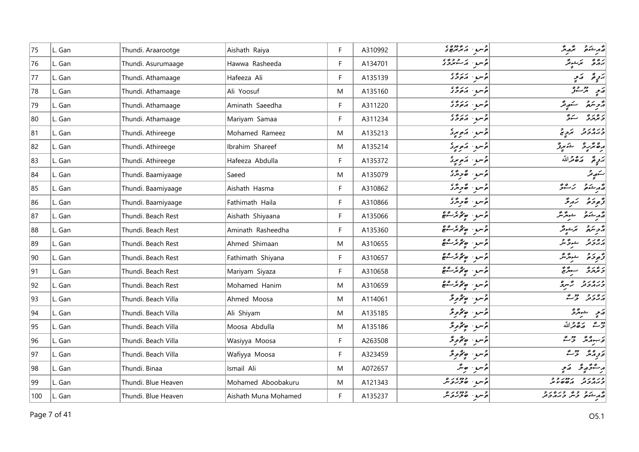| 75  | L. Gan | Thundi. Araarootge  | Aishath Raiya        | F           | A310992 | چس په مرسوم و<br>  چس په مرسوم                                                                                                                                                                                                                                                                                                          | بمُرمرَّ                                                |
|-----|--------|---------------------|----------------------|-------------|---------|-----------------------------------------------------------------------------------------------------------------------------------------------------------------------------------------------------------------------------------------------------------------------------------------------------------------------------------------|---------------------------------------------------------|
| 76  | L. Gan | Thundi. Asurumaage  | Hawwa Rasheeda       | $\mathsf F$ | A134701 | وسع مستعرفری                                                                                                                                                                                                                                                                                                                            | برەپچ<br>ىمەسىيەتىر                                     |
| 77  | L. Gan | Thundi. Athamaage   | Hafeeza Ali          | F           | A135139 | په سو مرکزه ده<br>  په سو مرکزه ده                                                                                                                                                                                                                                                                                                      | پَرۡ وِ لَهَ ۖ وَ ۖ وَ ۖ وَ                             |
| 78  | L. Gan | Thundi. Athamaage   | Ali Yoosuf           | M           | A135160 | پېښې مەدىبى<br>  مۇسىر مەم <i>5</i>                                                                                                                                                                                                                                                                                                     | $\frac{1}{2}$                                           |
| 79  | L. Gan | Thundi. Athamaaqe   | Aminath Saeedha      | $\mathsf F$ | A311220 | پېښې مەدى                                                                                                                                                                                                                                                                                                                               | أأروشي<br>سەرپەتىر                                      |
| 80  | L. Gan | Thundi. Athamaage   | Mariyam Samaa        | F.          | A311234 | په سويز مرکز دی<br>  پوسويز مرکز پرو                                                                                                                                                                                                                                                                                                    | وبروره<br>سەبىج                                         |
| 81  | L. Gan | Thundi. Athireege   | Mohamed Rameez       | M           | A135213 | <br>  مۇسرو سىم ئەمرىيە ك                                                                                                                                                                                                                                                                                                               | כממכנה הבקי                                             |
| 82  | L. Gan | Thundi. Athireege   | Ibrahim Shareef      | M           | A135214 |                                                                                                                                                                                                                                                                                                                                         | مەھەر ئەيدۇ                                             |
| 83  | L. Gan | Thundi. Athireege   | Hafeeza Abdulla      | F           | A135372 | پرسو په مر <sub>موس</sub> ه<br>  پرسو په مر <sub>م</sub>                                                                                                                                                                                                                                                                                | بزوچً<br>ەھەراللە                                       |
| 84  | L. Gan | Thundi. Baamiyaage  | Saeed                | M           | A135079 | وسع مصحوفه و م                                                                                                                                                                                                                                                                                                                          | سەر بەر                                                 |
| 85  | L. Gan | Thundi. Baamiyaage  | Aishath Hasma        | F           | A310862 | پ <sup>ې</sup> سو گېږونکی                                                                                                                                                                                                                                                                                                               | ومرشوم كراموم                                           |
| 86  | L. Gan | Thundi. Baamiyaage  | Fathimath Haila      | F           | A310866 | وسر گروه گروه<br>  وسر گروه                                                                                                                                                                                                                                                                                                             | وٌوِدَةٌ رَرِدٌ                                         |
| 87  | L. Gan | Thundi. Beach Rest  | Aishath Shiyaana     | $\mathsf F$ | A135066 | $\left  \begin{array}{cc} 0 & 0 & 0 \\ 0 & 0 & 0 \\ 0 & 0 & 0 \\ 0 & 0 & 0 \\ 0 & 0 & 0 \\ 0 & 0 & 0 \\ 0 & 0 & 0 \\ 0 & 0 & 0 \\ 0 & 0 & 0 \\ 0 & 0 & 0 \\ 0 & 0 & 0 \\ 0 & 0 & 0 \\ 0 & 0 & 0 \\ 0 & 0 & 0 \\ 0 & 0 & 0 & 0 \\ 0 & 0 & 0 & 0 \\ 0 & 0 & 0 & 0 \\ 0 & 0 & 0 & 0 \\ 0 & 0 & 0 & 0 \\ 0 & 0 & 0 & 0 \\ 0 & 0 & 0 & 0 \\$ | و د شکوه شورگر                                          |
| 88  | L. Gan | Thundi. Beach Rest  | Aminath Rasheedha    | F.          | A135360 | ا چ <sub>سم</sub> موسیح تر شو <u>ه</u>                                                                                                                                                                                                                                                                                                  | أأرضم المتحفظ                                           |
| 89  | L. Gan | Thundi. Beach Rest  | Ahmed Shimaan        | M           | A310655 | <br>  <sub>مو</sub> سع موسم بمرسوم                                                                                                                                                                                                                                                                                                      | رەرو ھوگىر                                              |
| 90  | L. Gan | Thundi. Beach Rest  | Fathimath Shiyana    | $\mathsf F$ | A310657 | ئ <sub>ۆسىم</sub> ھەممىر ش <sub>ەھ</sub>                                                                                                                                                                                                                                                                                                | أقرم وكالمحمد والمستريش                                 |
| 91  | L. Gan | Thundi. Beach Rest  | Mariyam Siyaza       | F           | A310658 | توسع موتوجه عمره                                                                                                                                                                                                                                                                                                                        | و ورو دور                                               |
| 92  | L. Gan | Thundi. Beach Rest  | Mohamed Hanim        | M           | A310659 | ئ <sub>ۆسىم</sub> ھەممىر ش <sub>ەھ</sub>                                                                                                                                                                                                                                                                                                | ورەر دەر                                                |
| 93  | L. Gan | Thundi. Beach Villa | Ahmed Moosa          | M           | A114061 | مۇسىي ھەمم مۇھمەتىر                                                                                                                                                                                                                                                                                                                     | رەرو دوپ                                                |
| 94  | L. Gan | Thundi. Beach Villa | Ali Shiyam           | M           | A135185 | پ <sup>ې</sup> سو په پو <sub>م</sub> وگړ                                                                                                                                                                                                                                                                                                | ړې شورگرو<br>د سر                                       |
| 95  | L. Gan | Thundi. Beach Villa | Moosa Abdulla        | M           | A135186 | <br>  پوسو په پوهونځه                                                                                                                                                                                                                                                                                                                   | 3- مَدْرَاللّه                                          |
| 96  | L. Gan | Thundi. Beach Villa | Wasiyya Moosa        | $\mathsf F$ | A263508 | مۇسىي ھەم ئۇ                                                                                                                                                                                                                                                                                                                            | توسوړيو وخت                                             |
| 97  | L. Gan | Thundi. Beach Villa | Wafiyya Moosa        | F           | A323459 | ە بىر بە ھەم ئە                                                                                                                                                                                                                                                                                                                         | $\begin{array}{cc} 2 & 2 & 2 \\ -2 & 2 & 2 \end{array}$ |
| 98  | L. Gan | Thundi. Binaa       | Ismail Ali           | M           | A072657 | ج <sub>وس</sub> ع موستر                                                                                                                                                                                                                                                                                                                 | برڪرم ٿي ڪي                                             |
| 99  | L. Gan | Thundi. Blue Heaven | Mohamed Aboobakuru   | M           | A121343 | وسع مصر ده ده                                                                                                                                                                                                                                                                                                                           |                                                         |
| 100 | L. Gan | Thundi. Blue Heaven | Aishath Muna Mohamed | F           | A135237 | د سو ۱۵۶۶ وه<br>  د سو ۱۵۶۷ ول                                                                                                                                                                                                                                                                                                          | ه در در در در در د                                      |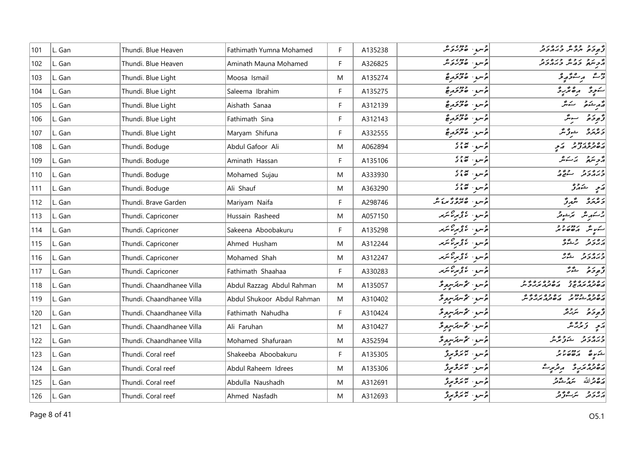| 101 | L. Gan | Thundi. Blue Heaven       | Fathimath Yumna Mohamed    | F. | A135238 | وسع من حور و مر<br>  وسع من صور و س                                     | ه د د ده ه دره د د<br>ژبوده مروس دبرمرد                                                          |
|-----|--------|---------------------------|----------------------------|----|---------|-------------------------------------------------------------------------|--------------------------------------------------------------------------------------------------|
| 102 | L. Gan | Thundi. Blue Heaven       | Aminath Mauna Mohamed      | F. | A326825 | وسع <i>ب</i> ه ودوي د ه<br>محمد المستوسط                                | ם גב גבש בגם בק                                                                                  |
| 103 | L. Gan | Thundi. Blue Light        | Moosa Ismail               | M  | A135274 |                                                                         | دوره به مؤديو                                                                                    |
| 104 | L. Gan | Thundi. Blue Light        | Saleema Ibrahim            | F  | A135275 | ا وسع معرضه                                                             | رە ئۈرۈ<br>سەرچ                                                                                  |
| 105 | L. Gan | Thundi. Blue Light        | Aishath Sanaa              | F  | A312139 | ج <sub>اسع م</sub> ورد مع                                               | ۇرىشكە سكىگر                                                                                     |
| 106 | L. Gan | Thundi. Blue Light        | Fathimath Sina             | F  | A312143 | י היי של ברק ש                                                          | ۇچ <sub>و</sub> رۇ سونىگە                                                                        |
| 107 | L. Gan | Thundi. Blue Light        | Maryam Shifuna             | F  | A332555 | ج <sub>وسع ص</sub> وبحرم ع                                              | رەرە ھۆش                                                                                         |
| 108 | L. Gan | Thundi. Boduge            | Abdul Gafoor Ali           | M  | A062894 | د سو . پر د ،<br>موسو . ځه د د                                          | גם כסגמכ<br>גם בתיכת צ'ב ה'ב                                                                     |
| 109 | L. Gan | Thundi. Boduge            | Aminath Hassan             | F  | A135106 | مهر سور مور م                                                           | ۇ جەمئە ئەسكەنلەر                                                                                |
| 110 | L. Gan | Thundi. Boduge            | Mohamed Sujau              | M  | A333930 | ه سو پروه<br>موسو پوره                                                  | ور ہ ر د بر د<br>تربر بر تر سوتے ہ                                                               |
| 111 | L. Gan | Thundi. Boduge            | Ali Shauf                  | M  | A363290 | مهر به بره بره<br>  موسو مسیح                                           | أەيم سەدى                                                                                        |
| 112 | L. Gan | Thundi. Brave Garden      | Mariyam Naifa              | F  | A298746 |                                                                         | رەرە شەر                                                                                         |
| 113 | L. Gan | Thundi. Capriconer        | Hussain Rasheed            | M  | A057150 | ە سوم ئۇمرى <i>مىگە</i> ر                                               | يز سكر مكر الكر الكر من المحر و مر                                                               |
| 114 | L. Gan | Thundi. Capriconer        | Sakeena Aboobakuru         | F  | A135298 | ق <sub>ە</sub> سو، ئۇچرىئاتى <i>رى</i> ر                                | $\frac{1}{2}$                                                                                    |
| 115 | L. Gan | Thundi. Capriconer        | Ahmed Husham               | M  | A312244 | ە سوم ئۈچرى <i>مىت</i> ىر                                               | رحسقو<br>بر ه بر د<br>م <i>. ب</i> ر <del>د</del> تر                                             |
| 116 | L. Gan | Thundi. Capriconer        | Mohamed Shah               | M  | A312247 | ق <sub>ە</sub> سو، ئۇچرىئاتى <i>ك</i>                                   | و رە ر د<br>تر پر تر تر<br>ىشىر                                                                  |
| 117 | L. Gan | Thundi. Capriconer        | Fathimath Shaahaa          | F. | A330283 | ق <sub>ە</sub> سو، ئۇچرىئاتى <i>ك</i> ە                                 | وَجوحر مُقَرَّ                                                                                   |
| 118 | L. Gan | Thundi. Chaandhanee Villa | Abdul Razzag Abdul Rahman  | M  | A135057 | ج <sub>ى</sub> س <sub>ە : ئ</sub> ۇس <sub>ل</sub> كرىس <sub>ى</sub> بوڭ | ر ٥ ٥ ٥ ٥ ٥ ٥ ٠<br>۵ ۵ ۵ مر ۸ مر بر <del>ر</del> سر<br>ر 2 ק 2 ק 2 ק<br>ג ש בק ג سر 7 س          |
| 119 | L. Gan | Thundi. Chaandhanee Villa | Abdul Shukoor Abdul Rahman | M  | A310402 | ج <sub>ا</sub> سو · ئۇس <sub>لىرىس</sub> و ئى                           | ر ه د ه د ه د ه<br>پره تربر تربر تر س<br>ر ٥ ۶ ٥ ٥ ۶ و <del>۶</del><br>۹. ت تر ۹. شو <i>٧ بر</i> |
| 120 | L. Gan | Thundi. Chaandhanee Villa | Fathimath Nahudha          | F. | A310424 | جسد کا محسن سرجانته                                                     | ۇپ <sub>و</sub> دۇ ئىرىگە                                                                        |
| 121 | L. Gan | Thundi. Chaandhanee Villa | Ali Faruhan                | M  | A310427 | ج <sub>ە</sub> سمى <i>سىم سومۇسى</i> بىرىگە                             | أتزمج وترتر شر                                                                                   |
| 122 | L. Gan | Thundi. Chaandhanee Villa | Mohamed Shafuraan          | M  | A352594 | ئ <sub>ە</sub> سمى ئۇس <sub>لىكى</sub> سىدۇ                             | ورەرو شەرقبۇر<br><i>جەمەدىر شۇق</i> ترىش                                                         |
| 123 | L. Gan | Thundi. Coral reef        | Shakeeba Aboobakuru        | F  | A135305 | ج <sub>امع</sub> متمر <sub>ك</sub> برو                                  | $77777$ $049$                                                                                    |
| 124 | L. Gan | Thundi. Coral reef        | Abdul Raheem Idrees        | M  | A135306 | ج <sub>امع</sub> متمر <sub>ك</sub> برو                                  | נפכפי פי התיקים                                                                                  |
| 125 | L. Gan | Thundi. Coral reef        | Abdulla Naushadh           | M  | A312691 | ج <sub>ا</sub> سو به تهر محرسر و                                        | برە تراللە                                                                                       |
| 126 | L. Gan | Thundi. Coral reef        | Ahmed Nasfadh              | M  | A312693 | ج <sub>ا</sub> سمو به سمر محرم پر د                                     | ره رو برگور<br>مهرومز برگورمز                                                                    |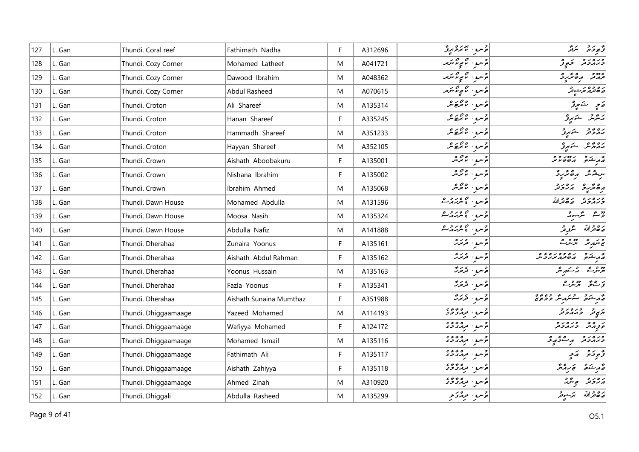| 127 | L. Gan | Thundi. Coral reef   | Fathimath Nadha         | F  | A312696 | ج <sub>امع</sub> متمر <sub>ح مر</sub> و        | قەددە ئىق                                                           |
|-----|--------|----------------------|-------------------------|----|---------|------------------------------------------------|---------------------------------------------------------------------|
| 128 | L. Gan | Thundi. Cozy Corner  | Mohamed Latheef         | M  | A041721 | -<br>  <sub>مۇسوي</sub> ئۈم ئىرىكىتىلىر        | ورەرو كەر                                                           |
| 129 | L. Gan | Thundi. Cozy Corner  | Dawood Ibrahim          | M  | A048362 | <br>  توسع · الأم لا مترسر                     | הירי תסתיק                                                          |
| 130 | L. Gan | Thundi. Cozy Corner  | Abdul Rasheed           | M  | A070615 | ئەسمەسى ئەسىر<br>  ئەسمەسىرىسىدىر              | ره <del>ده</del><br>در ه تردر بر شوتر                               |
| 131 | L. Gan | Thundi. Croton       | Ali Shareef             | M  | A135314 | اقرسع متوسطة<br>المسموسية                      | ە ئەسىمىدىقى<br>ئەسىسىمىسى ئەسىمەت                                  |
| 132 | L. Gan | Thundi. Croton       | Hanan Shareef           | F  | A335245 | قرسع المتحدة من الم                            | بریترینر شوہریر                                                     |
| 133 | L. Gan | Thundi. Croton       | Hammadh Shareef         | M  | A351233 | مسموس مركز من محمد<br>  موسموس مركز من         | رە دە شىرۇ                                                          |
| 134 | L. Gan | Thundi. Croton       | Hayyan Shareef          | M  | A352105 | و سو مورو پر<br>موسو موسیق                     | رەپرە خىرى                                                          |
| 135 | L. Gan | Thundi. Crown        | Aishath Aboobakuru      | F  | A135001 | ج <sub>ەمىع</sub> ، ئائىرىش                    |                                                                     |
| 136 | L. Gan | Thundi. Crown        | Nishana Ibrahim         | F. | A135002 | محسوم عمر مرضا<br>  محسوم عمر مرضا             |                                                                     |
| 137 | L. Gan | Thundi. Crown        | Ibrahim Ahmed           | M  | A135068 | محسوس المحمد                                   | ת ביציב המכנק                                                       |
| 138 | L. Gan | Thundi. Dawn House   | Mohamed Abdulla         | M  | A131596 | محسن عمر من المعاملة<br>  محسن عمر من المعاملة | وره رو ده دالله                                                     |
| 139 | L. Gan | Thundi. Dawn House   | Moosa Nasih             | M  | A135324 | ا د سو عبد ده د ده م                           | رح ش مگر ہے و                                                       |
| 140 | L. Gan | Thundi. Dawn House   | Abdulla Nafiz           | M  | A141888 | ا د سو ، عملی د ه<br>مو                        | ەھەراللە شرىرد                                                      |
| 141 | L. Gan | Thundi. Dherahaa     | Zunaira Yoonus          | F  | A135161 | ج <sub>و</sub> سو من مر برگ                    | בתת ביתור                                                           |
| 142 | L. Gan | Thundi. Dherahaa     | Aishath Abdul Rahman    | F  | A135162 | مۇسى <sub>ر:</sub> ئ <i>ۇبىرگ</i>              | ه د د ده ده ده ده و<br>په د شو <sub>م</sub> هم توپر <i>بر پر</i> تر |
| 143 | L. Gan | Thundi. Dherahaa     | Yoonus Hussain          | M  | A135163 | مەسى <sub>ر:</sub> ئ <i>ۈبۈر</i> گە            | ودورہ پر شہر میں                                                    |
| 144 | L. Gan | Thundi. Dherahaa     | Fazla Yoonus            | F. | A135341 | مۇسىر بىرىمىڭ                                  | ۇ ئەقر بىر بىر يە                                                   |
| 145 | L. Gan | Thundi. Dherahaa     | Aishath Sunaina Mumthaz | F  | A351988 | محسور محر بحر                                  | ה<br>האגיבים, הייתוח בכסים                                          |
| 146 | L. Gan | Thundi. Dhiggaamaage | Yazeed Mohamed          | M  | A114193 | <br>  می سوید مرم نوع د                        | پرېږو د ده د د                                                      |
| 147 | L. Gan | Thundi. Dhiggaamaage | Wafiyya Mohamed         | F  | A124172 | وسع مرور و در و د                              | נ כב בנסנד<br>פצמת בנמכת                                            |
| 148 | L. Gan | Thundi. Dhiggaamaage | Mohamed Ismail          | M  | A135116 | <br>  په سو مر پرې د د                         | ورەرو بەسىۋەپى                                                      |
| 149 | L. Gan | Thundi. Dhiggaamaage | Fathimath Ali           | F  | A135117 | <br> مۇسىس مەممەدى                             | أوجوحه أتكمح                                                        |
| 150 | L. Gan | Thundi. Dhiggaamaage | Aishath Zahiyya         | F  | A135118 | په سو سره ولوي<br>  پوسو سره ولوي              | وكروشكم والمراه ومحر                                                |
| 151 | L. Gan | Thundi. Dhiggaamaage | Ahmed Zinah             | M  | A310920 | چسع میران میده می                              | پرورژ پر سر                                                         |
| 152 | L. Gan | Thundi. Dhiggali     | Abdulla Rasheed         | M  | A135299 | <br>  <sub>حو</sub> س مرد د                    | رەۋاللە ئىرىسونر                                                    |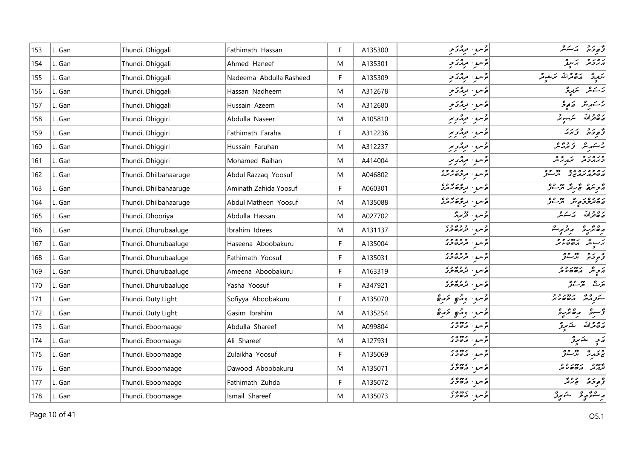| 153 | L. Gan | Thundi. Dhiggali      | Fathimath Hassan        | F           | A135300 | په سو سره در د<br>  په سر سره سر                                                                                                                                                                                                 | ۋە ئەكەنگە                                         |
|-----|--------|-----------------------|-------------------------|-------------|---------|----------------------------------------------------------------------------------------------------------------------------------------------------------------------------------------------------------------------------------|----------------------------------------------------|
| 154 | L. Gan | Thundi. Dhiggali      | Ahmed Haneef            | M           | A135301 | پرسو مرمز <i>کو</i>                                                                                                                                                                                                              | رەرو بەيدى                                         |
| 155 | L. Gan | Thundi. Dhiggali      | Nadeema Abdulla Rasheed | F.          | A135309 | په سوي مرد کامله<br>  په سويد مرد کامل                                                                                                                                                                                           | <i>سَعِرِمَّة مَا هُ</i> قْدَاللَّهُ مَنْ شَعِيْنَ |
| 156 | L. Gan | Thundi. Dhiggali      | Hassan Nadheem          | M           | A312678 | په سو سره د کو                                                                                                                                                                                                                   | يركبش لترمرقه                                      |
| 157 | L. Gan | Thundi. Dhiggali      | Hussain Azeem           | M           | A312680 | په سو سر مرکز مر                                                                                                                                                                                                                 | جر ڪرمر ڪي جي                                      |
| 158 | L. Gan | Thundi. Dhiggiri      | Abdulla Naseer          | M           | A105810 |                                                                                                                                                                                                                                  | مَدْهُ مَّدَاللَّهُ سَرَجِعَهُ                     |
| 159 | L. Gan | Thundi. Dhiggiri      | Fathimath Faraha        | $\mathsf F$ | A312236 |                                                                                                                                                                                                                                  | وتجوخا وترتر                                       |
| 160 | L. Gan | Thundi. Dhiggiri      | Hussain Faruhan         | M           | A312237 | <br>  پوسو سورې سر                                                                                                                                                                                                               | برستهرش وتربرهن                                    |
| 161 | L. Gan | Thundi. Dhiggiri      | Mohamed Raihan          | M           | A414004 | په سو سورگر سر<br>  په سور سر سر سر                                                                                                                                                                                              | ورەرو بزرگر                                        |
| 162 | L. Gan | Thundi. Dhilbahaaruge | Abdul Razzaq Yoosuf     | M           | A046802 | وسع متر <i>وره د</i> ه                                                                                                                                                                                                           | קס כס קס שיכור כס<br>השיטה יכולי - יכולי - יכולי   |
| 163 | L. Gan | Thundi. Dhilbahaaruge | Aminath Zahida Yoosuf   | F.          | A060301 | ج <sub>اسع:</sub> مر <i>وك ش</i> هرى                                                                                                                                                                                             | ومحرجتهم بمحر فرقم وحرفت                           |
| 164 | L. Gan | Thundi. Dhilbahaaruge | Abdul Matheen Yoosuf    | M           | A135088 | ا د سو مرد د د د و د کار د د کار د د کار د د کار د د کار د د کار د د د کار د د د کار د د د د کار د د د کار د د<br>او سرو مرد کار د کار د د کار د د کار د د کار د د کار د کار د کار د کار د کار د کار د کار د کار د کار د کار د ک | נסכסק ס"מ בכפס<br>הסתיכפת יק יינ                   |
| 165 | L. Gan | Thundi. Dhooriya      | Abdulla Hassan          | M           | A027702 | مۇسىر، قرىبرىد                                                                                                                                                                                                                   | مَە قىراللە ئەسكەنلە                               |
| 166 | L. Gan | Thundi. Dhurubaaluge  | Ibrahim Idrees          | M           | A131137 | وسع مسروع و و و و و ع                                                                                                                                                                                                            | رە ئەر ئەر ئەر ئىل                                 |
| 167 | L. Gan | Thundi. Dhurubaaluge  | Haseena Aboobakuru      | F.          | A135004 | وسع مسرح و د و د<br>  وسع مسرح و د                                                                                                                                                                                               | بر مستر دور                                        |
| 168 | L. Gan | Thundi. Dhurubaaluge  | Fathimath Yoosuf        | F           | A135031 | چې سو ۱۰ ورو ور د                                                                                                                                                                                                                | ژ <sub>بو څ</sub> و چې د                           |
| 169 | L. Gan | Thundi. Dhurubaaluge  | Ameena Aboobakuru       | F           | A163319 | و سرء به او و و و و و<br>  و سرء به افزیر مصر و ی                                                                                                                                                                                |                                                    |
| 170 | L. Gan | Thundi. Dhurubaaluge  | Yasha Yoosuf            | $\mathsf F$ | A347921 | چې سو ۱۰ ورو ور د                                                                                                                                                                                                                | ېزىقە بېزىستۇ                                      |
| 171 | L. Gan | Thundi. Duty Light    | Sofiyya Aboobakuru      | $\mathsf F$ | A135070 | فمسموس ورقمح تخرج                                                                                                                                                                                                                | 77/77/<br>ىبكۇ بەرگە                               |
| 172 | L. Gan | Thundi. Duty Light    | Gasim Ibrahim           | M           | A135254 | فمسموس ورقمح تخرج                                                                                                                                                                                                                | ەر ھەترىر <i>ۋ</i><br>وي سوچ<br>تر                 |
| 173 | L. Gan | Thundi. Eboomaage     | Abdulla Shareef         | M           | A099804 | اد<br> موسع أم <i>ع</i> دي                                                                                                                                                                                                       | برە قراللە ھەمرىر                                  |
| 174 | L. Gan | Thundi. Eboomaage     | Ali Shareef             | M           | A127931 | $\begin{bmatrix} 1 & 1 & 1 \\ 1 & 1 & 1 \\ 1 & 1 & 1 \end{bmatrix}$                                                                                                                                                              | أرشم المستشامروه                                   |
| 175 | L. Gan | Thundi. Eboomaage     | Zulaikha Yoosuf         | F           | A135069 | $5500 - 500$                                                                                                                                                                                                                     | تح ځرمړ شه چې ده کل                                |
| 176 | L. Gan | Thundi. Eboomaage     | Dawood Aboobakuru       | M           | A135071 | $5500 - 200$                                                                                                                                                                                                                     | מחק מחינים<br>המינה משישית                         |
| 177 | L. Gan | Thundi. Eboomaage     | Fathimath Zuhda         | F.          | A135072 | $5500 - 500$                                                                                                                                                                                                                     | ژُودَهُ مِنْ دُ                                    |
| 178 | L. Gan | Thundi. Eboomaage     | Ismail Shareef          | M           | A135073 |                                                                                                                                                                                                                                  | ر شرگړي شکړي                                       |
|     |        |                       |                         |             |         |                                                                                                                                                                                                                                  |                                                    |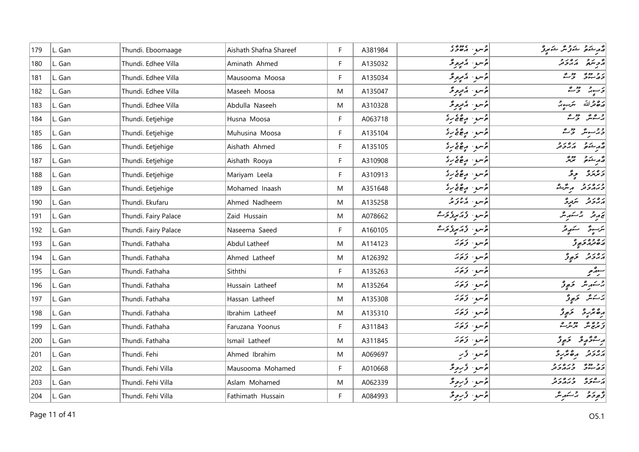| 179 | L. Gan | Thundi. Eboomaage    | Aishath Shafna Shareef | F           | A381984 | مسمع محمد معدد معدد معدد المحمد<br>  موسمع مسمود معدد | ۇرىشكى شكۇش شكېرۇ                           |
|-----|--------|----------------------|------------------------|-------------|---------|-------------------------------------------------------|---------------------------------------------|
| 180 | L. Gan | Thundi. Edhee Villa  | Aminath Ahmed          | F           | A135032 | جوسو مستجمر محمد محمد                                 | ومحاصر والمردح والمحمد                      |
| 181 | L. Gan | Thundi. Edhee Villa  | Mausooma Moosa         | $\mathsf F$ | A135034 | <br>  مۇسىق مۇم <sub>ۇ</sub> رىيە                     | ر و دور.<br>وه سوگر                         |
| 182 | L. Gan | Thundi. Edhee Villa  | Maseeh Moosa           | M           | A135047 | <br>  مۇسىي مۇم <sub>رى</sub> رىگە                    | ى سەرقە ئۆزىگە                              |
| 183 | L. Gan | Thundi. Edhee Villa  | Abdulla Naseeh         | M           | A310328 | پرس کراپروگر<br>  پرس                                 | رەقراللە سىبور                              |
| 184 | L. Gan | Thundi. Eetjehige    | Husna Moosa            | $\mathsf F$ | A063718 | ه موسو موضوع کري<br>موسو موضوع کري                    | برائد مراجعته                               |
| 185 | L. Gan | Thundi. Eetjehige    | Muhusina Moosa         | F           | A135104 | و سو په موقع <i>ب</i> ره<br>م                         | ورژ سائر وار مح                             |
| 186 | L. Gan | Thundi. Eetjehige    | Aishath Ahmed          | F           | A135105 | ه موسو موضوع دي.<br>موسو موضوع ر                      | أقهر يشتموا المردوس                         |
| 187 | L. Gan | Thundi. Eetjehige    | Aishath Rooya          | F           | A310908 | په سوي موقع سره<br>  پوسوي موقع سره                   | و در دور<br>مگر شوه محمد                    |
| 188 | L. Gan | Thundi. Eetjehige    | Mariyam Leela          | F           | A310913 | ج <sub>و</sub> سو په موقع کړي<br>                     | دەرە بېۋ                                    |
| 189 | L. Gan | Thundi. Eetjehige    | Mohamed Inaash         | M           | A351648 | په سوي موقع سره<br>  پوسوي موقع سره                   | ورەرو مەشھ                                  |
| 190 | L. Gan | Thundi. Ekufaru      | Ahmed Nadheem          | M           | A135258 | په سوم په درج<br>  په سوم په مرکز مر                  | پروتر سکوری                                 |
| 191 | L. Gan | Thundi. Fairy Palace | Zaid Hussain           | M           | A078662 | <sub>جم</sub> سو <sub>: ق</sub> ەرىپەدىمە             | ىم بەش بر سىمبەش                            |
| 192 | L. Gan | Thundi. Fairy Palace | Naseema Saeed          | F           | A160105 | مۇسى <sub>ز ئ</sub> ۇرىپەئزى <i>خ</i> ە               | ىكرىسوڭ سىكە <mark>ي</mark> تى              |
| 193 | L. Gan | Thundi. Fathaha      | Abdul Latheef          | M           | A114123 | مۇسىز ئەئەبە                                          | ره ده ر<br>مهمد خبر د                       |
| 194 | L. Gan | Thundi. Fathaha      | Ahmed Latheef          | M           | A126392 | قوسع أقرحونه                                          | رەر ئەۋ                                     |
| 195 | L. Gan | Thundi. Fathaha      | Siththi                | F           | A135263 | پۇسوسى ئەرىرىمە                                       | سودمو                                       |
| 196 | L. Gan | Thundi. Fathaha      | Hussain Latheef        | M           | A135264 | قوسور ئەئوبە                                          | رُ سَمرِ سُرَ حَبِيوث                       |
| 197 | L. Gan | Thundi. Fathaha      | Hassan Latheef         | M           | A135308 | جوسو به لاَحوبَهُ                                     | برسكس كحيوثر                                |
| 198 | L. Gan | Thundi. Fathaha      | Ibrahim Latheef        | M           | A135310 | مۇسىر بەرىرىمە                                        | رە ئرىر ئىي ۋ                               |
| 199 | L. Gan | Thundi. Fathaha      | Faruzana Yoonus        | F           | A311843 | جوسو الأحور                                           | ۇ برېم ئېرىر ئىش                            |
| 200 | L. Gan | Thundi. Fathaha      | Ismail Latheef         | M           | A311845 | ج <sub>و</sub> سو کو پر                               | برڪنۇپە ئەپەر                               |
| 201 | L. Gan | Thundi. Fehi         | Ahmed Ibrahim          | M           | A069697 | ۾ سع <sup>،</sup> وڻر                                 | גפני גם בניב                                |
| 202 | L. Gan | Thundi. Fehi Villa   | Mausooma Mohamed       | F           | A010668 | پېښو کوروگ                                            | و ر ه ر د<br><i>و بر ۸</i> ر تر<br>ر د دوءِ |
| 203 | L. Gan | Thundi. Fehi Villa   | Aslam Mohamed          | M           | A062339 | پرسو کو روځه                                          | ر عږو<br>و بر ه بر و<br>تر بر بر تر         |
| 204 | L. Gan | Thundi. Fehi Villa   | Fathimath Hussain      | F           | A084993 | ئ <sub>ەسىم:</sub> ئ <sub>ۇ</sub> ر <sub>ىرى</sub> گە | أزوده برسكه مر                              |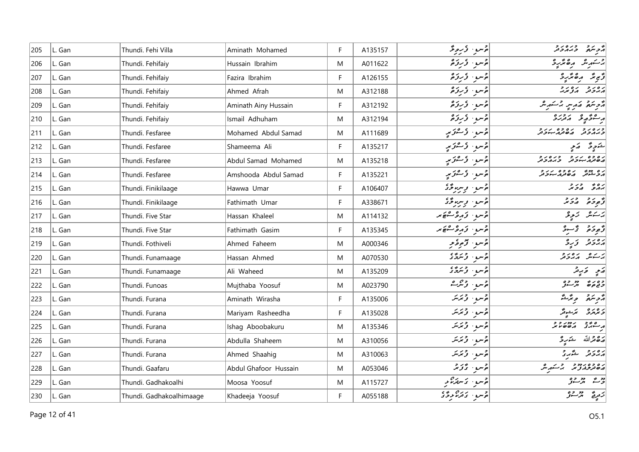| 205 | L. Gan | Thundi. Fehi Villa       | Aminath Mohamed       | F           | A135157 | پھرس ک <sup>ی</sup> رہ پڑ                               | ת כי כי כי כי ה                                   |
|-----|--------|--------------------------|-----------------------|-------------|---------|---------------------------------------------------------|---------------------------------------------------|
| 206 | L. Gan | Thundi. Fehifaiy         | Hussain Ibrahim       | M           | A011622 | په سو کو کرونو<br>  په سو کو کرونو                      | بر سکه شرح مره مرکز د                             |
| 207 | L. Gan | Thundi. Fehifaiy         | Fazira Ibrahim        | $\mathsf F$ | A126155 | ئەسىر · ئۇرۇۋ                                           | قرم ته معتبره                                     |
| 208 | L. Gan | Thundi. Fehifaiy         | Ahmed Afrah           | M           | A312188 | پەسىس ئ <i>ۇرۇ</i> ئو                                   | גם גם גם גב<br>הגבע הציבג                         |
| 209 | L. Gan | Thundi. Fehifaiy         | Aminath Ainy Hussain  | F           | A312192 | په سو کوروگو                                            | הקיים ג'ויי ג'יונית                               |
| 210 | L. Gan | Thundi. Fehifaiy         | Ismail Adhuham        | M           | A312194 | په سوي- <i>ؤرؤه</i>                                     | وسنورو المتررد                                    |
| 211 | L. Gan | Thundi. Fesfaree         | Mohamed Abdul Samad   | M           | A111689 | ئ <sub>ەسىم</sub> . ئۇس <sup>ى</sup> رىمىيە             | כנסני נסיכם נני<br>כגובית ומסינו <i>ג</i> -בית    |
| 212 | L. Gan | Thundi. Fesfaree         | Shameema Ali          | $\mathsf F$ | A135217 | ە ئەسىي ئ <sup>و</sup> ر شىرىمىيە                       | لمشورة الكامي                                     |
| 213 | L. Gan | Thundi. Fesfaree         | Abdul Samad Mohamed   | M           | A135218 | ئەسىر · بۇسۇرىيە                                        | ره وه رر و دوره در<br>پره تربر سوتر د تربروتر     |
| 214 | L. Gan | Thundi. Fesfaree         | Amshooda Abdul Samad  | F           | A135221 | چ <sub>سعن</sub> ڈ سورسمیہ                              | ره دده دره در در<br>پروشوتر پره ترپر <i>ب</i> وتر |
| 215 | L. Gan | Thundi. Finikilaage      | Hawwa Umar            | F           | A106407 | جسع <sub>التح</sub> سير وسيد محمد                       | ره ورو                                            |
| 216 | L. Gan | Thundi. Finikilaage      | Fathimath Umar        | F           | A338671 | په موسو و سرمونځو                                       | وتجوزه المردار                                    |
| 217 | L. Gan | Thundi. Five Star        | Hassan Khaleel        | M           | A114132 | ا په سو، نورپه ش <sub>ا</sub> غېر                       | زىكىش ئەمچى                                       |
| 218 | L. Gan | Thundi. Five Star        | Fathimath Gasim       | $\mathsf F$ | A135345 | ج <sub>ى</sub> سمى ئۇر <sub>ە</sub> ھەس <sup>6</sup> ىر | أزّودَهُ تَرْسُرْ                                 |
| 219 | L. Gan | Thundi. Fothiveli        | Ahmed Faheem          | M           | A000346 | ج <sub>و</sub> سو به ترموغرمر                           | پروژو کردو                                        |
| 220 | L. Gan | Thundi. Funamaage        | Hassan Ahmed          | M           | A070530 | پەس ئۇس <i>ر ئا</i> ر                                   | يركسكس المركز وترا                                |
| 221 | L. Gan | Thundi. Funamaage        | Ali Waheed            | M           | A135209 | ئۇسىز بەر ئەيرى<br>  ئۇسىز بەر ئەسرىرى                  | پر پورتر                                          |
| 222 | L. Gan | Thundi. Funoas           | Mujthaba Yoosuf       | M           | A023790 | ۇسو، ۇنترىشە                                            | כ <i>ס גיד</i> בר כם<br>ב ב ס ס הצייע צ           |
| 223 | L. Gan | Thundi. Furana           | Aminath Wirasha       | F           | A135006 | ۇسور ئەئەتتە                                            | أزويتهم وبترحة                                    |
| 224 | L. Gan | Thundi. Furana           | Mariyam Rasheedha     | F           | A135028 | ئۇسىز بىر ئىكەنتىر                                      | رەرە يەجەد                                        |
| 225 | L. Gan | Thundi. Furana           | Ishag Aboobakuru      | M           | A135346 | ەسىر بۇ ئەسكە                                           |                                                   |
| 226 | L. Gan | Thundi. Furana           | Abdulla Shaheem       | M           | A310056 | ج <sub>ا</sub> سو <sub>پ</sub> و تمرینز                 | مَە قىراللە خىرى                                  |
| 227 | L. Gan | Thundi. Furana           | Ahmed Shaahig         | M           | A310063 | ئەسىر بۇ ئەسە                                           | رەرد شەرد<br>مەردىس شەرى                          |
| 228 | L. Gan | Thundi. Gaafaru          | Abdul Ghafoor Hussain | M           | A053046 | ئوسىغ ئە ئەڭرىتىر                                       | ره وه ردد و در مهر ش<br>مان مورد در بر شهر ش      |
| 229 | L. Gan | Thundi. Gadhakoalhi      | Moosa Yoosuf          | M           | A115727 | ئوسو کے سوئرنامو                                        | در میں دور                                        |
| 230 | L. Gan | Thundi. Gadhakoalhimaage | Khadeeja Yoosuf       | F           | A055188 | چې سو ۱۰ د ج د مخکي د ځانه<br>  چې سو ۱۰ د کارلو لرو د  | أرَسِيعٌ بِرْبَعَ                                 |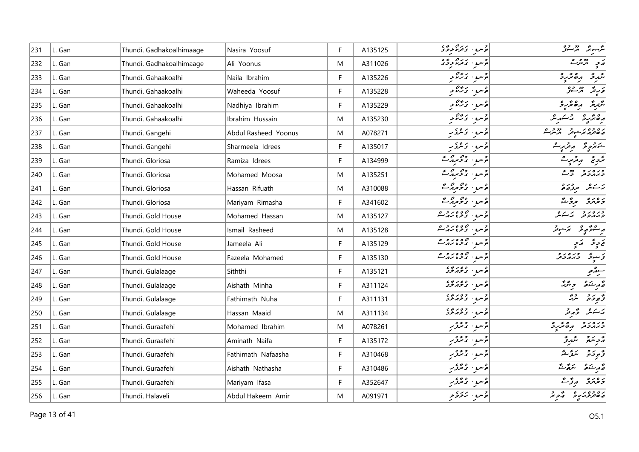| 231 | L. Gan | Thundi. Gadhakoalhimaage | Nasira Yoosuf        | F         | A135125 | وسع متحدد و و و و و                   | لترسونتر وحرمتو                                                                                       |
|-----|--------|--------------------------|----------------------|-----------|---------|---------------------------------------|-------------------------------------------------------------------------------------------------------|
| 232 | L. Gan | Thundi. Gadhakoalhimaage | Ali Yoonus           | M         | A311026 | وسع متحده عرضي<br>  وسع متحده عرضي    | أە ئو مەشرىك                                                                                          |
| 233 | L. Gan | Thundi. Gahaakoalhi      | Naila Ibrahim        | F         | A135226 | په سوي روم<br>  په سوي د روم          | شرقه رەترىرد                                                                                          |
| 234 | L. Gan | Thundi. Gahaakoalhi      | Waheeda Yoosuf       | F         | A135228 | ە ئىبرىن ئەرەم<br>مۇسىي ئەرەم ئى      | دد حرو<br>ىر بەتىر<br>م                                                                               |
| 235 | L. Gan | Thundi. Gahaakoalhi      | Nadhiya Ibrahim      | F         | A135229 | پېښو کو مختلفته<br>  پېښو کو مختلفته  | متزمر تر<br>ەرھەترىر <sup>ى</sup>                                                                     |
| 236 | L. Gan | Thundi. Gahaakoalhi      | Ibrahim Hussain      | M         | A135230 | د سو ، برم <sup>0</sup> و             | وە ئۈرۈ<br>جە <b>س</b> ەمەر بىر                                                                       |
| 237 | L. Gan | Thundi. Gangehi          | Abdul Rasheed Yoonus | M         | A078271 | ئۇس <sub>ىغ</sub> . ئەنگەنز           | קס כס ק ב- ככב ס<br>המסת הק בת הק תיק                                                                 |
| 238 | L. Gan | Thundi. Gangehi          | Sharmeela Idrees     | F         | A135017 | پەس ئەرەبىر<br>  ئۇسىز ئەسىمىر        | ڪنگرچ ئو برقرمرے                                                                                      |
| 239 | L. Gan | Thundi. Gloriosa         | Ramiza Idrees        | F         | A134999 | ە سورى <i>دى بەرگە</i>                | بَرْدِيَّ رِنْدِيرِ ۖ                                                                                 |
| 240 | L. Gan | Thundi. Gloriosa         | Mohamed Moosa        | M         | A135251 | ە سور جۇ <i>برە</i> شە                | وره دو دور                                                                                            |
| 241 | L. Gan | Thundi. Gloriosa         | Hassan Rifuath       | M         | A310088 | ە سو، ئەمرىرىگە                       | برڪش بروزه                                                                                            |
| 242 | L. Gan | Thundi. Gloriosa         | Mariyam Rimasha      | F         | A341602 | ە سور ئىمرى <i>مى</i> گە              | رەرە برۇش                                                                                             |
| 243 | L. Gan | Thundi. Gold House       | Mohamed Hassan       | M         | A135127 | و سو، می وه در و ه                    | ورەرو پەسەش                                                                                           |
| 244 | L. Gan | Thundi. Gold House       | Ismail Rasheed       | M         | A135128 | و سو مي وه در د ه                     | برڪرگيري ڪرڪوگر                                                                                       |
| 245 | L. Gan | Thundi. Gold House       | Jameela Ali          | F         | A135129 | و سو، می وه در و ه                    | تحاويجن الكامي                                                                                        |
| 246 | L. Gan | Thundi. Gold House       | Fazeela Mohamed      | F         | A135130 | د سو ، کومورو ه                       | ۇخۇ<br>ورەر د<br><i>دى</i> رمەتر                                                                      |
| 247 | L. Gan | Thundi. Gulalaage        | Siththi              | F         | A135121 | په سو ۱۶۶، کورو د                     | سورصحر                                                                                                |
| 248 | L. Gan | Thundi. Gulalaage        | Aishath Minha        | F         | A311124 | په سو ۱۶۶، کورو د                     | وكرمشكم وللرك                                                                                         |
| 249 | L. Gan | Thundi. Gulalaage        | Fathimath Nuha       | F         | A311131 | مسموسي محدد محمد<br>  موسموسي         | ىترج<br>وٌمورَمٌ                                                                                      |
| 250 | L. Gan | Thundi. Gulalaage        | Hassan Maaid         | M         | A311134 | د سومبر ده د د د و د                  | ىر سەش ئۇرىتر                                                                                         |
| 251 | L. Gan | Thundi. Guraafehi        | Mohamed Ibrahim      | M         | A078261 | ئ <sub>ەسىم</sub> ، ئەنگەر بە         | כמחכת תפתיכ                                                                                           |
| 252 | L. Gan | Thundi. Guraafehi        | Aminath Naifa        | F         | A135172 | ۾ <sub>سع</sub> ب وغړو س <sub>ر</sub> | أزجر سكرة التمرقر                                                                                     |
| 253 | L. Gan | Thundi. Guraafehi        | Fathimath Nafaasha   | F         | A310468 | ئەسىر سىمبىرىسى<br>  ئەسىر سىمبىرىس   | تؤجرة كالترامية                                                                                       |
| 254 | L. Gan | Thundi. Guraafehi        | Aishath Nathasha     | F         | A310486 | ئەسىر بە ئەتترىر                      | م الله عند الله الله عند الله عند الله عند الله عند الله عند الله عند الله عن الله عن الله عن الله عن |
| 255 | L. Gan | Thundi. Guraafehi        | Mariyam Ifasa        | F         | A352647 | ۇسىق ئەتترۇپر                         | كەندى بەرقىق                                                                                          |
| 256 | L. Gan | Thundi. Halaveli         | Abdul Hakeem Amir    | ${\sf M}$ | A091971 | مۇسىر بەئەتمۇمۇر                      | גם כפי פ"כ ב                                                                                          |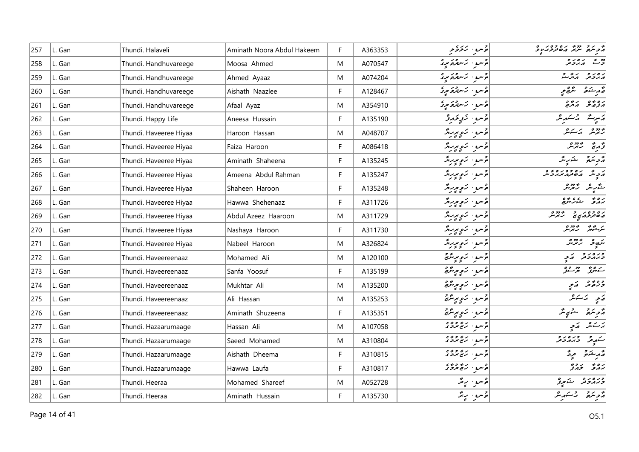| 257 | L. Gan | Thundi. Halaveli       | Aminath Noora Abdul Hakeem | F  | A363353 | جسع سنحفظ                                             | הכיתם יינה הסתיכתים                                                                                                                            |
|-----|--------|------------------------|----------------------------|----|---------|-------------------------------------------------------|------------------------------------------------------------------------------------------------------------------------------------------------|
| 258 | L. Gan | Thundi. Handhuvareege  | Moosa Ahmed                | M  | A070547 | ج <sub>ا</sub> سو · كەس <i>لەۋىر</i> ئ                | وژنٹ پروژنو                                                                                                                                    |
| 259 | L. Gan | Thundi. Handhuvareege  | Ahmed Ayaaz                | M  | A074204 | ج <sub>ا</sub> سو · كەس <i>لىرى بېر</i> ى             | رەرد رېژ                                                                                                                                       |
| 260 | L. Gan | Thundi. Handhuvareege  | Aishath Naazlee            | F  | A128467 | توسع کے سربری سریح                                    | ا په مه شو ه<br>مرسستومو<br>مثرچ محر                                                                                                           |
| 261 | L. Gan | Thundi. Handhuvareege  | Afaal Ayaz                 | M  | A354910 | قرسو · كەس <i>ترۇپرى</i>                              | $551$ $2531$                                                                                                                                   |
| 262 | L. Gan | Thundi. Happy Life     | Aneesa Hussain             | F. | A135190 | ج <sub>اسع :</sub> ځېږ <i>څهر</i> و                   | أرسيت برستمرهم                                                                                                                                 |
| 263 | L. Gan | Thundi. Haveeree Hiyaa | Haroon Hassan              | M  | A048707 | پەسىن ئەھ بىرىدۇ.<br>                                 | ر پرچم پر کے مگر                                                                                                                               |
| 264 | L. Gan | Thundi. Haveeree Hiyaa | Faiza Haroon               | F  | A086418 | ە ئەسىم سىر ئىرىدىگر<br>مەسىم سىم ئىسىم               | مر دو ه<br>اقرمر پخ                                                                                                                            |
| 265 | L. Gan | Thundi. Haveeree Hiyaa | Aminath Shaheena           | F  | A135245 | ئوسىغ سرىمو سرىرىدىگ                                  | أزويترة فسيريثر                                                                                                                                |
| 266 | L. Gan | Thundi. Haveeree Hiyaa | Ameena Abdul Rahman        | F  | A135247 | <br>  مۇسىق سىم ئەسىرىدىگ                             | ر شهر ده وه دره ده                                                                                                                             |
| 267 | L. Gan | Thundi. Haveeree Hiyaa | Shaheen Haroon             | F  | A135248 | ئۇسىز بە ئى <i>رىپەرد</i> گە                          | ڪرير گردو<br>پ                                                                                                                                 |
| 268 | L. Gan | Thundi. Haveeree Hiyaa | Hawwa Shehenaaz            | F  | A311726 | ج <sub>ى</sub> سىن ئەھ <sub>ە</sub> بىرىدىگە          | ر ە بە<br>برادى<br>ے بر شر <u>ی</u> ح                                                                                                          |
| 269 | L. Gan | Thundi. Haveeree Hiyaa | Abdul Azeez Haaroon        | M  | A311729 | <br>  مۇسىق سىم ئەسىرىدىگر                            | ג 2000 - 2009 היה בין הריית.<br>הסתיבה היה היה היה היה היה היה היה היה בין היה בין היה בין היה בין היה בין היה בין היה בין היה בין היה בין היה |
| 270 | L. Gan | Thundi. Haveeree Hiyaa | Nashaya Haroon             | F  | A311730 | پەسىس ئەھ بىرىدىگە<br>                                | ىر شەر ئەمەم<br>سرىشەرگە ئىمىرلىر                                                                                                              |
| 271 | L. Gan | Thundi. Haveeree Hiyaa | Nabeel Haroon              | M  | A326824 | پېښو سره پرېدار<br>  پېښو سره په کار                  | سَصِعْرَ مُتَعَرِّسُ                                                                                                                           |
| 272 | L. Gan | Thundi. Haveereenaaz   | Mohamed Ali                | M  | A120100 | ج <sub>و</sub> سو <sub>`</sub> سوپریسنگینی            | ورەر د كړ                                                                                                                                      |
| 273 | L. Gan | Thundi. Haveereenaaz   | Sanfa Yoosuf               | F  | A135199 | ئوسو : سَوِيبِيسَنَجْ                                 | سەھۇ<br>دد وه<br>در سور                                                                                                                        |
| 274 | L. Gan | Thundi. Haveereenaaz   | Mukhtar Ali                | M  | A135200 | ئۇسى <sub>ن</sub> ئىم <sub>و</sub> بىرىش <sub>ى</sub> | د د پر په کړې                                                                                                                                  |
| 275 | L. Gan | Thundi. Haveereenaaz   | Ali Hassan                 | M  | A135253 | ئۇسىز · ئىر <sub>كى</sub> رىشتى                       | أەي بريدىق                                                                                                                                     |
| 276 | L. Gan | Thundi. Haveereenaaz   | Aminath Shuzeena           | F  | A135351 | ئۇسىز · ئىر <sub>كى</sub> رىشتى                       | أأدرسكم التفاتي مكر                                                                                                                            |
| 277 | L. Gan | Thundi. Hazaarumaage   | Hassan Ali                 | M  | A107058 | مهر سر کرده در در م<br>  موسو سر کرد کرد کرد          | پرستمبر الایچ                                                                                                                                  |
| 278 | L. Gan | Thundi. Hazaarumaage   | Saeed Mohamed              | M  | A310804 | پر سو مسلم برد د<br>  پر سو مسلم برد د                | سكهاش وبره راد                                                                                                                                 |
| 279 | L. Gan | Thundi. Hazaarumaage   | Aishath Dheema             | F  | A310815 | په سوي ريو وو ،<br>  پوسوي سري مرحري                  | و در دره دره<br>در شوه در                                                                                                                      |
| 280 | L. Gan | Thundi. Hazaarumaage   | Hawwa Laufa                | F  | A310817 | ا چې سره به سره ده ده د                               | ره و دور<br>پروژ نومرتی                                                                                                                        |
| 281 | L. Gan | Thundi. Heeraa         | Mohamed Shareef            | M  | A052728 | قوسور سپٽر                                            | ورەرو ئىيرۇ                                                                                                                                    |
| 282 | L. Gan | Thundi. Heeraa         | Aminath Hussain            | F  | A135730 | ا د سو سر بر                                          | ړې سرچ پر شمېر مثر                                                                                                                             |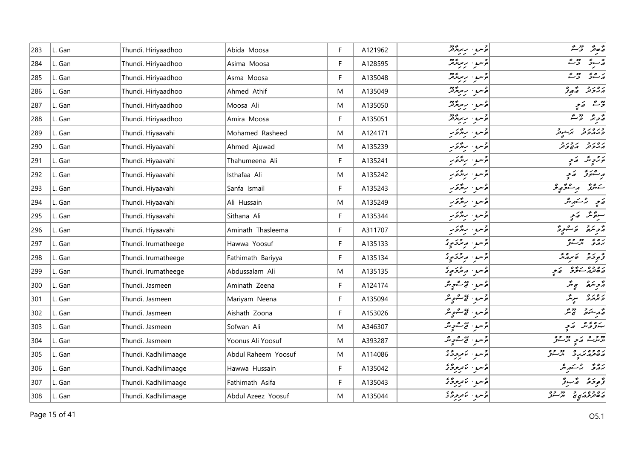| 283 | L. Gan | Thundi. Hiriyaadhoo  | Abida Moosa         | F           | A121962 | ج <sub>و</sub> سرو - ربروژو<br>  سر - ربروژو             | دومع<br>و چې پېښې<br>م                    |
|-----|--------|----------------------|---------------------|-------------|---------|----------------------------------------------------------|-------------------------------------------|
| 284 | L. Gan | Thundi. Hiriyaadhoo  | Asima Moosa         | F           | A128595 | ئەسىي سەپرىدىنە<br>  ئەسىي سەپرىدىن                      | رمجي سبزقر<br>دو محر                      |
| 285 | L. Gan | Thundi. Hiriyaadhoo  | Asma Moosa          | $\mathsf F$ | A135048 | په سويه رسور در<br>  په سويه رسور در                     | رعيجة<br>درمیه                            |
| 286 | L. Gan | Thundi. Hiriyaadhoo  | Ahmed Athif         | M           | A135049 | ه مرد ربر دره<br>مسر از ک                                | أرور و و و                                |
| 287 | L. Gan | Thundi. Hiriyaadhoo  | Moosa Ali           | M           | A135050 | ב<br>  פייעי וואומר<br>  פייעי וואומרי                   | $\sum_{n=1}^{\infty}$                     |
| 288 | L. Gan | Thundi. Hiriyaadhoo  | Amira Moosa         | $\mathsf F$ | A135051 |                                                          | ړې د ځ                                    |
| 289 | L. Gan | Thundi. Hiyaavahi    | Mohamed Rasheed     | M           | A124171 | هم سوء - سرهر تحریب<br>  هم سوء - سره مر                 | وره رو گرشونگر<br><i>د بر بر برگو</i> نگر |
| 290 | L. Gan | Thundi. Hiyaavahi    | Ahmed Ajuwad        | M           | A135239 |                                                          | ג ס ג כ ג כ ב<br>ג ג כ ע ג ג ב פ ב        |
| 291 | L. Gan | Thundi. Hiyaavahi    | Thahumeena Ali      | F           | A135241 | هم سوء سر پر گري<br>  هم سوء سر سر                       | كورمي فليمني                              |
| 292 | L. Gan | Thundi. Hiyaavahi    | Isthafaa Ali        | M           | A135242 | پەسىس سە <i>مگەر</i>                                     | د ه دي د کمبر                             |
| 293 | L. Gan | Thundi. Hiyaavahi    | Sanfa Ismail        | F           | A135243 | ج <sub>و</sub> سو سر پڑھ سر                              | سىتىر بەستەر                              |
| 294 | L. Gan | Thundi. Hiyaavahi    | Ali Hussain         | M           | A135249 | هم سوء سر پر گري<br>  هم سوء سر سر                       | ەكىيە بەر ئىكرونلىر                       |
| 295 | L. Gan | Thundi. Hiyaavahi    | Sithana Ali         | F           | A135344 | ا هم معنوس سر پیونز<br>استخراب مرکز مرکز                 |                                           |
| 296 | L. Gan | Thundi. Hiyaavahi    | Aminath Thasleema   | F           | A311707 | پەسىس س <i>ەڭ ئ</i>                                      | ر<br>مۇم ئەسمى ئەسمىيە ئە                 |
| 297 | L. Gan | Thundi. Irumatheege  | Hawwa Yoosuf        | F           | A135133 | مۇسى <sub>ز م</sub> ېرىخ م <sub>ۇ</sub> ئ                | بره په دوروه                              |
| 298 | L. Gan | Thundi. Irumatheege  | Fathimath Bariyya   | F           | A135134 | په سويې مر پرخه پوته                                     | وجرحرح كالمروشر                           |
| 299 | L. Gan | Thundi. Irumatheege  | Abdussalam Ali      | M           | A135135 | ۇسىس مەترەپچ                                             | رە دە روە ھېر                             |
| 300 | L. Gan | Thundi. Jasmeen      | Aminath Zeena       | F           | A124174 | جمسع بسيح سفرجينكم                                       | ړٌ د سَهُ پِسٌ                            |
| 301 | L. Gan | Thundi. Jasmeen      | Mariyam Neena       | $\mathsf F$ | A135094 | په سو مي شو پر له<br>  پوسو مي شو پر                     | ر ه بر ه<br>تر <del>ب</del> ر بر<br>سريٹر |
| 302 | L. Gan | Thundi. Jasmeen      | Aishath Zoona       | $\mathsf F$ | A153026 | ج <sub>و</sub> سو په مخ شو <sub>چ</sub> شر               | ح مگر<br>و گرمشگر محمد<br>مرگ             |
| 303 | L. Gan | Thundi. Jasmeen      | Sofwan Ali          | M           | A346307 | ج <sub>وسعي</sub> ۽ صحيح پهر                             | ببوثر مزر                                 |
| 304 | L. Gan | Thundi. Jasmeen      | Yoonus Ali Yoosuf   | M           | A393287 | ج <sub>و</sub> سو به نئ <sup>ع</sup> ش <sub>وچ</sub> ىتر | מי הים <sub>ה'ק ה</sub> משק               |
| 305 | L. Gan | Thundi. Kadhilimaage | Abdul Raheem Yoosuf | M           | A114086 | ە ئىس ئىس <i>ر ۋى</i>                                    | נסכם גם כככם<br>הסטה הגב"ק ת-י            |
| 306 | L. Gan | Thundi. Kadhilimaage | Hawwa Hussain       | F           | A135042 | <br>  مۇسىس ئىمرىرىتى ئ                                  | رەپە جەمئىر                               |
| 307 | L. Gan | Thundi. Kadhilimaage | Fathimath Asifa     | F.          | A135043 | په سو کوروگو کا                                          | وٌوِدَهُ الأسورٌ                          |
| 308 | L. Gan | Thundi. Kadhilimaage | Abdul Azeez Yoosuf  | M           | A135044 | په سويه سور کودکار<br>  په سوير سر سر سر                 | נ 2000 - 2009<br>הסתיכה מֱ 20 ת           |
|     |        |                      |                     |             |         |                                                          |                                           |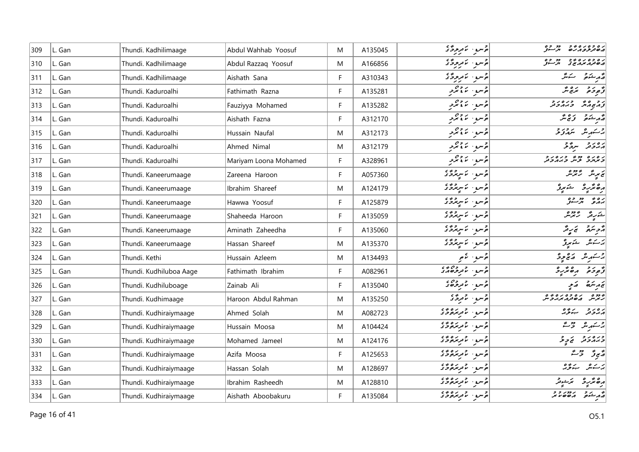| 309 | L. Gan | Thundi. Kadhilimaage    | Abdul Wahhab Yoosuf   | M           | A135045 | ج <sub>ى</sub> سمى ئىم ئىر بىرى<br>                                                                                                                                                                                             | ر ه و ه ر ه ر و<br>پره تر تر و بر رحه<br>دد حيو        |
|-----|--------|-------------------------|-----------------------|-------------|---------|---------------------------------------------------------------------------------------------------------------------------------------------------------------------------------------------------------------------------------|--------------------------------------------------------|
| 310 | L. Gan | Thundi. Kadhilimaage    | Abdul Razzaq Yoosuf   | M           | A166856 | ە ئەسىس ئەرىرى<br>م                                                                                                                                                                                                             | נ 2010 של 2010 ברי 20<br>השינו מגיש ב                  |
| 311 | L. Gan | Thundi. Kadhilimaage    | Aishath Sana          | $\mathsf F$ | A310343 | ئەسىس ئەمرىردى<br>                                                                                                                                                                                                              | قەرشكى سكىگر                                           |
| 312 | L. Gan | Thundi. Kaduroalhi      | Fathimath Razna       | F.          | A135281 | ار<br>اموسع عموم                                                                                                                                                                                                                | ژ <sub>بو د</sub> ُ پر پر پر پر پر پ                   |
| 313 | L. Gan | Thundi. Kaduroalhi      | Fauziyya Mohamed      | F           | A135282 | مسموسية حميد<br>  موسوسية عمر                                                                                                                                                                                                   | צ'ה באית בג'ם גב                                       |
| 314 | L. Gan | Thundi. Kaduroalhi      | Aishath Fazna         | F           | A312170 | <br>  <sub>حو</sub> سو عدد عدد                                                                                                                                                                                                  | مەم خىم ئى ئى                                          |
| 315 | L. Gan | Thundi. Kaduroalhi      | Hussain Naufal        | M           | A312173 |                                                                                                                                                                                                                                 | برسكهاش الكرورو                                        |
| 316 | L. Gan | Thundi. Kaduroalhi      | Ahmed Nimal           | M           | A312179 | ە<br>مۇسىغ سىم ئىرىپ                                                                                                                                                                                                            | 1910 תוביב<br>הגבת תביב                                |
| 317 | L. Gan | Thundi. Kaduroalhi      | Mariyam Loona Mohamed | F           | A328961 | ۇسىن ئۈچمۈ                                                                                                                                                                                                                      | נסנס חזר בנסנב<br>במחבר בית במחבת                      |
| 318 | L. Gan | Thundi. Kaneerumaage    | Zareena Haroon        | F           | A057360 | ە ئىس ئىس <i>مەرەك</i>                                                                                                                                                                                                          | تم برینگر گرمینگر                                      |
| 319 | L. Gan | Thundi. Kaneerumaage    | Ibrahim Shareef       | M           | A124179 | وسع متسر برده د                                                                                                                                                                                                                 | رەنزىر شىر                                             |
| 320 | L. Gan | Thundi. Kaneerumaage    | Hawwa Yoosuf          | F           | A125879 | ەسمىن ئەس <i>بەدى</i>                                                                                                                                                                                                           | بره به دور وه                                          |
| 321 | L. Gan | Thundi. Kaneerumaage    | Shaheeda Haroon       | F           | A135059 | ە ئىس ئىس <i>مېرى ئى</i>                                                                                                                                                                                                        | شەرىق ئەچرىق                                           |
| 322 | L. Gan | Thundi. Kaneerumaage    | Aminath Zaheedha      | $\mathsf F$ | A135060 | ە ئىب ئەسى <i>بىرد</i> ى                                                                                                                                                                                                        | أروبتكم بمرتز                                          |
| 323 | L. Gan | Thundi. Kaneerumaage    | Hassan Shareef        | M           | A135370 | ە ئىب ئەسى <i>دە ئ</i>                                                                                                                                                                                                          | پرسەش ھەمپەرتى                                         |
| 324 | L. Gan | Thundi. Kethi           | Hussain Azleem        | M           | A134493 | قوسع عمير                                                                                                                                                                                                                       | جسكر مكافح ومحافح وحج                                  |
| 325 | L. Gan | Thundi. Kudhiluboa Aage | Fathimath Ibrahim     | F           | A082961 | و ده وه وه ده.<br>موسو المتوفر مورد                                                                                                                                                                                             | تزود وه تربرد                                          |
| 326 | L. Gan | Thundi. Kudhiluboage    | Zainab Ali            | F           | A135040 | ه سوم توروه د<br>مسوم توروه د                                                                                                                                                                                                   | ىم بىر ئىم ئە                                          |
| 327 | L. Gan | Thundi. Kudhimaage      | Haroon Abdul Rahman   | M           | A135250 | په سوي لامرځۍ<br>  په سوي لامر                                                                                                                                                                                                  | ره وه ره ده.<br>په صوبر بوبرتر س<br>پر دو ه<br>رنجو پس |
| 328 | L. Gan | Thundi. Kudhiraiymaage  | Ahmed Solah           | M           | A082723 | په سو مور شود د                                                                                                                                                                                                                 | ره ر و دره<br>پرسرتر سنور                              |
| 329 | L. Gan | Thundi. Kudhiraiymaage  | Hussain Moosa         | M           | A104424 | ه سوم تر ده و د                                                                                                                                                                                                                 | ير شەر سى تەر شە                                       |
| 330 | L. Gan | Thundi. Kudhiraiymaage  | Mohamed Jameel        | M           | A124176 | ه سومبر مرد و ده.<br>موسومبر مرد مرد و                                                                                                                                                                                          | ورەر دىر                                               |
| 331 | L. Gan | Thundi. Kudhiraiymaage  | Azifa Moosa           | F           | A125653 | ا چمس مستقر کرده در در در در سیمبر در سیمبر در سیمبر در سیمبر در سیمبر در سیمبر در سیمبر در سیمبر در سیمبر در<br>مسیر در سیمبر در سیمبر در سیمبر در سیمبر در سیمبر در سیمبر در سیمبر در سیمبر در سیمبر در سیمبر در سیمبر در سیم | ړې ده چې                                               |
| 332 | L. Gan | Thundi. Kudhiraiymaage  | Hassan Solah          | M           | A128697 | ه سوم توپره وي                                                                                                                                                                                                                  | ىز سەش سىدۇر                                           |
| 333 | L. Gan | Thundi. Kudhiraiymaage  | Ibrahim Rasheedh      | M           | A128810 | ه سو موره وه و                                                                                                                                                                                                                  | رەتزىرۇ ترىنوتر                                        |
| 334 | L. Gan | Thundi. Kudhiraiymaage  | Aishath Aboobakuru    | F           | A135084 | پی سوید عمر پره وي                                                                                                                                                                                                              |                                                        |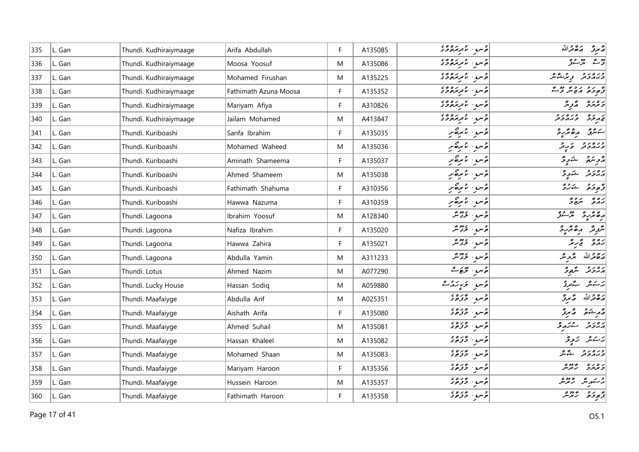| 335 | L. Gan | Thundi. Kudhiraiymaage | Arifa Abdullah        | F           | A135085 | وسع متوسط و ده و                                               | وكاقعرالله<br>ەتىرىق                                      |
|-----|--------|------------------------|-----------------------|-------------|---------|----------------------------------------------------------------|-----------------------------------------------------------|
| 336 | L. Gan | Thundi. Kudhiraiymaage | Moosa Yoosuf          | M           | A135086 | وسع متر بره و د و                                              | دی میں دو                                                 |
| 337 | L. Gan | Thundi. Kudhiraiymaage | Mohamed Firushan      | M           | A135225 | په سو ۱۰ غږ پر <i>۱۶۶۶</i><br>  پوسو ۱۰ غږ پر <sub>۱</sub> ۶۶۶ | ورەرو پەرشەر                                              |
| 338 | L. Gan | Thundi. Kudhiraiymaage | Fathimath Azuna Moosa | F.          | A135352 | ا د سو مور ده و د کا                                           | أو دو دوه دوه                                             |
| 339 | L. Gan | Thundi. Kudhiraiymaage | Mariyam Afiya         | F           | A310826 | <br>  می سوید مقریم موجودی                                     | במתכ בנת                                                  |
| 340 | L. Gan | Thundi. Kudhiraiymaage | Jailam Mohamed        | M           | A413847 | ه سوم موره وه<br>مسوم مور                                      | و رە ر د<br><i>د بر</i> گرىز<br>ئے <sub>مر</sub> ترو<br>م |
| 341 | L. Gan | Thundi. Kuriboashi     | Sanfa Ibrahim         | F           | A135035 | پەس سىم ئەرگە بىر                                              | سەمدۇر مەھمگەر                                            |
| 342 | L. Gan | Thundi. Kuriboashi     | Mohamed Waheed        | M           | A135036 | ە ئىب ئىم ئەسىر ئەسىر<br>مۇسىي ئىم ئىبر ئەس                    | ورەر د دېد                                                |
| 343 | L. Gan | Thundi. Kuriboashi     | Aminath Shameema      | F           | A135037 | پېښو ، گمېرغېږ                                                 | أأوسكم المستورة                                           |
| 344 | L. Gan | Thundi. Kuriboashi     | Ahmed Shameem         | M           | A135038 | پېښو ، گمېرغېږ                                                 | ده د د سر د و                                             |
| 345 | L. Gan | Thundi. Kuriboashi     | Fathimath Shahuma     | F           | A310356 | پېښو ، غړغ مر                                                  | ے جانے کی<br>و مر د<br>تر مور می                          |
| 346 | L. Gan | Thundi. Kuriboashi     | Hawwa Nazuma          | F           | A310359 | ه مبر در در در در در با<br>موسو                                | ر ه پ<br>پروتو<br>سرچ پی                                  |
| 347 | L. Gan | Thundi. Lagoona        | Ibrahim Yoosuf        | M           | A128340 | جو سو به عربي مثر                                              | دو وه<br>در سور<br>ەر ھەترىر <i>3</i>                     |
| 348 | L. Gan | Thundi. Lagoona        | Nafiza Ibrahim        | $\mathsf F$ | A135020 | ج <sub>امع</sub> کوچھ<br>  جو سرچ مر                           | برە ئۈرۈ<br>سٌموِنْرٌ                                     |
| 349 | L. Gan | Thundi. Lagoona        | Hawwa Zahira          | F           | A135021 | ج <sub>امع :</sub> عجز مگر                                     | ر ه پ<br>پروتو<br>ىتى سەتتىر                              |
| 350 | L. Gan | Thundi. Lagoona        | Abdulla Yamin         | M           | A311233 | ج <sub>امع ش</sub> ور محرمة محمد                               | ەھىراللە<br>ېژ د مثر                                      |
| 351 | L. Gan | Thundi. Lotus          | Ahmed Nazim           | M           | A077290 | ئۇسو، ئۇغۇش                                                    | دەر د شھرى                                                |
| 352 | L. Gan | Thundi. Lucky House    | Hassan Sodiq          | M           | A059880 | ئۇسىز ب <i>ې ئەرقى</i> شە                                      | ىز سەن ئىس ئەرى <u>قى</u>                                 |
| 353 | L. Gan | Thundi. Maafaiyge      | Abdulla Arif          | M           | A025351 | میں دورہ<br>  میں محمد                                         | ە ئىسىرى<br>ەھىراللە                                      |
| 354 | L. Gan | Thundi. Maafaiyge      | Aishath Arifa         | $\mathsf F$ | A135080 | په سوم ځره و                                                   | م المستوفر المستوفر                                       |
| 355 | L. Gan | Thundi. Maafaiyge      | Ahmed Suhail          | M           | A135081 | پېښې ځړه ،<br>  پېښې ځړونه                                     | رەرو ئەر                                                  |
| 356 | L. Gan | Thundi. Maafaiyge      | Hassan Khaleel        | M           | A135082 | د سو گروه د<br>  د سو گروه                                     | ىزىستەش كەبوبۇ                                            |
| 357 | L. Gan | Thundi. Maafaiyge      | Mohamed Shaan         | M           | A135083 | په سوم ځره و                                                   | و ر ه ر د<br><i>و بر</i> پر تر<br>ىشەھر                   |
| 358 | L. Gan | Thundi. Maafaiyge      | Mariyam Haroon        | F           | A135356 | په سو ۱۰ ژوه د                                                 | یر دو ه<br>رنجو سر<br>ر ه ر ه<br><del>ر</del> بربرگ       |
| 359 | L. Gan | Thundi. Maafaiyge      | Hussein Haroon        | M           | A135357 | په سويي څره ده<br>  په سويي څرونونو                            |                                                           |
| 360 | L. Gan | Thundi. Maafaiyge      | Fathimath Haroon      | F           | A135358 | په سوم ځره وي<br>  په سوم ځرونونو                              | و دو دوه و                                                |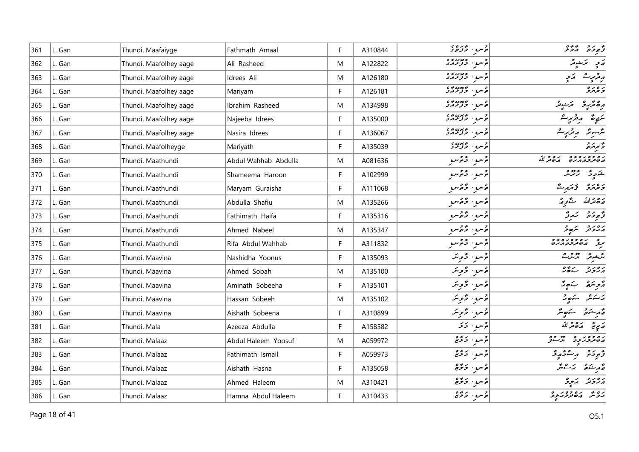| 361 | L. Gan | Thundi. Maafaiyge      | Fathmath Amaal       | F  | A310844 | په سو ۱۰ ژوه د                                         | ەردى<br>  تو پر د                                |
|-----|--------|------------------------|----------------------|----|---------|--------------------------------------------------------|--------------------------------------------------|
| 362 | L. Gan | Thundi. Maafolhey aage | Ali Rasheed          | M  | A122822 | و در پرده ده<br>دس وزنده د                             | أقامح المخرشوقر                                  |
| 363 | L. Gan | Thundi. Maafolhey aage | Idrees Ali           | M  | A126180 | په سومي وي.<br>  پېښېد ژوندن                           | ەر قرىبە <sup>م</sup><br>س                       |
| 364 | L. Gan | Thundi. Maafolhey aage | Mariyam              | F  | A126181 | مسعى مستعدم<br>  مسعى محرف محمد                        | ر ه ر ه<br><del>و</del> بربرو                    |
| 365 | L. Gan | Thundi. Maafolhey aage | Ibrahim Rasheed      | M  | A134998 | <br>  مسم تحزیدی                                       | بخرشوقر                                          |
| 366 | L. Gan | Thundi. Maafolhey aage | Najeeba Idrees       | F. | A135000 | ا د سو به دوه ده د                                     | ىك <sub>ت</sub> ېرىق مەترىپەت<br>س               |
| 367 | L. Gan | Thundi. Maafolhey aage | Nasira Idrees        | F  | A136067 | <br>  په سو کو دره دی                                  | مترسونتر<br>ەر قرىر ب                            |
| 368 | L. Gan | Thundi. Maafolheyge    | Mariyath             | F. | A135039 | چې سوينې د کارولو د کا                                 | ء سر پر د                                        |
| 369 | L. Gan | Thundi. Maathundi      | Abdul Wahhab Abdulla | M  | A081636 | جسع مستحقة العرب<br>  جسع مستقوم العرب                 | ر ه د ه د ه د ه<br>پرې تر تر ه<br>ەھەراللە       |
| 370 | L. Gan | Thundi. Maathundi      | Shameema Haroon      | F  | A102999 | ج <sub>و</sub> سو به محتم <sup>و</sup> سو <sub>ر</sub> | مح ود م<br>ڪو <i>و</i> گر                        |
| 371 | L. Gan | Thundi. Maathundi      | Maryam Guraisha      | F  | A111068 | ج <sub>و</sub> سو به محتم <sup>و</sup> سو <sub>ر</sub> | رەرە چىمىش                                       |
| 372 | L. Gan | Thundi. Maathundi      | Abdulla Shafiu       | M  | A135266 | مۇسى <sub>ن</sub> ئۇمۇسى <sub>ر</sub>                  | برە تراللە<br>ستگورگر                            |
| 373 | L. Gan | Thundi. Maathundi      | Fathimath Haifa      | F  | A135316 | موسو <sub>"</sub> رمحوسو                               | وٌوِدَةٌ رَرِوٌ                                  |
| 374 | L. Gan | Thundi. Maathundi      | Ahmed Nabeel         | M  | A135347 | ج <sub>و</sub> سو به محتجم سو <sub>ر</sub>             | رەرو شھۇ                                         |
| 375 | L. Gan | Thundi. Maathundi      | Rifa Abdul Wahhab    | F  | A311832 | ا موسو به محتفر براسمبر<br>موسو                        | به ده ده ده ده د<br>برت <sub>ر</sub> شهر ده در ه |
| 376 | L. Gan | Thundi. Maavina        | Nashidha Yoonus      | F  | A135093 | ج <sub>وسو:</sub> ځویئر                                | مگرى <u>دى</u> ر قرىترىگە<br>م                   |
| 377 | L. Gan | Thundi. Maavina        | Ahmed Sobah          | M  | A135100 | جسع محمويتر                                            | ره رو دره و                                      |
| 378 | L. Gan | Thundi. Maavina        | Aminath Sobeeha      | F  | A135101 | ج <sub>وسو:</sub> ځویئر                                | أرمره<br>بەَ ھەر                                 |
| 379 | L. Gan | Thundi. Maavina        | Hassan Sobeeh        | M  | A135102 | ە ئىسىن ئ <sup>ۇ</sup> ئويىڭر                          | ئەسەئى <sup>س</sup><br>بنوء                      |
| 380 | L. Gan | Thundi. Maavina        | Aishath Sobeena      | F. | A310899 | قوسع بحمح عريئه                                        | و .<br>د گهرسشوه                                 |
| 381 | L. Gan | Thundi. Mala           | Azeeza Abdulla       | F  | A158582 | قوسع بحكمة                                             | رَبِيءَ رَءُ قُرَاللّهِ                          |
| 382 | L. Gan | Thundi. Malaaz         | Abdul Haleem Yoosuf  | M  | A059972 | پرسو کو محمد                                           | נסכסת ס"ח של סייריק<br>הסתיבה פי                 |
| 383 | L. Gan | Thundi. Malaaz         | Fathimath Ismail     | F  | A059973 | پرسو کو محرم                                           | وجوحاه ومشترم و                                  |
| 384 | L. Gan | Thundi. Malaaz         | Aishath Hasna        | F  | A135058 | ئ <sub>ەسمى</sub> ئەمۇم                                | لەر ئەستىم كەنگىر                                |
| 385 | L. Gan | Thundi. Malaaz         | Ahmed Haleem         | M  | A310421 | پرسو کو محرم                                           | رەرە بەرە                                        |
| 386 | L. Gan | Thundi. Malaaz         | Hamna Abdul Haleem   | F  | A310433 | مۇسىر بە ئەقەمى                                        | رە بە رەدەر دە                                   |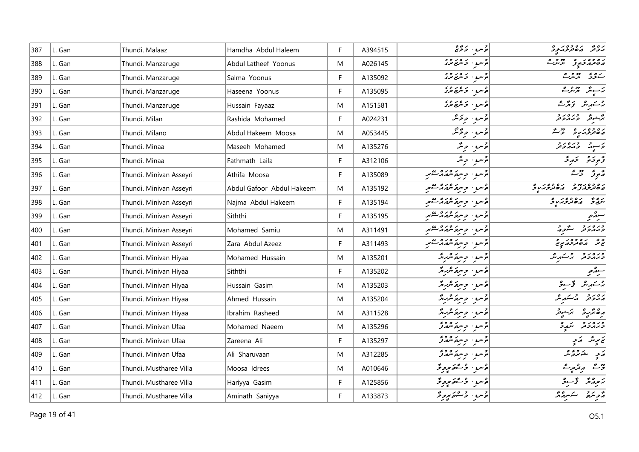| 387 | L. Gan | Thundi. Malaaz          | Hamdha Abdul Haleem       | F.          | A394515 | مۇسو، ئەقەمچ                                                                                                                                | رە ئەھىرورىچە                                         |
|-----|--------|-------------------------|---------------------------|-------------|---------|---------------------------------------------------------------------------------------------------------------------------------------------|-------------------------------------------------------|
| 388 | L. Gan | Thundi. Manzaruge       | Abdul Latheef Yoonus      | M           | A026145 | وسع - تر مرد و ،<br>  وسع - تر سر بر ر                                                                                                      | ן פרס קרים מרוכם<br>הסמות בתוך ותית                   |
| 389 | L. Gan | Thundi. Manzaruge       | Salma Yoonus              | $\mathsf F$ | A135092 | ە ئىس - ئەنگە ئىرى<br>م                                                                                                                     | سەۋە بېرىرى                                           |
| 390 | L. Gan | Thundi. Manzaruge       | Haseena Yoonus            | F           | A135095 | اقرسع متحده بروء<br> قوسع مسلم                                                                                                              | برَ سونڈ مزیر م                                       |
| 391 | L. Gan | Thundi. Manzaruge       | Hussain Fayaaz            | M           | A151581 |                                                                                                                                             | برسكتهر تكر توكر يشكر                                 |
| 392 | L. Gan | Thundi. Milan           | Rashida Mohamed           | F           | A024231 | پھر موسو موسر ہے<br>                                                                                                                        | مجر شوتگر و بره بر و<br>مرشوتگر و بر برو تر           |
| 393 | L. Gan | Thundi. Milano          | Abdul Hakeem Moosa        | M           | A053445 | ۇس <sub>ىر: ج</sub> ۇنگر                                                                                                                    |                                                       |
| 394 | L. Gan | Thundi. Minaa           | Maseeh Mohamed            | ${\sf M}$   | A135276 | ق <sub>م</sub> سوم برنگر                                                                                                                    |                                                       |
| 395 | L. Gan | Thundi. Minaa           | Fathmath Laila            | F           | A312106 | پرسو <sub>پ</sub> ویٹر                                                                                                                      | وَجوحَةً خَهِرْ                                       |
| 396 | L. Gan | Thundi. Minivan Asseyri | Athifa Moosa              | F.          | A135089 | ە ئىروسى ئىرىدىن ھەر                                                                                                                        | ړې د په                                               |
| 397 | L. Gan | Thundi. Minivan Asseyri | Abdul Gafoor Abdul Hakeem | M           | A135192 | ەس - جس <i>ەھىدە</i> شىر<br>م                                                                                                               | ر 2000 מכביע פרסטים.<br>הסתי <i>כה ציד הסתיכה</i> עיכ |
| 398 | L. Gan | Thundi. Minivan Asseyri | Najma Abdul Hakeem        | F.          | A135194 | المس وسي شده منها<br>مسيح مستقبل                                                                                                            | ره د ده ده د ه<br>سرچ د پره تروبر د                   |
| 399 | L. Gan | Thundi. Minivan Asseyri | Siththi                   | F           | A135195 | المس وسفة منها المستمر                                                                                                                      | سودھو                                                 |
| 400 | L. Gan | Thundi. Minivan Asseyri | Mohamed Samiu             | M           | A311491 | و<br>موسع <sub>ز حر</sub> سره <i>سمد کر</i> گئیس                                                                                            | ورەرو ئەدە                                            |
| 401 | L. Gan | Thundi. Minivan Asseyri | Zara Abdul Azeez          | F           | A311493 | المس وسفة المدار علي                                                                                                                        | پر ده ده ده د د                                       |
| 402 | L. Gan | Thundi. Minivan Hiyaa   | Mohamed Hussain           | M           | A135201 | فحسوا وسركا مريكر                                                                                                                           | ورەرو چەرش                                            |
| 403 | L. Gan | Thundi. Minivan Hiyaa   | Siththi                   | F.          | A135202 | ەسىم <i>- جىرەكتەر</i> ىگە                                                                                                                  | سودھو                                                 |
| 404 | L. Gan | Thundi. Minivan Hiyaa   | Hussain Gasim             | M           | A135203 | ەسىم <i>- جىرەكتىرىدى</i> گە                                                                                                                | ج ڪر <sub>م</sub> يش گ <sup>و</sup> سوچ               |
| 405 | L. Gan | Thundi. Minivan Hiyaa   | Ahmed Hussain             | M           | A135204 | ەس رىبە ئەرە                                                                                                                                |                                                       |
| 406 | L. Gan | Thundi. Minivan Hiyaa   | Ibrahim Rasheed           | M           | A311528 | اقم سع المحر سر محر شر مر<br>المحسن المحر المحر المحر المحر المحر المحر المحر المحر المحر المحر المحر المحر المحر المحر المحر المحر المحر ا | ە ھېڭرىرى<br>بەھ ئىرىرى<br>تمرشونثر                   |
| 407 | L. Gan | Thundi. Minivan Ufaa    | Mohamed Naeem             | M           | A135296 | اړ سو وسره سروره<br>د سره سره سرور                                                                                                          | وره رو کرده                                           |
| 408 | L. Gan | Thundi. Minivan Ufaa    | Zareena Ali               | F           | A135297 |                                                                                                                                             | ىم پر سگر كى كىيە                                     |
| 409 | L. Gan | Thundi. Minivan Ufaa    | Ali Sharuvaan             | M           | A312285 | ەس رىبۇ ئىدۇ                                                                                                                                | أروم المتورد المحمد                                   |
| 410 | L. Gan | Thundi. Mustharee Villa | Moosa Idrees              | M           | A010646 |                                                                                                                                             | ۋىشە پەرترىيەت                                        |
| 411 | L. Gan | Thundi. Mustharee Villa | Hariyya Gasim             | F           | A125856 | ج <sub>اسع ا</sub> حرم محمد سر مرکز<br>  ج <sub>ا</sub> سع السماء محمد سر مرکز                                                              | بر پروژگر او محسور                                    |
| 412 | L. Gan | Thundi. Mustharee Villa | Aminath Saniyya           | F           | A133873 | ە ئىب ئەس ئەس ئىبرى <sub>د</sub> ىگە                                                                                                        | הכתים התהה                                            |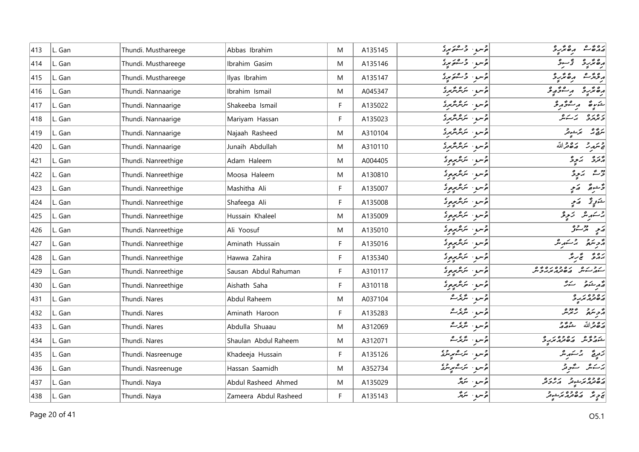| 413 | L. Gan | Thundi. Musthareege | Abbas Ibrahim         | M  | A135145 | په سو سره کره دي.<br>  په سو سره کره کره دي.       | رە پە ھ<br>مەھترىرى                                                                                                                                                      |
|-----|--------|---------------------|-----------------------|----|---------|----------------------------------------------------|--------------------------------------------------------------------------------------------------------------------------------------------------------------------------|
|     |        |                     |                       |    |         |                                                    |                                                                                                                                                                          |
| 414 | L. Gan | Thundi. Musthareege | Ibrahim Gasim         | M  | A135146 | وسع کی عرض پر                                      | ەر ھەئرىر 2<br>بر ھەئرىر 2                                                                                                                                               |
| 415 | L. Gan | Thundi. Musthareege | Ilyas Ibrahim         | M  | A135147 | وسع گروه مربع                                      | ويؤثث<br>دە ئەرد                                                                                                                                                         |
| 416 | L. Gan | Thundi. Nannaarige  | Ibrahim Ismail        | M  | A045347 | ئ <sub>ەسمۇ</sub> ، ئىرتىرىگىرى<br>                | ەرھ ئ <sup>ۆ</sup> ر ۋ                                                                                                                                                   |
| 417 | L. Gan | Thundi. Nannaarige  | Shakeeba Ismail       | F  | A135022 | مۇسى <sub>ر:</sub> مەككەنگىرى <mark>ك</mark>       | وستوثر و<br>شەر ئە                                                                                                                                                       |
| 418 | L. Gan | Thundi. Nannaarige  | Mariyam Hassan        | F  | A135023 | ئ <sub>ەسمە</sub> ، ئىرىگرىگىرى                    | ر ه ر ه<br><del>د</del> بربرگ<br>برسەمىر                                                                                                                                 |
| 419 | L. Gan | Thundi. Nannaarige  | Najaah Rasheed        | M  | A310104 | ە ئىسىم سىر ئىگە ئىسىمى ئى                         | يَرَوَّجْ مَنْ يَحْمِيْنِ مِنْ الْمَجْمَعِيْنِ مِنْ الْمَجْمَعِيْنِ مِنْ الْمَجْمَعَةِ مِنْ الْمَج                                                                       |
| 420 | L. Gan | Thundi. Nannaarige  | Junaih Abdullah       | M  | A310110 | ج <sub>ەمىع</sub> سىر مىر مىر بىر ئ                | قي سَمير <sup>ت</sup> ر   مَدْهُ قَدْ اللّه                                                                                                                              |
| 421 | L. Gan | Thundi. Nanreethige | Adam Haleem           | M  | A004405 | ج <sub>ە</sub> سو <sub>`</sub> سَرىشبىرىدى         | أرتره بروه                                                                                                                                                               |
| 422 | L. Gan | Thundi. Nanreethige | Moosa Haleem          | M  | A130810 | ە ئەسىس ئىرىكرىي ئىرى <i>مى</i><br>مەسىس ئىرىكرىيە | ژمنځ پر دو                                                                                                                                                               |
| 423 | L. Gan | Thundi. Nanreethige | Mashitha Ali          | F. | A135007 | جسع سكر مريج بحر                                   | ۇ ھەرقى<br> -<br>ەتىر                                                                                                                                                    |
| 424 | L. Gan | Thundi. Nanreethige | Shafeega Ali          | F  | A135008 | ەقسىر سىگىرى <i>مۇ</i> ئ                           | شکړنځ کړې                                                                                                                                                                |
| 425 | L. Gan | Thundi. Nanreethige | Hussain Khaleel       | M  | A135009 | ق <sub>ەسمى</sub> سەھرىيە ئ                        | رُ سَمر شر دَ دِ دِ د                                                                                                                                                    |
| 426 | L. Gan | Thundi. Nanreethige | Ali Yoosuf            | M  | A135010 | ەقسى <sub>ز</sub> سەھرىيەتى ئى                     | $\begin{array}{cc} \hline 0 & \mathcal{D} & \mathcal{D} \\ \mathcal{J} & \mathcal{D} & \mathcal{J} & \mathcal{D} \\ \mathcal{J} & \mathcal{D} & \mathcal{J} \end{array}$ |
| 427 | L. Gan | Thundi. Nanreethige | Aminath Hussain       | F  | A135016 | ئۇسىر سىر ئىرى <i>مى</i> رى<br>                    | أوجد المتعاقب                                                                                                                                                            |
| 428 | L. Gan | Thundi. Nanreethige | Hawwa Zahira          | F  | A135340 | قرسو · سَرْسْرْ <sub>مِرْ</sub> مُو يَ             |                                                                                                                                                                          |
| 429 | L. Gan | Thundi. Nanreethige | Sausan Abdul Rahuman  | F  | A310117 | ج <sub>ە</sub> سمى سەئىرى <i>مى</i> ج              | ر د ره ده ده ده ده وه<br>سوړسوس پره تربر تر س                                                                                                                            |
| 430 | L. Gan | Thundi. Nanreethige | Aishath Saha          | F. | A310118 | جسع مستكر مرجوعه                                   | ړې شکو کر                                                                                                                                                                |
| 431 | L. Gan | Thundi. Nares       | Abdul Raheem          | M  | A037104 | محسن متنبر من                                      | ر <i>ق و ه ر</i><br>م <i>ن قرم برب</i> ر                                                                                                                                 |
| 432 | L. Gan | Thundi. Nares       | Aminath Haroon        | F  | A135283 | مۇسو <sub>:</sub> مەنبەھ                           | ۇ ئەسىم ئىقتىر                                                                                                                                                           |
| 433 | L. Gan | Thundi. Nares       | Abdulla Shuaau        | M  | A312069 | مۇسى <sub>ن</sub> مەيدىن                           | مَدْهُ مَّرَاللَّهُ شَهْرَمَّهُ                                                                                                                                          |
| 434 | L. Gan | Thundi. Nares       | Shaulan Abdul Raheem  | M  | A312071 | ئ <sub>ەسمى</sub> ئىر <i>بىر</i> ى<br>             | شەر ئەھەر ئەھەر ئە                                                                                                                                                       |
| 435 | L. Gan | Thundi. Nasreenuge  | Khadeeja Hussain      | F  | A135126 | ق <sub>ە</sub> سمى سەسىسى ئىرىسىگە                 | لزَمْرِيعٌ بِرْسَهِرِيْرٌ                                                                                                                                                |
| 436 | L. Gan | Thundi. Nasreenuge  | Hassan Saamidh        | M  | A352734 | قوسو سراسكو يقري                                   | برسكس ستمرمر                                                                                                                                                             |
| 437 | L. Gan | Thundi. Naya        | Abdul Rasheed Ahmed   | M  | A135029 | قوسور سَدَّرُ                                      | ره وه رکبور در دره<br>ایره تره برخونر در برگرفتر                                                                                                                         |
| 438 | L. Gan | Thundi. Naya        | Zameera Abdul Rasheed | F. | A135143 | قوسو <sub>:</sub> سَدَّرٌ                          | تحرير مقصر مرشور                                                                                                                                                         |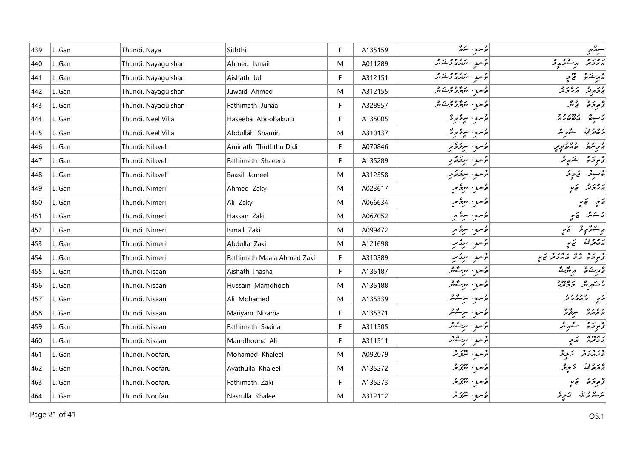| 439 | L. Gan  | Thundi. Naya        | Siththi                    | F  | A135159 | قوسو <sub>:</sub> سَدَّرَ                | سودھ                                                                                                                                                                                                                             |
|-----|---------|---------------------|----------------------------|----|---------|------------------------------------------|----------------------------------------------------------------------------------------------------------------------------------------------------------------------------------------------------------------------------------|
| 440 | L. Gan  | Thundi. Nayagulshan | Ahmed Ismail               | M  | A011289 | وسع المستروح و مرهر                      | ر ه ر د<br>م <i>.ژ</i> ونر<br>برىشۇپەيۋ                                                                                                                                                                                          |
| 441 | L. Gan  | Thundi. Nayagulshan | Aishath Juli               | F  | A312151 | ق <sub>ەسمۇ</sub> ، سە <i>قرى قەش</i> كە | و در در در در<br>مرد سنوم موج                                                                                                                                                                                                    |
| 442 | L. Gan  | Thundi. Nayagulshan | Juwaid Ahmed               | M  | A312155 | وسع مسروح مشرور<br>  وسع مسروح مشروع     | پرور و<br>و ر<br>نح تو د تر                                                                                                                                                                                                      |
| 443 | L. Gan  | Thundi. Nayagulshan | Fathimath Junaa            | F  | A328957 | جسع سرور و من محمد المسلم                | وٌ و دَ و شَ                                                                                                                                                                                                                     |
| 444 | L. Gan  | Thundi. Neel Villa  | Haseeba Aboobakuru         | F. | A135005 | ئ <sub>ە</sub> سىز سرگرىز گ              |                                                                                                                                                                                                                                  |
| 445 | L. Gan  | Thundi. Neel Villa  | Abdullah Shamin            | M  | A310137 | ە ئىس سېرىۋى <i>ر</i> ۇ                  | رەقراللە شەرىر                                                                                                                                                                                                                   |
| 446 | L. Gan  | Thundi. Nilaveli    | Aminath Thuththu Didi      | F  | A070846 | ە ئىب سەر ئەھجەم                         | أثر سكة المحمدة والمحمد المحمد المحمد المحمد المحمد المحمد المحمد المحمدة المحمدة المحمدة المحمدة ال                                                                                                                             |
| 447 | L. Gan  | Thundi. Nilaveli    | Fathimath Shaeera          | F. | A135289 | پھرس مور سر پر تھا<br>  سر سر سر سر سر   | وٌ وَجَعَ شَهْدٍ مُّرَ                                                                                                                                                                                                           |
| 448 | L. Gan  | Thundi. Nilaveli    | Baasil Jameel              | M  | A312558 | ج <sub>و</sub> سو <sub>ب</sub> سربرځو به | ڭ سىرقى ئەرپۇ                                                                                                                                                                                                                    |
| 449 | L. Gan  | Thundi. Nimeri      | Ahmed Zaky                 | M  | A023617 | ج <sub>و</sub> سو سرچ <sub>مر</sub>      |                                                                                                                                                                                                                                  |
| 450 | L. Gan  | Thundi. Nimeri      | Ali Zaky                   | M  | A066634 | ه مور سره بر                             | $\frac{1}{2}$                                                                                                                                                                                                                    |
| 451 | L. Gan  | Thundi. Nimeri      | Hassan Zaki                | M  | A067052 | فوسو البردنمر                            | يرينده تمي                                                                                                                                                                                                                       |
| 452 | L. Gan  | Thundi. Nimeri      | Ismail Zaki                | M  | A099472 | ه مور سره بر                             | بر شۇ پەيدا ئ                                                                                                                                                                                                                    |
| 453 | L. Gan  | Thundi. Nimeri      | Abdulla Zaki               | M  | A121698 | فوسو البردنمبر                           | برة قرالله تج                                                                                                                                                                                                                    |
| 454 | L. Gan  | Thundi. Nimeri      | Fathimath Maala Ahmed Zaki | F  | A310389 | ە ئىبرو بىرىدىنى<br>مۇسرو بىرىدىن        | ژُودَهْ دُرَّ مَدْدَنَّر يَ                                                                                                                                                                                                      |
| 455 | L. Gan  | Thundi. Nisaan      | Aishath Inasha             | F. | A135187 | ج <sub>ا</sub> سو - سرڪيش                | ومرشكم ولترك                                                                                                                                                                                                                     |
| 456 | L. Gan  | Thundi. Nisaan      | Hussain Mamdhooh           | M  | A135188 | ە ئىرو . ئىرىسە ئىر                      | و کرد و دورو<br>بر کرد بر و و توبر                                                                                                                                                                                               |
| 457 | L. Gan  | Thundi. Nisaan      | Ali Mohamed                | M  | A135339 | ق <sub>ە</sub> سىم سىرىسىگىر             | 5,0,0,2,0,0,0,0                                                                                                                                                                                                                  |
| 458 | L. Gan  | Thundi. Nisaan      | Mariyam Nizama             | F  | A135371 | ئ <sub>ە</sub> سىي سەيئەنگە              | נים נים ניידי ביולי היו ביולי היו ליידי היו ביולי היו ליידי היו ליידי ליידי ליידי ביולי ליידי ביולי ליידי ביול<br>היום ליידי ליידי היו ליידי ליידי ליידי ליידי ליידי ליידי ליידי ליידי ליידי ליידי ליידי ליידי ליידי ליידי ליידי |
| 459 | L. Gan  | Thundi. Nisaan      | Fathimath Saaina           | F  | A311505 | ە ئىرو . سرىس <sup>ى</sup> ش             | ژ <sub>بوخ</sub> و شهر ش                                                                                                                                                                                                         |
| 460 | L. Gan  | Thundi. Nisaan      | Mamdhooha Ali              | F  | A311511 | ە ئىرو . ئىرىسە ئىر                      | رەددە پ                                                                                                                                                                                                                          |
| 461 | LL. Gan | Thundi. Noofaru     | Mohamed Khaleel            | M  | A092079 | قرمان من مركز بر<br>  قرمان مستركز بر    | ورەرو زىرو                                                                                                                                                                                                                       |
| 462 | L. Gan  | Thundi. Noofaru     | Ayathulla Khaleel          | M  | A135272 | پر سوال 1978<br>  پر سر سربر سر          | مُرَمَّرةُ اللَّهُ تَرَمُّوِكَّر                                                                                                                                                                                                 |
| 463 | L. Gan  | Thundi. Noofaru     | Fathimath Zaki             | F. | A135273 | قرسد بالتفرير<br>  قرسد بالتفرير         | وٌجوحَمَّ بَمَ ٍ                                                                                                                                                                                                                 |
| 464 | L. Gan  | Thundi. Noofaru     | Nasrulla Khaleel           | M  | A312112 | پر سو <sub>ر م</sub> ور پر               | ىتربىر چراللە     ئەمچەمى                                                                                                                                                                                                        |
|     |         |                     |                            |    |         |                                          |                                                                                                                                                                                                                                  |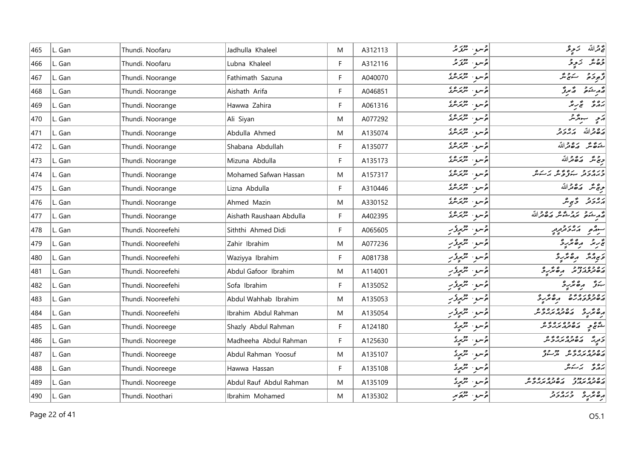| 465 | L. Gan | Thundi. Noofaru    | Jadhulla Khaleel         | M  | A312113 | په سو <sub>يد</sub> مرد م                  | قُومِراللّهِ<br>تزود                                                            |
|-----|--------|--------------------|--------------------------|----|---------|--------------------------------------------|---------------------------------------------------------------------------------|
| 466 | L. Gan | Thundi. Noofaru    | Lubna Khaleel            | F. | A312116 | ه مرد در در د                              | ترەشر<br>تزموقر                                                                 |
| 467 | L. Gan | Thundi. Noorange   | Fathimath Sazuna         | F. | A040070 | محسوم معرضة<br>  محسوم مستعد معرضة         | سە يە ئە<br>و څو څه د                                                           |
| 468 | L. Gan | Thundi. Noorange   | Aishath Arifa            | F. | A046851 | مسموسية من المسموعة<br>  موسموسية مسموسية  | ەر بورتى<br>د مر شه د<br>مرگه                                                   |
| 469 | L. Gan | Thundi. Noorange   | Hawwa Zahira             | F  | A061316 | <br>  <sub>موسوع</sub> شهرسمه              | برەپچ<br>ىتى سەتتىر                                                             |
| 470 | L. Gan | Thundi. Noorange   | Ali Siyan                | M  | A077292 | و در دوره د                                | أرمو سورشر                                                                      |
| 471 | L. Gan | Thundi. Noorange   | Abdulla Ahmed            | M  | A135074 | اقرسع · مرد مرد ه م                        | برە تراللە<br>برورد                                                             |
| 472 | L. Gan | Thundi. Noorange   | Shabana Abdullah         | F  | A135077 | و مده به دره دارد و با                     | شَوَّةَ شَرَّ مَرْهُ قَرْاللَّه                                                 |
| 473 | L. Gan | Thundi. Noorange   | Mizuna Abdulla           | F. | A135173 | و سره در ۵<br>موسو ۱۰ سرپرسری              | حريم شر صرفه الله                                                               |
| 474 | L. Gan | Thundi. Noorange   | Mohamed Safwan Hassan    | M  | A157317 | و در دوره ده<br>موسع ۱۰ مرمرسری            | ورەرو بەھ بەيدە<br><i>چەم</i> جىر جۇۋىر بەشك                                    |
| 475 | L. Gan | Thundi. Noorange   | Lizna Abdulla            | F. | A310446 | ج <sub>امع</sub> معرضه معرضه من            | حويم مدة مقاديقة                                                                |
| 476 | L. Gan | Thundi. Noorange   | Ahmed Mazin              | M  | A330152 | اقرسو برده وي.<br>مستويات                  | أرەر ئەتمى ئى                                                                   |
| 477 | L. Gan | Thundi. Noorange   | Aishath Raushaan Abdulla | F  | A402395 | رسوم مردم]<br>  موسوم مرسد                 | مُ مشور برو مِ مِنْ مَنْ قَرَاللَّهُ                                            |
| 478 | L. Gan | Thundi. Nooreefehi | Siththi Ahmed Didi       | F  | A065605 | ە ئىب ئىبروكر<br>مۇسىر ئىسمىرى <i>گ</i> ر  | سوهر مرور و توبير<br>سرهر مرکز و توبير                                          |
| 479 | L. Gan | Thundi. Nooreefehi | Zahir Ibrahim            | M  | A077236 | ە ئىسىن مەسمىرۇپ                           | تجربته وكالتزبر                                                                 |
| 480 | L. Gan | Thundi. Nooreefehi | Waziyya Ibrahim          | F. | A081738 | ە بىرو . ئىزىرۇر                           | פֿאַמ" מַפּּזּ' בְ                                                              |
| 481 | L. Gan | Thundi. Nooreefehi | Abdul Gafoor Ibrahim     | M  | A114001 | ە ئىسمى <sup>.</sup> ئىتىمبەر كەب          | קס בסקבב - הסיקקיב                                                              |
| 482 | L. Gan | Thundi. Nooreefehi | Sofa Ibrahim             | F. | A135052 | جمسع مستعير بحرير                          | $\begin{array}{cc} \circ & \circ \\ \circ & \circ \\ \circ & \circ \end{array}$ |
| 483 | L. Gan | Thundi. Nooreefehi | Abdul Wahhab Ibrahim     | M  | A135053 | و<br>موسو <sub>ن</sub> متبرؤ به            | برە ئۆرۈ<br>ر ٥ ر ٥ ر ٥ ر ٥<br>٨. @ تر تر <i>و ٨. ر @</i>                       |
| 484 | L. Gan | Thundi. Nooreefehi | Ibrahim Abdul Rahman     | M  | A135054 | چرىبە ئەر<br>سىرتەر<br> قوسعى              | ر ه د ه د ه د ه<br>پره تر بربر تر تر                                            |
| 485 | L. Gan | Thundi. Nooreege   | Shazly Abdul Rahman      | F  | A124180 | دو<br>مترسمه پر<br> مۇسو                   | ر ه و ه ر ه د ه<br>پره تربر <del>ت</del> ر بر<br>ره ج<br>مشوسح م <sub>ح</sub>   |
| 486 | L. Gan | Thundi. Nooreege   | Madheeha Abdul Rahman    | F  | A125630 | ە ئىبرىس ئەزىرى<br>مۇسرىيە ئىش <i>رىرى</i> | ر ه د ه د ه د ه<br>پره تر پر تر سر<br>تر درگ <sup>3</sup>                       |
| 487 | L. Gan | Thundi. Nooreege   | Abdul Rahman Yoosuf      | M  | A135107 | دد<br>مترسمه پر<br>ء<br>موسو ·             | ره وه ره د ه<br>پره تر بربر تر س                                                |
| 488 | L. Gan | Thundi. Nooreege   | Hawwa Hassan             | F  | A135108 | دو<br>مترسمه بر<br>ء<br>موسو ·             | ر ە بە<br>بەر بۇ                                                                |
| 489 | L. Gan | Thundi. Nooreege   | Abdul Rauf Abdul Rahman  | M  | A135109 | دو<br>مترسوري<br> قوسع ً                   | ر ه د ه د ه د ه<br>پره تربر تر س<br>ر ه و ه ر دد د<br>پره تر پر بر تر           |
| 490 | L. Gan | Thundi. Noothari   | Ibrahim Mohamed          | M  | A135302 | هم سو به منهجو سر<br>  سر سر منهجو سر      | مەئەر دىمەدد                                                                    |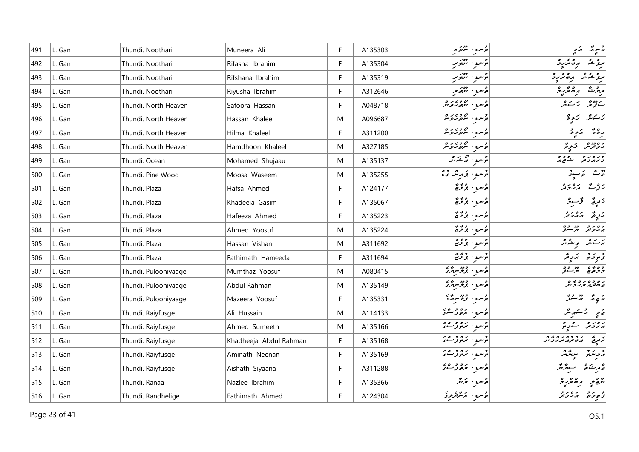| 491 | L. Gan | Thundi. Noothari     | Muneera Ali            | F  | A135303 | هم سروية مستقدم بير<br>  هم سروية مستقدم بير                           | ۇسرىگە<br>م<br>رځ په                        |
|-----|--------|----------------------|------------------------|----|---------|------------------------------------------------------------------------|---------------------------------------------|
| 492 | L. Gan | Thundi. Noothari     | Rifasha Ibrahim        | F. | A135304 | مۇسىق ئىتقوسمە                                                         | بروٌّثٌہ<br>برە ئۆرۈ                        |
| 493 | L. Gan | Thundi. Noothari     | Rifshana Ibrahim       | F  | A135319 | محسن معرضه<br>  محسن مستونير                                           | برزشگر رەئزېر                               |
| 494 | L. Gan | Thundi. Noothari     | Riyusha Ibrahim        | F. | A312646 | مۇسى <sub>ر:</sub> مەيم بىر                                            | مەھمەر<br>ىرىژىنە                           |
| 495 | L. Gan | Thundi. North Heaven | Safoora Hassan         | F  | A048718 | ام<br> موسع معروفين                                                    | بەدە ئەسەھ                                  |
| 496 | L. Gan | Thundi. North Heaven | Hassan Khaleel         | M  | A096687 | ا د سو مرده ده کارونک                                                  | زىتەش زىربى                                 |
| 497 | L. Gan | Thundi. North Heaven | Hilma Khaleel          | F  | A311200 | ا د سو، سهوره ش                                                        | روو - ئەممەر                                |
| 498 | L. Gan | Thundi. North Heaven | Hamdhoon Khaleel       | M  | A327185 | و سو <i>به ۱۶۶۵ و.</i><br>موسو <i>به سره رو</i> س                      | پرورو میں ترجی                              |
| 499 | L. Gan | Thundi. Ocean        | Mohamed Shujaau        | M  | A135137 | ئۇسىغ ، ئۇيغەنلە                                                       | ور ه ر و پر و پر و<br>تر پر پر پر د شوقے پر |
| 500 | L. Gan | Thundi. Pine Wood    | Moosa Waseem           | M  | A135255 | ج <sub>و</sub> سع <sub>ا</sub> برَم <sup>0</sup> شرح و                 | ژئے کو سور                                  |
| 501 | L. Gan | Thundi. Plaza        | Hafsa Ahmed            | F. | A124177 | ئۇسو، بۇ ئۇ ئى                                                         | ر دیگر بره رو                               |
| 502 | L. Gan | Thundi. Plaza        | Khadeeja Gasim         | F  | A135067 | مُسوء رُمُّتُمْ                                                        | زَمرِيحٌ گُرِّ۔ وُ                          |
| 503 | L. Gan | Thundi. Plaza        | Hafeeza Ahmed          | F. | A135223 | مۇسور بۇ ئۇنج                                                          | برَوٍ پُور در د                             |
| 504 | L. Gan | Thundi. Plaza        | Ahmed Yoosuf           | M  | A135224 | مۇسىر بۇ ئۇنج                                                          | קסקיק ודיקס<br>הקבת תי-ית                   |
| 505 | L. Gan | Thundi. Plaza        | Hassan Vishan          | M  | A311692 | مۇسور بۇ ئۇنج                                                          | بركاش ويحمش                                 |
| 506 | L. Gan | Thundi. Plaza        | Fathimath Hameeda      | F  | A311694 | مۇسور بۇ ئۇنج                                                          | أوالمحافظ أأتمي فكر                         |
| 507 | L. Gan | Thundi. Pulooniyaage | Mumthaz Yoosuf         | M  | A080415 | ئوسو ، بۇقۇسىدۇ                                                        | כס זה כב כם<br>ככת זה ית                    |
| 508 | L. Gan | Thundi. Pulooniyaage | Abdul Rahman           | M  | A135149 | ئوسو بالوقر تورم تركا                                                  | ره وه ره ده و<br>پره تربر تر س              |
| 509 | L. Gan | Thundi. Pulooniyaage | Mazeera Yoosuf         | F. | A135331 | ئوسو : 33 سرچری                                                        | د <sub>سم</sub> پر مرد وه<br> دسمبر         |
| 510 | L. Gan | Thundi. Raiyfusge    | Ali Hussain            | M  | A114133 | <br>  مۇسىي ئىمگە ئۇسىي                                                | ە ئەسەر ئىسكە                               |
| 511 | L. Gan | Thundi. Raiyfusge    | Ahmed Sumeeth          | M  | A135166 | توسع من مرة و عام 2<br>  توسع مستعمر العام                             | ړه رو د ده                                  |
| 512 | L. Gan | Thundi. Raiyfusge    | Khadheeja Abdul Rahman | F  | A135168 | چ <sub>سمع م</sub> حروم موج                                            | زره ده ده ده ده ده د                        |
| 513 | L. Gan | Thundi. Raiyfusge    | Aminath Neenan         | F  | A135169 | چ <sub>سمع م</sub> حرور و ۽<br>  ج <sub>و</sub> سمع محر <i>و و م</i> ح | أأدوسكم وسيرتبش                             |
| 514 | L. Gan | Thundi. Raiyfusge    | Aishath Siyaana        | F  | A311288 | <br>  <sub>موسوع</sub> برە دەپ                                         | قەرشىق سوندىتى<br>مەر                       |
| 515 | L. Gan | Thundi. Ranaa        | Nazlee Ibrahim         | F  | A135366 | قوسو بحثر                                                              | ە ھەترىر ۋ<br>مثر بخم محيه                  |
| 516 | L. Gan | Thundi. Randhelige   | Fathimath Ahmed        | F. | A124304 | ئوسو بە ئەشرىكرىزى                                                     | و ده ده ده د                                |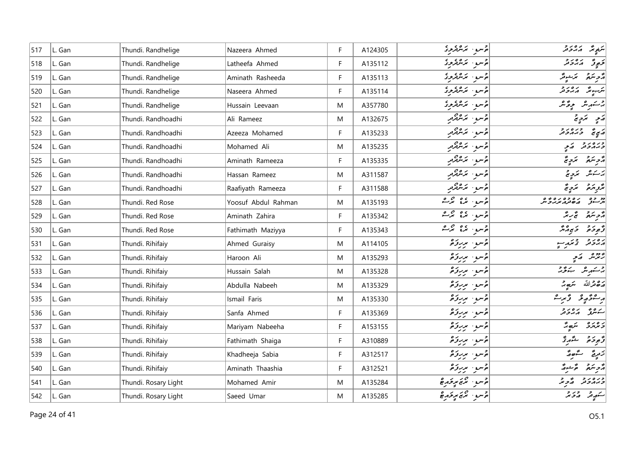| 517 | L. Gan | Thundi. Randhelige   | Nazeera Ahmed       | F  | A124305 | ۇسومىتىرىدى                                     | أسكفج مدمر أمدد ور                                                                                                                                                                   |
|-----|--------|----------------------|---------------------|----|---------|-------------------------------------------------|--------------------------------------------------------------------------------------------------------------------------------------------------------------------------------------|
| 518 | L. Gan | Thundi. Randhelige   | Latheefa Ahmed      | F. | A135112 | وسوم برعوري                                     | خبوٍرَ " در د                                                                                                                                                                        |
| 519 | L. Gan | Thundi. Randhelige   | Aminath Rasheeda    | F  | A135113 | ج <sub>ا</sub> سو · تر مرور د                   | أزويتم تمشيقه                                                                                                                                                                        |
| 520 | L. Gan | Thundi. Randhelige   | Naseera Ahmed       | F  | A135114 | توسع سيتقرمونه                                  | ترجيع أرەر و                                                                                                                                                                         |
| 521 | L. Gan | Thundi. Randhelige   | Hussain Leevaan     | M  | A357780 | مسمع سكر مركز وي<br>  موسع سكر مركز وي          | يزخير شه پېڅنگ                                                                                                                                                                       |
| 522 | L. Gan | Thundi. Randhoadhi   | Ali Rameez          | M  | A132675 | ج <sub>ە</sub> سمە سىمەمدىر                     | $\begin{array}{cc} \overline{c} & \overline{c} & \overline{c} & \overline{c} & \overline{c} \\ \overline{c} & \overline{c} & \overline{c} & \overline{c} & \overline{c} \end{array}$ |
| 523 | L. Gan | Thundi. Randhoadhi   | Azeeza Mohamed      | F  | A135233 | ق <sub>ە</sub> سمە · ئەش <i>ەرى</i> ر           | ړې دره د                                                                                                                                                                             |
| 524 | L. Gan | Thundi. Randhoadhi   | Mohamed Ali         | M  | A135235 | و<br>مۇسو · ئىش <sup>و</sup> رىيە               | ورەرو كەي                                                                                                                                                                            |
| 525 | L. Gan | Thundi. Randhoadhi   | Aminath Rameeza     | F  | A135335 | ئەسى <sub>ر:</sub> ئەنگەرىر                     | أأدجن أأداد                                                                                                                                                                          |
| 526 | L. Gan | Thundi. Randhoadhi   | Hassan Rameez       | M  | A311587 | ج <sub>ا</sub> سو · برکبر مرمر                  | برسك مركزة                                                                                                                                                                           |
| 527 | L. Gan | Thundi. Randhoadhi   | Raafiyath Rameeza   | F. | A311588 | ج <sub>اسع</sub> ، برگرمبر                      | بَرُوجرَهُ بَرَدِيَّ                                                                                                                                                                 |
| 528 | L. Gan | Thundi. Red Rose     | Yoosuf Abdul Rahman | M  | A135193 | ج <sub>و</sub> سو مرد مرضی                      | ره وه ره ده.<br>په <i>ه د</i> ر <sub>م</sub> ر د س<br>دد و ه<br>تر سور                                                                                                               |
| 529 | L. Gan | Thundi. Red Rose     | Aminath Zahira      | F  | A135342 | میں میں میں میں<br>  موسو میں میرے              | ومحر يتمو للمحار بمر                                                                                                                                                                 |
| 530 | L. Gan | Thundi. Red Rose     | Fathimath Maziyya   | F  | A135343 | ج <sub>و</sub> سو مرہ مرہ مرہ<br>  جو سو مرہ مر | ژوده د پر                                                                                                                                                                            |
| 531 | L. Gan | Thundi. Rihifaiy     | Ahmed Guraisy       | M  | A114105 | په سويه سربرو ه<br>                             | ره روی تحمیر سو                                                                                                                                                                      |
| 532 | L. Gan | Thundi. Rihifaiy     | Haroon Ali          | M  | A135293 | په سويه سربرو ه<br>                             | أرجعهم أتكمح                                                                                                                                                                         |
| 533 | L. Gan | Thundi. Rihifaiy     | Hussain Salah       | M  | A135328 | ئۇسىز، ئىرىرۇغ                                  | برسكهر شرائد والمحركة                                                                                                                                                                |
| 534 | L. Gan | Thundi. Rihifaiy     | Abdulla Nabeeh      | M  | A135329 | مۇسىي ئىرىرىمۇ                                  | أرة قرالله سكوية                                                                                                                                                                     |
| 535 | L. Gan | Thundi. Rihifaiy     | Ismail Faris        | M  | A135330 | په سويه سربرو ه<br>                             | ر شۇر ئۇير ش                                                                                                                                                                         |
| 536 | L. Gan | Thundi. Rihifaiy     | Sanfa Ahmed         | F  | A135369 | ە ئىس سىرىرى<br>مەسىر سىرىرى                    | سەس ئەرەبە                                                                                                                                                                           |
| 537 | L. Gan | Thundi. Rihifaiy     | Mariyam Nabeeha     | F  | A153155 | هم سوم سربروه<br>  هم سوم سربروه                | دەرە سَھِيَّ                                                                                                                                                                         |
| 538 | L. Gan | Thundi. Rihifaiy     | Fathimath Shaiga    | F  | A310889 | ج <sub>و</sub> سرو ·   سربرو ه<br>              | ۇي <sub>م</sub> وڭ شېر                                                                                                                                                               |
| 539 | L. Gan | Thundi. Rihifaiy     | Khadheeja Sabia     | F  | A312517 | هم سوء البرسرى<br>  هم سوء البرسرى              | شوه.<br>مش<br>ئرَىرِيَّ<br>پ                                                                                                                                                         |
| 540 | L. Gan | Thundi. Rihifaiy     | Aminath Thaashia    | F  | A312521 | هم سوء سمبر تر ه<br>  هم سوء سم سر تر هم        | وحريده وأحميته                                                                                                                                                                       |
| 541 | L. Gan | Thundi. Rosary Light | Mohamed Amir        | M  | A135284 | <br>  مۇسويە مىرىج مېرىخەرىقا                   |                                                                                                                                                                                      |
| 542 | L. Gan | Thundi. Rosary Light | Saeed Umar          | M  | A135285 | ج <sub>ا</sub> سو به مریح <i>پر خ</i> ره هخ     | سەرپەر ھەتەتر                                                                                                                                                                        |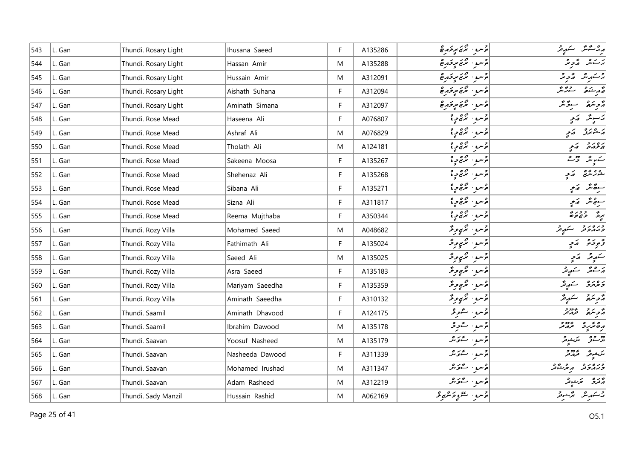| 543 | L. Gan | Thundi. Rosary Light | Ihusana Saeed   | F  | A135286 | ج <sub>ەسمى</sub> برىئى <i>بېرىخەر</i> ىھ              | ەربەسە ئىر سىمەتر                                            |
|-----|--------|----------------------|-----------------|----|---------|--------------------------------------------------------|--------------------------------------------------------------|
| 544 | L. Gan | Thundi. Rosary Light | Hassan Amir     | M  | A135288 | ا مى سوء سى سر محرم ھ                                  | ير سكاندار مركز مركز                                         |
| 545 | L. Gan | Thundi. Rosary Light | Hussain Amir    | M  | A312091 | <br>  مۇسو ، كېرى بېرىخ <sub>ل</sub> ىر ق              | يز سكر مثر الأثر جر                                          |
| 546 | L. Gan | Thundi. Rosary Light | Aishath Suhana  | F  | A312094 | ا موسع مستمر من مر محرم هم هم                          | أقرم شوق المستركس                                            |
| 547 | L. Gan | Thundi. Rosary Light | Aminath Simana  | F  | A312097 | په سو موځو موځو موضح                                   | أروسكو المسوفاتر                                             |
| 548 | L. Gan | Thundi. Rose Mead    | Haseena Ali     | F  | A076807 | ا موسو موسیق دیده که است.<br>موسو                      | يزجيش الأمج                                                  |
| 549 | L. Gan | Thundi. Rose Mead    | Ashraf Ali      | M  | A076829 | و سو بر موج د و                                        | پرهه پر په کړې                                               |
| 550 | L. Gan | Thundi. Rose Mead    | Tholath Ali     | M  | A124181 | ه مرو .<br>موسو . مرج حر و ؟                           | أبرور والمتحي                                                |
| 551 | L. Gan | Thundi. Rose Mead    | Sakeena Moosa   | F  | A135267 | جسع محمد جمع ج                                         | سەر شەھ تەسىگە                                               |
| 552 | L. Gan | Thundi. Rose Mead    | Shehenaz Ali    | F  | A135268 | و سو مړي <sub>ن</sub> د و                              | أشركت مكو                                                    |
| 553 | L. Gan | Thundi. Rose Mead    | Sibana Ali      | F  | A135271 | جرسو به مرچ ج ؟                                        | سىۋىتر كەم                                                   |
| 554 | L. Gan | Thundi. Rose Mead    | Sizna Ali       | F  | A311817 | و سو موجود و                                           | سىق ئەر                                                      |
| 555 | L. Gan | Thundi. Rose Mead    | Reema Mujthaba  | F. | A350344 | ا د سر د موړه و                                        | برڈ وی دہ<br>پرڈ وی                                          |
| 556 | L. Gan | Thundi. Rozy Villa   | Mohamed Saeed   | M  | A048682 | <br>  مۇسور ئىمپرىرىگە                                 | ورەرو سەرو                                                   |
| 557 | L. Gan | Thundi. Rozy Villa   | Fathimath Ali   | F  | A135024 | مۇسى <sub>دى</sub> ئۇ يې <sub>م</sub> ورىگە            | وٌجودَ حَدِ                                                  |
| 558 | L. Gan | Thundi. Rozy Villa   | Saeed Ali       | M  | A135025 | ە ئىسو، ئۇي <sub>م</sub> ورگە                          | سكهاش الكامي                                                 |
| 559 | L. Gan | Thundi. Rozy Villa   | Asra Saeed      | F. | A135183 | پېښو لري <i>و</i> ځ                                    | برعيش سكهينر                                                 |
| 560 | L. Gan | Thundi. Rozy Villa   | Mariyam Saeedha | F  | A135359 | <br>  مۇسور ئىي موقە                                   | رەرە سەرتە                                                   |
| 561 | L. Gan | Thundi. Rozy Villa   | Aminath Saeedha | F  | A310132 | مۇسىر · ئىرىم <i>م</i> وقە                             | أرمح يتركز المسكوبة                                          |
| 562 | L. Gan | Thundi. Saamil       | Aminath Dhavood | F  | A124175 | پ <sub>ې</sub> سو به گېږدو                             | أرمز<br>پر دو و<br>تئرپر تئر                                 |
| 563 | L. Gan | Thundi. Saamil       | Ibrahim Dawood  | M  | A135178 | په سو <sub>ن</sub> ه سگ <sub>ا</sub> چه کل             | ەھ ئۈر ۋ<br>پر دو و.<br>تورهر تور                            |
| 564 | L. Gan | Thundi. Saavan       | Yoosuf Nasheed  | M  | A135179 | ئ <sub>ەسمى</sub> شۇرق                                 | دد وه سرشوند<br>الرسسوفي سرشوند                              |
| 565 | L. Gan | Thundi. Saavan       | Nasheeda Dawood | F  | A311339 | ئۇسىق سەھەتىر                                          | سُرَڪونَرُ ت <i>ُرُور و</i><br>سُرڪونَرُ ت <i>ُرُور ت</i> ُر |
| 566 | L. Gan | Thundi. Saavan       | Mohamed Irushad | M  | A311347 | ئ <sub>ەسمى</sub> شەرھ                                 | כממכני תולייבל                                               |
| 567 | L. Gan | Thundi. Saavan       | Adam Rasheed    | M  | A312219 | ئۇسو، سەھەتىر                                          | ەرە ئەجەم                                                    |
| 568 | L. Gan | Thundi. Sady Manzil  | Hussain Rashid  | M  | A062169 | ق <sub>ەسمى</sub> سىم <sub>ۇ</sub> خەش <sub>ىر</sub> ق | برسكرماش المرتشونر                                           |
|     |        |                      |                 |    |         |                                                        |                                                              |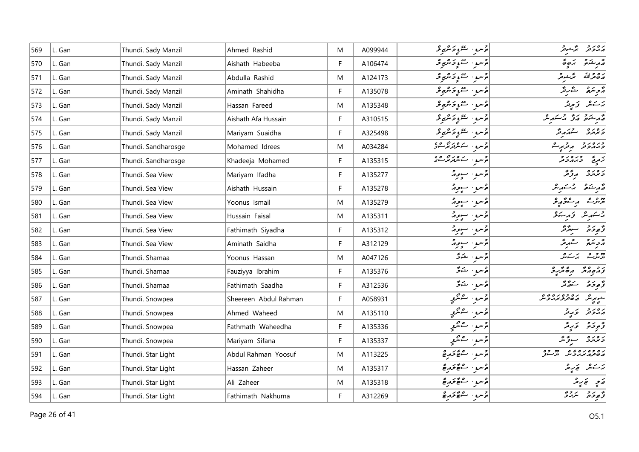| 569 | L. Gan | Thundi. Sady Manzil | Ahmed Rashid          | M           | A099944 | <sub>قوسو:</sub> س <sub>ُو</sub> پوسچو                     | رەر دېمبر<br>مەرومە گەشەھە                                                                                                                                                                |
|-----|--------|---------------------|-----------------------|-------------|---------|------------------------------------------------------------|-------------------------------------------------------------------------------------------------------------------------------------------------------------------------------------------|
| 570 | L. Gan | Thundi. Sady Manzil | Aishath Habeeba       | F           | A106474 | <sub>قوسو:</sub> س <sub>ۇ</sub> رىش <sub>ى</sub> ر         | $\overset{\circ}{\circ} \overset{\circ}{\circ} \overset{\circ}{\circ} \overset{\circ}{\circ} \overset{\circ}{\circ} \overset{\circ}{\circ} \overset{\circ}{\circ} \overset{\circ}{\circ}$ |
| 571 | L. Gan | Thundi. Sady Manzil | Abdulla Rashid        | M           | A124173 | <sub>قوسو:</sub> س <sub></sub> ور ش <sub>كو</sub> ر        | برە تراللە<br>مگرشہ قر                                                                                                                                                                    |
| 572 | L. Gan | Thundi. Sady Manzil | Aminath Shahidha      | F           | A135078 | ۇس <sub>ىر</sub> . ش <sub>ۇ</sub> ر ئىر ئو                 | ستتمرقر<br>أرمز برد                                                                                                                                                                       |
| 573 | L. Gan | Thundi. Sady Manzil | Hassan Fareed         | M           | A135348 | <sub>قوسو:</sub> س <sub>َوْدٍ حَسْب<sub>ُ</sub> عَهِ</sub> | پرسته تر پر پر                                                                                                                                                                            |
| 574 | L. Gan | Thundi. Sady Manzil | Aishath Afa Hussain   | F           | A310515 | ۇس <sub>ىر</sub> . ش <sub>ۇ</sub> ر ئىر ئ                  | ەرشى رۇ ئاسىر                                                                                                                                                                             |
| 575 | L. Gan | Thundi. Sady Manzil | Mariyam Suaidha       | F           | A325498 | ۇس <sub>ىر</sub> . ش <sub>ۇ</sub> ر ئىر ئو                 | במחבר בגב"                                                                                                                                                                                |
| 576 | L. Gan | Thundi. Sandharosge | Mohamed Idrees        | M           | A034284 | و سو، سەمبرىرى دى<br>مۇسو، سەمبرىرىدىن                     | ورەرو پروپرے                                                                                                                                                                              |
| 577 | L. Gan | Thundi. Sandharosge | Khadeeja Mohamed      | F           | A135315 | و سو ، سوسرو ره و و و<br>  و سو ، سوسربرسرو                | كتريع وبره رو                                                                                                                                                                             |
| 578 | L. Gan | Thundi. Sea View    | Mariyam Ifadha        | $\mathsf F$ | A135277 | مۇسىغ سوم <sup>3</sup>                                     | رەرە بەق                                                                                                                                                                                  |
| 579 | L. Gan | Thundi. Sea View    | Aishath Hussain       | F           | A135278 | پرسو سوړ                                                   | مەر شىم بىر سىر بىر                                                                                                                                                                       |
| 580 | L. Gan | Thundi. Sea View    | Yoonus Ismail         | M           | A135279 | اقرس سورة<br>مسيس المسورة                                  | دو و ه د ده و د و                                                                                                                                                                         |
| 581 | L. Gan | Thundi. Sea View    | Hussain Faisal        | M           | A135311 | ۾ سعي سوه ج                                                | يزخيرش أورجنى                                                                                                                                                                             |
| 582 | L. Gan | Thundi. Sea View    | Fathimath Siyadha     | F           | A135312 | ۾ سو.<br>ص                                                 | ژوځو سرگړ                                                                                                                                                                                 |
| 583 | L. Gan | Thundi. Sea View    | Aminath Saidha        | F           | A312129 | اقرس سور<br>مسر سور                                        | أترجر سترقه                                                                                                                                                                               |
| 584 | L. Gan | Thundi. Shamaa      | Yoonus Hassan         | M           | A047126 | قوسو الحكومة                                               | در دیگر<br>برسەمىر                                                                                                                                                                        |
| 585 | L. Gan | Thundi. Shamaa      | Fauziyya Ibrahim      | F           | A135376 | ئۇسى <sub>ر:</sub> شكۇ                                     | נג <sub>ו</sub> המי הסתיב                                                                                                                                                                 |
| 586 | L. Gan | Thundi. Shamaa      | Fathimath Saadha      | F           | A312536 | قرسو الحكومة                                               | ژُودَهْ سَهْتُر                                                                                                                                                                           |
| 587 | L. Gan | Thundi. Snowpea     | Sheereen Abdul Rahman | F           | A058931 | اقرسو به مقرر <u>بر</u>                                    | ره وه ره د ه<br>پره تر <del>ت</del> ر برتر س<br>  ڪومبريشر<br>  ڪسي                                                                                                                       |
| 588 | L. Gan | Thundi. Snowpea     | Ahmed Waheed          | M           | A135110 | ا چ <sub>مىر</sub> ، ش <sup>ە</sup> تتى <sub>رى</sub>      | پره د و کرد                                                                                                                                                                               |
| 589 | L. Gan | Thundi. Snowpea     | Fathmath Waheedha     | F           | A135336 | ا چ <sub>وسو</sub> . ڪش <sub>ور</sub>                      | وٌجوحَمٌ وَرِبَّرٌ                                                                                                                                                                        |
| 590 | L. Gan | Thundi. Snowpea     | Mariyam Sifana        | F           | A135337 | اقرسو به مش <u>رو</u>                                      | دەرە سۆتىگە                                                                                                                                                                               |
| 591 | L. Gan | Thundi. Star Light  | Abdul Rahman Yoosuf   | M           | A113225 | $rac{1}{2}$                                                | גם כם גם גם הכרכם<br>גם <i>בנ</i> ג <i>גיג ב</i> ייק                                                                                                                                      |
| 592 | L. Gan | Thundi. Star Light  | Hassan Zaheer         | M           | A135317 | م سع الش <i>وقة و</i> ه                                    | يُاسَدُ عَلَمٍ يَرْسُ                                                                                                                                                                     |
| 593 | L. Gan | Thundi. Star Light  | Ali Zaheer            | M           | A135318 | ج <sub>وسعة</sub> مقوّضة ع                                 | أەسمجە سىم يەشر                                                                                                                                                                           |
| 594 | L. Gan | Thundi. Star Light  | Fathimath Nakhuma     | F           | A312269 | ج <sub>وسع:</sub> سُوْعَ <i>جَرو</i> ع                     |                                                                                                                                                                                           |
|     |        |                     |                       |             |         |                                                            |                                                                                                                                                                                           |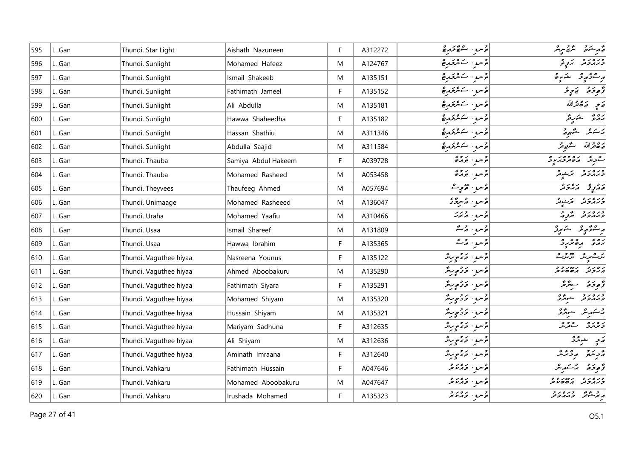| 595 | L. Gan | Thundi. Star Light     | Aishath Nazuneen    | F  | A312272 | $\overset{\circ}{\mathcal{E}}_{\mathcal{A}}\overset{\circ}{\mathcal{E}}_{\mathcal{B}}\overset{\circ}{\mathcal{E}}_{\mathcal{C}}\overset{\circ}{\mathcal{E}}_{\mathcal{C}}\overset{\circ}{\mathcal{E}}_{\mathcal{C}}$                                                                                                                                                                                     | قەرشكى ئىستى ئېرىش                           |
|-----|--------|------------------------|---------------------|----|---------|----------------------------------------------------------------------------------------------------------------------------------------------------------------------------------------------------------------------------------------------------------------------------------------------------------------------------------------------------------------------------------------------------------|----------------------------------------------|
| 596 | L. Gan | Thundi. Sunlight       | Mohamed Hafeez      | M  | A124767 | ج <sub>اسع</sub> سے <i>مرکز</i> ریح                                                                                                                                                                                                                                                                                                                                                                      | ورەر ئىرى                                    |
| 597 | L. Gan | Thundi. Sunlight       | Ismail Shakeeb      | M  | A135151 | ج <sub>اسع سك</sub> ر بركز <sub>مر</sub> بع                                                                                                                                                                                                                                                                                                                                                              | ر شۇرگە ھۇر ق                                |
| 598 | L. Gan | Thundi. Sunlight       | Fathimath Jameel    | F  | A135152 | ج <sub>اسع سك</sub> ر بركور ه                                                                                                                                                                                                                                                                                                                                                                            | تزودة فيجافي                                 |
| 599 | L. Gan | Thundi. Sunlight       | Ali Abdulla         | M  | A135181 | ۇسو، سەھرىرە                                                                                                                                                                                                                                                                                                                                                                                             | أته متعقدالله                                |
| 600 | L. Gan | Thundi. Sunlight       | Hawwa Shaheedha     | F  | A135182 | ج <sub>امعة مسك</sub> ر مركز مربع                                                                                                                                                                                                                                                                                                                                                                        | رەپچە ھەرىگە<br>مەمگە ھەرىگە                 |
| 601 | L. Gan | Thundi. Sunlight       | Hassan Shathiu      | M  | A311346 | <sub>قوسوي</sub> سەھرىرى                                                                                                                                                                                                                                                                                                                                                                                 | يركبش تتقبوها                                |
| 602 | L. Gan | Thundi. Sunlight       | Abdulla Saajid      | M  | A311584 | ە سو، سەم <i>رىۋ</i> رى                                                                                                                                                                                                                                                                                                                                                                                  | رەقمەللە گەم قر                              |
| 603 | L. Gan | Thundi. Thauba         | Samiya Abdul Hakeem | F. | A039728 | $\begin{vmatrix} \frac{2}{3} & \frac{2}{3} & \frac{2}{3} & \frac{2}{3} & \frac{2}{3} & \frac{2}{3} & \frac{2}{3} & \frac{2}{3} & \frac{2}{3} & \frac{2}{3} & \frac{2}{3} & \frac{2}{3} & \frac{2}{3} & \frac{2}{3} & \frac{2}{3} & \frac{2}{3} & \frac{2}{3} & \frac{2}{3} & \frac{2}{3} & \frac{2}{3} & \frac{2}{3} & \frac{2}{3} & \frac{2}{3} & \frac{2}{3} & \frac{2}{3} & \frac{2}{3} & \frac{2}{3$ | شوره مەمدىرى                                 |
| 604 | L. Gan | Thundi. Thauba         | Mohamed Rasheed     | M  | A053458 | $\left  \begin{array}{c} \mathcal{E}_{\mathcal{S}} \mathcal{E}_{\mathcal{S}} \end{array} \right $                                                                                                                                                                                                                                                                                                        | وره د د مر مر مورد<br>  و بر بر د مر مر مورد |
| 605 | L. Gan | Thundi. Theyvees       | Thaufeeg Ahmed      | M  | A057694 | ج <sub>وسع م</sub> سحوم مصر<br>  جوسع مسلم                                                                                                                                                                                                                                                                                                                                                               | د و ه د د د د<br>  پوهري د مدحامد            |
| 606 | L. Gan | Thundi. Unimaage       | Mohamed Rasheeed    | M  | A136047 | په سوي مرسوري<br>  په سوي مرسوري                                                                                                                                                                                                                                                                                                                                                                         | ورەرو بەيدۇ.                                 |
| 607 | L. Gan | Thundi. Uraha          | Mohamed Yaafiu      | M  | A310466 | قوسع مرتمنه                                                                                                                                                                                                                                                                                                                                                                                              | כנים ניבי ב                                  |
| 608 | L. Gan | Thundi. Usaa           | Ismail Shareef      | M  | A131809 | قوسع مرمثة                                                                                                                                                                                                                                                                                                                                                                                               | بر شۇن ھۇسۇ                                  |
| 609 | L. Gan | Thundi. Usaa           | Hawwa Ibrahim       | F  | A135365 | قوسور مړمئے                                                                                                                                                                                                                                                                                                                                                                                              |                                              |
| 610 | L. Gan | Thundi. Vaguthee hiyaa | Nasreena Younus     | F. | A135122 | جوسع مستحقحة سر مر                                                                                                                                                                                                                                                                                                                                                                                       | ת פת <sub>ו</sub> ת ודית                     |
| 611 | L. Gan | Thundi. Vaguthee hiyaa | Ahmed Aboobakuru    | M  | A135290 | مۇسىق ئۇچ يەرتىر                                                                                                                                                                                                                                                                                                                                                                                         | ג סגב גמגבב<br>גגבע גם <i>ס</i> עצ           |
| 612 | L. Gan | Thundi. Vaguthee hiyaa | Fathimath Siyara    | F. | A135291 | ئۇسىغ - قۇقى <i>م يەن</i> گە                                                                                                                                                                                                                                                                                                                                                                             | ژوده سرگه                                    |
| 613 | L. Gan | Thundi. Vaguthee hiyaa | Mohamed Shiyam      | M  | A135320 | ئۇسىغ <sup>، م</sup> ەرىپەرتىر                                                                                                                                                                                                                                                                                                                                                                           | شەدگرى<br>و ر ه ر د<br>تر بر تر تر           |
| 614 | L. Gan | Thundi. Vaguthee hiyaa | Hussain Shiyam      | M  | A135321 | ج <sub>و</sub> سو موجود پر                                                                                                                                                                                                                                                                                                                                                                               | جرسكور عوادمى                                |
| 615 | L. Gan | Thundi. Vaguthee hiyaa | Mariyam Sadhuna     | F  | A312635 | چې سو ۱۰ خو چوپرېتر<br>                                                                                                                                                                                                                                                                                                                                                                                  | سەدىرىتىر<br>ر ه ر ه<br><del>د</del> بربرگر  |
| 616 | L. Gan | Thundi. Vaguthee hiyaa | Ali Shiyam          | M  | A312636 | ج <sub>ى</sub> سمى ھۇي بەرگە                                                                                                                                                                                                                                                                                                                                                                             | أوسمج المشورة والمحمد                        |
| 617 | L. Gan | Thundi. Vaguthee hiyaa | Aminath Imraana     | F  | A312640 | جسعه عند حير پڙ                                                                                                                                                                                                                                                                                                                                                                                          | ۇ ئەھرە بەر ئەر                              |
| 618 | L. Gan | Thundi. Vahkaru        | Fathimath Hussain   | F  | A047646 | $\begin{bmatrix} 2 & 0 & 0 \\ 0 & 0 & 0 \end{bmatrix}$                                                                                                                                                                                                                                                                                                                                                   | قەم ئەسەر                                    |
| 619 | L. Gan | Thundi. Vahkaru        | Mohamed Aboobakuru  | M  | A047647 | مې سومبر د مرکز د                                                                                                                                                                                                                                                                                                                                                                                        | و ر ه ر د<br>تر پر ژ تر                      |
| 620 | L. Gan | Thundi. Vahkaru        | Irushada Mohamed    | F  | A135323 | جمسع محدثه حديث                                                                                                                                                                                                                                                                                                                                                                                          | د جرشوگر در در د<br>در برشوگر در بر در تر    |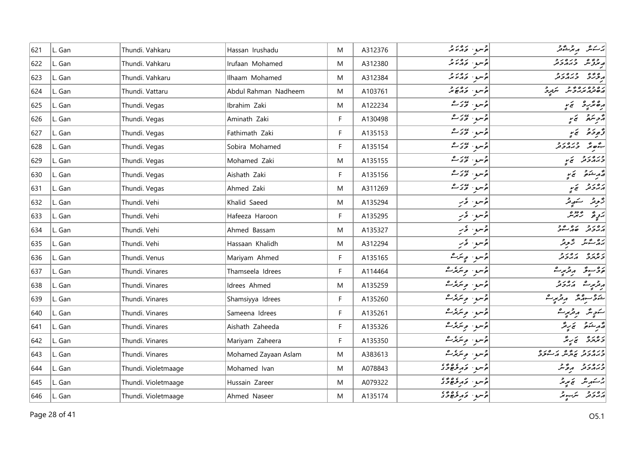| 621 | L. Gan | Thundi. Vahkaru     | Hassan Irushadu      | M           | A312376 | ه سو ورسو                                               | يرسكىش مرىرشقىقر                                                            |
|-----|--------|---------------------|----------------------|-------------|---------|---------------------------------------------------------|-----------------------------------------------------------------------------|
| 622 | L. Gan | Thundi. Vahkaru     | Irufaan Mohamed      | M           | A312380 | په سو ۱۶۴، پر                                           | د ده د دره د د<br>مرگ د د د د د                                             |
| 623 | L. Gan | Thundi. Vahkaru     | Ilhaam Mohamed       | M           | A312384 | می سوید عامر دید<br>  می سوید عامر می                   | ەر ئەرە<br>و ره ر و<br><i>د ب</i> رگرفر                                     |
| 624 | L. Gan | Thundi. Vattaru     | Abdul Rahman Nadheem | M           | A103761 |                                                         | גם כם גם גיב – התביב.<br>הפינה <i>גג</i> ב ייני – ייניקב                    |
| 625 | L. Gan | Thundi. Vegas       | Ibrahim Zaki         | ${\sf M}$   | A122234 | جوسع مستحدث ح                                           | وە ئۇرۇ ئ                                                                   |
| 626 | L. Gan | Thundi. Vegas       | Aminath Zaki         | $\mathsf F$ | A130498 | ج <sub>ى</sub> سىي ھەرھ                                 | ومحر ينتم للمحاسب                                                           |
| 627 | L. Gan | Thundi. Vegas       | Fathimath Zaki       | $\mathsf F$ | A135153 | ج <sub>ى</sub> س ، سى مى ك                              | ژوځو تمړ                                                                    |
| 628 | L. Gan | Thundi. Vegas       | Sobira Mohamed       | F           | A135154 | چ <sub>سمع</sub> ، ځوی ک                                | بتور ورورو                                                                  |
| 629 | L. Gan | Thundi. Vegas       | Mohamed Zaki         | M           | A135155 | ئۈسى <sub>ۋ</sub> ، ئۇن <sub>جە</sub> ت                 | ورەرو پ                                                                     |
| 630 | L. Gan | Thundi. Vegas       | Aishath Zaki         | F           | A135156 | ئۇسىز، غۇرم                                             | د مشهور سي<br>مريشهور سي                                                    |
| 631 | L. Gan | Thundi. Vegas       | Ahmed Zaki           | M           | A311269 | ج <sub>و</sub> سع من من من من من<br>  جو سعود من حرم من | رەرد تم                                                                     |
| 632 | L. Gan | Thundi. Vehi        | Khalid Saeed         | M           | A135294 | ۾ سو <sub>ن</sub> ءُ س <sub>ب</sub>                     | گرونر ڪھي تر                                                                |
| 633 | L. Gan | Thundi. Vehi        | Hafeeza Haroon       | F           | A135295 | ۾ سوءِ <sub>ع</sub>                                     | يروپچ الرحمزمر                                                              |
| 634 | L. Gan | Thundi. Vehi        | Ahmed Bassam         | M           | A135327 | ۾ سور عرب<br>موسو                                       | ره ده ده دو                                                                 |
| 635 | L. Gan | Thundi. Vehi        | Hassaan Khalidh      | M           | A312294 | اقرسو <sub>مو</sub> ر                                   | ىرە ئەش ئەرىر                                                               |
| 636 | L. Gan | Thundi. Venus       | Mariyam Ahmed        | F           | A135165 | ائمرسو · ۔ م <sub>ی</sub> ترے                           | נסנס נסנד                                                                   |
| 637 | L. Gan | Thundi. Vinares     | Thamseela Idrees     | F           | A114464 | اق <sub>ە</sub> سو، <sub>ئ</sub> وبىئەتمى <sup>م</sup>  | ە ۋىسوقە بەر <i>توپى</i> شە                                                 |
| 638 | L. Gan | Thundi. Vinares     | Idrees Ahmed         | M           | A135259 | ج <sub>وسو: موسكن<sup>م</sup></sub>                     | أرقر من مدوقر                                                               |
| 639 | L. Gan | Thundi. Vinares     | Shamsiyya Idrees     | F           | A135260 | پھرس عبد مریکٹ<br>                                      | شكى سورى موترىي ك                                                           |
| 640 | L. Gan | Thundi. Vinares     | Sameena Idrees       | F           | A135261 | ە ئىب ئەسىرىكى ئىسىمب <sup>ى</sup>                      | سكويتر المقرموسة                                                            |
| 641 | L. Gan | Thundi. Vinares     | Aishath Zaheeda      | $\mathsf F$ | A135326 | قوسع ويترتكث                                            | وكرمشكون تم بالأكر                                                          |
| 642 | L. Gan | Thundi. Vinares     | Mariyam Zaheera      | F           | A135350 | ە ئىب ئەسىرىكى ئىسىمب <sup>ى</sup>                      | دەرە ئېرىگە                                                                 |
| 643 | L. Gan | Thundi. Vinares     | Mohamed Zayaan Aslam | M           | A383613 | جرسو ويترتكب ه                                          | כנסג כ-גם גם בס<br><mark>כ</mark> גמכת <sub>בא</sub> מית ה- <del>יכ</del> ב |
| 644 | L. Gan | Thundi. Violetmaage | Mohamed Ivan         | M           | A078843 | وسع مردوع دي                                            | כממכת תפת                                                                   |
| 645 | L. Gan | Thundi. Violetmaage | Hussain Zareer       | M           | A079322 | وسع عروفيود                                             | برسكور محامية                                                               |
| 646 | L. Gan | Thundi. Violetmaage | Ahmed Naseer         | M           | A135174 | چسع مقر محدود کا                                        | رەرو سكبىر                                                                  |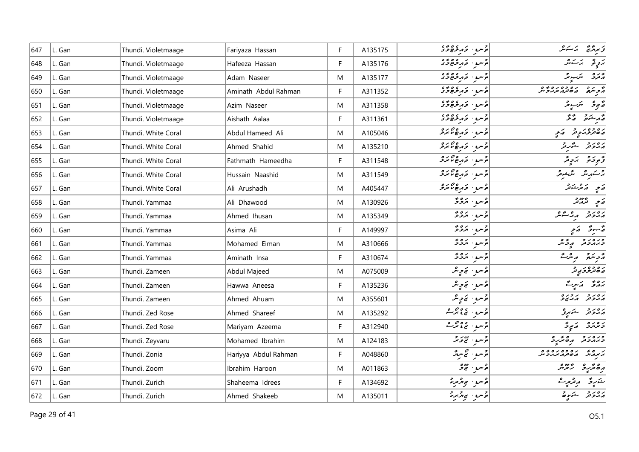| 647 | L. Gan | Thundi. Violetmaage | Fariyaza Hassan      | F           | A135175 | ج <sub>اسع:</sub> ع <sub>ا</sub> ر عام م                                                                                                                                                                              | تو بروی بر کند                                                                                                                                                                                                                   |
|-----|--------|---------------------|----------------------|-------------|---------|-----------------------------------------------------------------------------------------------------------------------------------------------------------------------------------------------------------------------|----------------------------------------------------------------------------------------------------------------------------------------------------------------------------------------------------------------------------------|
| 648 | L. Gan | Thundi. Violetmaage | Hafeeza Hassan       | F           | A135176 | وسع من و و و و و و<br>  وسع من و بر و و و و                                                                                                                                                                           | ىكى ئەسىر ئىكىنىشى ئىكىنىش كىلىپ بىر ئىكىن ئىكىن ئىكىن ئىكىن ئىكىن ئىكىن ئىكىن ئىكىن ئىكىن ئىكىن ئىكىن ئىكىن ئ<br>مەنبە ئىكىن ئىكىن ئىكىن ئىكىن ئىكىن ئىكىن ئىكىن ئىكىن ئىكىن ئىكىن ئىكىن ئىكىن ئىكىن ئىكىن ئىكىن ئىكىن ئىكىن ئى |
| 649 | L. Gan | Thundi. Violetmaage | Adam Naseer          | M           | A135177 | وسع من وه وه و                                                                                                                                                                                                        | وره متن د<br>اړمرو متن د                                                                                                                                                                                                         |
| 650 | L. Gan | Thundi. Violetmaage | Aminath Abdul Rahman | F           | A311352 | وسع مردوع دي                                                                                                                                                                                                          | ر ٥ ۶ ٥ ٥ ٥ ٥ ٩<br>پرې تر پر بر تر س<br>ړ ځې شرچ                                                                                                                                                                                 |
| 651 | L. Gan | Thundi. Violetmaage | Azim Naseer          | M           | A311358 | چسوم ځورځ څوند                                                                                                                                                                                                        | وحمير فلتستر مرتبه                                                                                                                                                                                                               |
| 652 | L. Gan | Thundi. Violetmaage | Aishath Aalaa        | F           | A311361 | ه سو غږمونه ده                                                                                                                                                                                                        | $\begin{array}{cc} \begin{array}{cc} \circ & \circ & \circ \\ \circ & \circ & \circ \end{array} & \begin{array}{cc} \circ & \circ \\ \circ & \circ & \end{array} \end{array}$                                                    |
| 653 | L. Gan | Thundi. White Coral | Abdul Hameed Ali     | M           | A105046 | ا محمد المستور المستور المستور المستور المستور المستور المستور المستور المستور المستور المستور المس<br>المستور المستور المستور المستور المستور المستور المستور المستور المستور المستور المستور المستور المستور المستو | גם כפגביב הב                                                                                                                                                                                                                     |
| 654 | L. Gan | Thundi. White Coral | Ahmed Shahid         | M           | A135210 | ا جسع من مهم ده<br>مسع من مربع مسر                                                                                                                                                                                    | رەرو شرىر<br>مەروىر شرىر                                                                                                                                                                                                         |
| 655 | L. Gan | Thundi. White Coral | Fathmath Hameedha    | F           | A311548 | مسموس مردم برو<br>  مسموس مربوع متعرفر                                                                                                                                                                                | و و ده کام د کار د                                                                                                                                                                                                               |
| 656 | L. Gan | Thundi. White Coral | Hussain Naashid      | M           | A311549 | وسع من وه وه و و                                                                                                                                                                                                      | چرىسىم مەربىقى ئىشىمىتى بىر                                                                                                                                                                                                      |
| 657 | L. Gan | Thundi. White Coral | Ali Arushadh         | M           | A405447 | اقرسع وأرقع بره<br>المسر                                                                                                                                                                                              | أوسمح أوراد والمحمد                                                                                                                                                                                                              |
| 658 | L. Gan | Thundi. Yammaa      | Ali Dhawood          | M           | A130926 | محسور أنزاد قر                                                                                                                                                                                                        | ב' ביניבר                                                                                                                                                                                                                        |
| 659 | L. Gan | Thundi. Yammaa      | Ahmed Ihusan         | M           | A135349 | جسع مردة                                                                                                                                                                                                              | أرەر دەر يەر                                                                                                                                                                                                                     |
| 660 | L. Gan | Thundi. Yammaa      | Asima Ali            | $\mathsf F$ | A149997 | په سو مسرورځ<br>  په سو                                                                                                                                                                                               | ړ سري د کړ                                                                                                                                                                                                                       |
| 661 | L. Gan | Thundi. Yammaa      | Mohamed Eiman        | M           | A310666 | جسع مردوعه                                                                                                                                                                                                            | ورەرو پەۋىر                                                                                                                                                                                                                      |
| 662 | L. Gan | Thundi. Yammaa      | Aminath Insa         | F           | A310674 | مۇسو <sub>: 1</sub> 99 كە                                                                                                                                                                                             | وحريتهم وبثرت                                                                                                                                                                                                                    |
| 663 | L. Gan | Thundi. Zameen      | <b>Abdul Majeed</b>  | M           | A075009 | قوسع بجمح يثر                                                                                                                                                                                                         | ر ه و ه ر <sub>و</sub> و<br>د <i>ه فر</i> نرو <sub>نو</sub> تر                                                                                                                                                                   |
| 664 | L. Gan | Thundi. Zameen      | Hawwa Aneesa         | F           | A135236 | قوسع بچ جوینگر                                                                                                                                                                                                        | رەپ كەسىگە                                                                                                                                                                                                                       |
| 665 | L. Gan | Thundi. Zameen      | Ahmed Ahuam          | M           | A355601 | قوسع نيم تحييثه                                                                                                                                                                                                       | גם ג כיבים                                                                                                                                                                                                                       |
| 666 | L. Gan | Thundi. Zed Rose    | Ahmed Shareef        | M           | A135292 | محسوم می می شده می<br>  محسوم می می میر                                                                                                                                                                               | پره پر پر شوموړی                                                                                                                                                                                                                 |
| 667 | L. Gan | Thundi. Zed Rose    | Mariyam Azeema       | $\mathsf F$ | A312940 | ج <sub>وسعة</sub> بي جمعة حرب<br>  حوسعة بين جمعة حرب                                                                                                                                                                 | دەرە كەنچ                                                                                                                                                                                                                        |
| 668 | L. Gan | Thundi. Zeyvaru     | Mohamed Ibrahim      | M           | A124183 | ج <sub>ى</sub> سى تەرىپە                                                                                                                                                                                              | כנסני השתנים                                                                                                                                                                                                                     |
| 669 | L. Gan | Thundi. Zonia       | Hariyya Abdul Rahman | F           | A048860 | ج <sub>و</sub> سو بچ سرچگر                                                                                                                                                                                            | ג פי גפיפגפיים<br>געגת השינגיגיים                                                                                                                                                                                                |
| 670 | L. Gan | Thundi. Zoom        | Ibrahim Haroon       | M           | A011863 | مۇسىر بىيىچ                                                                                                                                                                                                           | پر دو م<br>ەر ھەتمەر 2<br>ب                                                                                                                                                                                                      |
| 671 | L. Gan | Thundi. Zurich      | Shaheema Idrees      | $\mathsf F$ | A134692 | پرسد ہو پریز<br>                                                                                                                                                                                                      | ے کے ر <sup>م</sup> حہ ک<br>ەر قرىر م                                                                                                                                                                                            |
| 672 | L. Gan | Thundi. Zurich      | Ahmed Shakeeb        | M           | A135011 | ه سو به پر تر پر<br>م                                                                                                                                                                                                 | رەرد خىرە                                                                                                                                                                                                                        |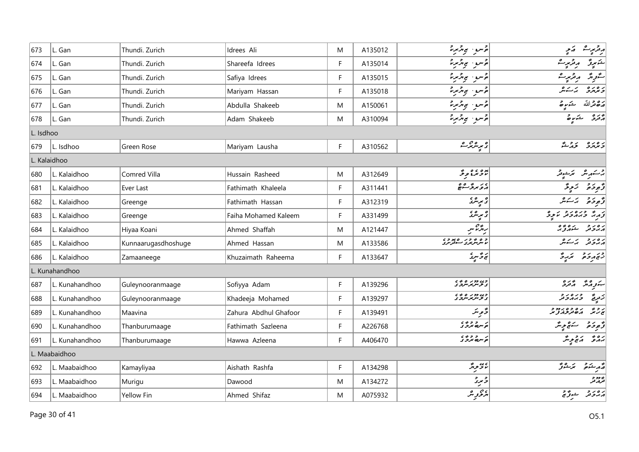| 673       | L. Gan         | Thundi. Zurich      | Idrees Ali            | M         | A135012 | <br>  هوسو سي مرسمه                     | ەرتىرىش مەم<br>مەسىمىسى                      |
|-----------|----------------|---------------------|-----------------------|-----------|---------|-----------------------------------------|----------------------------------------------|
| 674       | L. Gan         | Thundi. Zurich      | Shareefa Idrees       | F         | A135014 | همسو سي پر سره<br>                      | ىشەپرۇ<br>سىرپەر                             |
| 675       | L. Gan         | Thundi. Zurich      | Safiya Idrees         | F         | A135015 | پر سو سو مرسمه<br>  پر سو سو مرسمه      | ەر قرىبە مە<br>ستوبر                         |
| 676       | L. Gan         | Thundi. Zurich      | Mariyam Hassan        | F         | A135018 | <br>  هوسو سي مرسمه                     | ر ه ر ه<br><del>د</del> بربرو                |
| 677       | L. Gan         | Thundi. Zurich      | Abdulla Shakeeb       | ${\sf M}$ | A150061 | <br>  حوسرو سنج وزئبريز                 | صصرالله<br>شەرە                              |
| 678       | L. Gan         | Thundi. Zurich      | Adam Shakeeb          | ${\sf M}$ | A310094 | په سو سو مرسمه<br>  په سو سو سر         | وره خ <b>ړ</b> ړه                            |
| L. Isdhoo |                |                     |                       |           |         |                                         |                                              |
| 679       | L. Isdhoo      | Green Rose          | Mariyam Lausha        | F         | A310562 | <sub>مح</sub> مور میرسک                 | رەرە يەرش                                    |
|           | L. Kalaidhoo   |                     |                       |           |         |                                         |                                              |
| 680       | L. Kalaidhoo   | Comred Villa        | Hussain Rasheed       | ${\sf M}$ | A312649 | پروېږو عر                               | رحم مكر مكر المحرج وتر                       |
| 681       | L. Kalaidhoo   | Ever Last           | Fathimath Khaleela    | F         | A311441 | ى بە بەرگەت ھ                           | وأودأوا الكروقى                              |
| 682       | L. Kalaidhoo   | Greenge             | Fathimath Hassan      | F         | A312319 | ە پرېتر <sub>ى</sub><br>ئەسپەنلىكە      | برسەچر<br>و په پر د                          |
| 683       | L. Kalaidhoo   | Greenge             | Faiha Mohamed Kaleem  | F         | A331499 | ە بېرىدى<br>ئ                           | زَرِ بُرْ دَبَر الله الله عَمْدِ وَ          |
| 684       | L. Kalaidhoo   | Hiyaa Koani         | Ahmed Shaffah         | ${\sf M}$ | A121447 | ىرەژ ئاسر                               | ره رو ده ۵۶۰۵<br>درونر شهرتوبر               |
| 685       | L. Kalaidhoo   | Kunnaarugasdhoshuge | Ahmed Hassan          | M         | A133586 | و ه په ور ه مو و و<br>د سرسربري سوترمري | رەرد برىكە                                   |
| 686       | L. Kalaidhoo   | Zamaaneege          | Khuzaimath Raheema    | F         | A133647 | ئە ئ <sup>ۇ</sup> س <sub>ى</sub> ئە     | لزنج مرخرقه تحرير محر                        |
|           | L. Kunahandhoo |                     |                       |           |         |                                         |                                              |
| 687       | L. Kunahandhoo | Guleynooranmaage    | Sofiyya Adam          | F         | A139296 | وړ دور ه و ،<br>د نوسربرسرچ د           | يجورهم<br>پژ <sub>گر</sub> ه<br>د ترو        |
| 688       | L. Kunahandhoo | Guleynooranmaage    | Khadeeja Mohamed      | F         | A139297 | وړ، دور ه و ،<br>د نوسرپرسرچ د          | ترموقح<br>و رە ر د<br>تر پروتر               |
| 689       | L. Kunahandhoo | Maavina             | Zahura Abdhul Ghafoor | F         | A139491 | رحمو يتر                                | ر و په په رو و درو و<br>پارس په ماه ترم ترمز |
| 690       | L. Kunahandhoo | Thanburumaage       | Fathimath Sazleena    | F         | A226768 | ر د د پ<br>ه سره برد د                  | ۇ <sub>جو</sub> رى ئەسكەمچە ئ <i>ۆ</i>       |
| 691       | L. Kunahandhoo | Thanburumaage       | Hawwa Azleena         | F         | A406470 | ر د د د د ،<br>می سرح بر د              | برەپچ<br>ە ئىقجە يىگە                        |
|           | L. Maabaidhoo  |                     |                       |           |         |                                         |                                              |
| 692       | L. Maabaidhoo  | Kamayliyaa          | Aishath Rashfa        | F         | A134298 | ەسى<br>ئاقرىرىگە                        |                                              |
| 693       | L. Maabaidhoo  | Murigu              | Dawood                | ${\sf M}$ | A134272 | و بر د<br>تر برد                        | پر دو و<br>تو پر تو                          |
| 694       | L. Maabaidhoo  | <b>Yellow Fin</b>   | Ahmed Shifaz          | M         | A075932 | يرعو بثر                                | رەر ئەر<br>مەرى ئىس                          |
|           |                |                     |                       |           |         |                                         |                                              |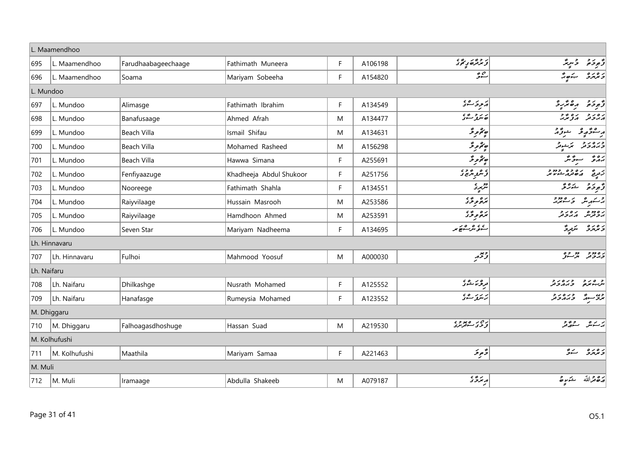|             | L. Maamendhoo |                     |                         |           |         |                                                             |                                                  |
|-------------|---------------|---------------------|-------------------------|-----------|---------|-------------------------------------------------------------|--------------------------------------------------|
| 695         | L. Maamendhoo | Farudhaabageechaage | Fathimath Muneera       | F         | A106198 | ز و در در در در در در بار<br>  ز بردگرهه <sub>کمی</sub> کار | ا ژُهِ دَ هُ<br>خەسرىگە                          |
| 696         | L. Maamendhoo | Soama               | Mariyam Sobeeha         | F         | A154820 | حيو                                                         | بنهفة<br>ر ه ر ه<br><del>و</del> بربرو           |
| L. Mundoo   |               |                     |                         |           |         |                                                             |                                                  |
| 697         | L. Mundoo     | Alimasge            | Fathimath Ibrahim       | F         | A134549 | لأعرفه سفو                                                  | ومجدد مقتررة                                     |
| 698         | L. Mundoo     | Banafusaage         | Ahmed Afrah             | M         | A134477 | ە ئىروپىيى                                                  | رەرو رەپرو                                       |
| 699         | L. Mundoo     | <b>Beach Villa</b>  | Ismail Shifau           | ${\sf M}$ | A134631 | ھەمچە بوڭر                                                  | رەشۇر ئىرۇر                                      |
| 700         | L. Mundoo     | <b>Beach Villa</b>  | Mohamed Rasheed         | ${\sf M}$ | A156298 | ھەمجەھ <sub>ر</sub> ىتى<br>ئ <sup>ە</sup>                   | ورەرو كرشونر                                     |
| 701         | L. Mundoo     | <b>Beach Villa</b>  | Hawwa Simana            | F         | A255691 | ھەمچە <i>م</i> ۇ                                            | رە ئەسىر ئىر                                     |
| 702         | L. Mundoo     | Fenfiyaazuge        | Khadheeja Abdul Shukoor | F         | A251756 | ۇ شرىر ئىرى                                                 |                                                  |
| 703         | L. Mundoo     | Nooreege            | Fathimath Shahla        | F         | A134551 | دد<br>مترسری                                                | أوُجوحَ وَ شَوَرْ يَحْرُ                         |
| 704         | L. Mundoo     | Raiyvilaage         | Hussain Masrooh         | ${\sf M}$ | A253586 | بره ويرء                                                    | برسكر مثل والمحرمة                               |
| 705         | L. Mundoo     | Raiyvilaage         | Hamdhoon Ahmed          | M         | A253591 | ره و د ،<br>مره د د د                                       | י סמם מיטי בי<br>הכנקייק ההכנק                   |
| 706         | L. Mundoo     | Seven Star          | Mariyam Nadheema        | F         | A134695 | ، ، ، <sub>م</sub> ره ، <sub>م</sub>                        | رەرە شەرىخ                                       |
|             | Lh. Hinnavaru |                     |                         |           |         |                                                             |                                                  |
| 707         | Lh. Hinnavaru | Fulhoi              | Mahmood Yoosuf          | M         | A000030 | ويو<br>وعرد                                                 | ر ס כב כדי כי ס<br>כגב טה הרגית                  |
| Lh. Naifaru |               |                     |                         |           |         |                                                             |                                                  |
| 708         | Lh. Naifaru   | Dhilkashge          | Nusrath Mohamed         | F         | A125552 | ورثو رَ شو ي                                                | د په بر د<br>و رە ر د<br>تر پر تر تر             |
| 709         | Lh. Naifaru   | Hanafasge           | Rumeysia Mohamed        | F         | A123552 | رىدىز ھ <sup>ەي</sup>                                       | وي ۔<br>برو سوړ<br>و ره ر و<br>تر <i>د</i> گرفتر |
|             | M. Dhiggaru   |                     |                         |           |         |                                                             |                                                  |
| 710         | M. Dhiggaru   | Falhoagasdhoshuge   | Hassan Suad             | ${\sf M}$ | A219530 | د <i>۰٫۵ و ۰٫۵ و ۰</i><br>  تو نو ی سسه تعریبوی             | پرسترس سے پڑو                                    |
|             | M. Kolhufushi |                     |                         |           |         |                                                             |                                                  |
| 711         | M. Kolhufushi | Maathila            | Mariyam Samaa           | F         | A221463 | ڈُمرِ ئر                                                    | ر ه ر ه<br><del>د</del> بربر د<br>سەنىۋ          |
| M. Muli     |               |                     |                         |           |         |                                                             |                                                  |
| 712         | M. Muli       | Iramaage            | Abdulla Shakeeb         | ${\sf M}$ | A079187 | د بوره د<br>د بورو د                                        | مَدْهُ مَّرَاللَّهُ شَمَّعٍ صَ                   |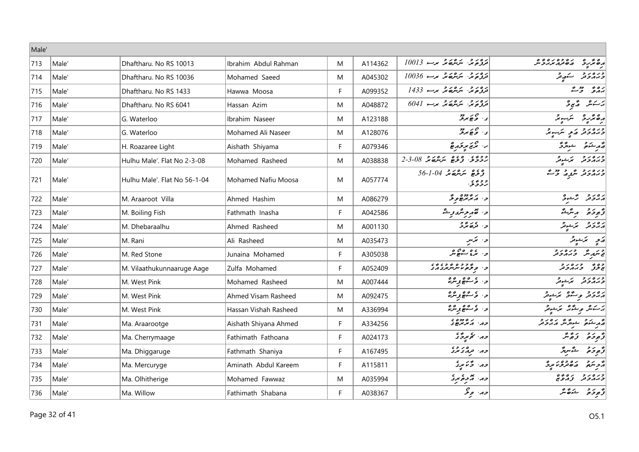| Male' |       |                              |                       |           |         |                                                      |                                          |
|-------|-------|------------------------------|-----------------------|-----------|---------|------------------------------------------------------|------------------------------------------|
| 713   | Male' | Dhaftharu. No RS 10013       | Ibrahim Abdul Rahman  | M         | A114362 | ترۇم ئى. سەشھەتمە مەسىر 10013                        | ره محرره ده ده ده ده و                   |
| 714   | Male' | Dhaftharu. No RS 10036       | Mohamed Saeed         | M         | A045302 | ترۇم تى. سەشھەتمە سەسە 10036                         | ورەرو شەر                                |
| 715   | Male' | Dhaftharu. No RS 1433        | Hawwa Moosa           | F         | A099352 | رەرى ئەنگە ھەر بەر                                   | رەپ دور                                  |
| 716   | Male' | Dhaftharu. No RS 6041        | Hassan Azim           | M         | A048872 | رەبرى. ئىر شەھىر بىر سىدا 6041                       | ىر سەش ھەج ئ                             |
| 717   | Male' | G. Waterloo                  | Ibrahim Naseer        | ${\sf M}$ | A123188 | ן קיין די<br>צ' קיש זקיק                             | رەترىرو سىبد                             |
| 718   | Male' | G. Waterloo                  | Mohamed Ali Naseer    | M         | A128076 | ן קיין די<br>צ' קיש זקיק                             | ورەرو كەي سكب د                          |
| 719   | Male' | H. Roazaree Light            | Aishath Shiyama       | F         | A079346 | ر بره بروَرهِ                                        |                                          |
| 720   | Male' | Hulhu Male'. Flat No 2-3-08  | Mohamed Rasheed       | M         | A038838 | 3-3-08 مرضى مركز 2-3-08                              | ورەرو كەنبوتر                            |
| 721   | Male' | Hulhu Male'. Flat No 56-1-04 | Mohamed Nafiu Moosa   | M         | A057774 | ووق <del>م</del> رم 1-04-56<br>و و و ي.<br>رنونونو . | ورەرو شرو «م                             |
| 722   | Male' | M. Araaroot Villa            | Ahmed Hashim          | M         | A086279 | د . م. پر پر چ                                       | أرەر ئەسو                                |
| 723   | Male' | M. Boiling Fish              | Fathmath Inasha       | F         | A042586 | د· قەرىرىش <sub>دىرى</sub> شە                        | قَهْ وَدَهْ وَ مِتَّرْجَةٌ               |
| 724   | Male' | M. Dhebaraalhu               | Ahmed Rasheed         | M         | A001130 | ے رے و<br>و۰ تر <i>ی ب</i> رگر                       | رەرو ئەيدۇر<br>مەدىر ئىيدۇر              |
| 725   | Male' | M. Rani                      | Ali Rasheed           | M         | A035473 | و- بخائيل                                            | أركمني المركب وتر                        |
| 726   | Male' | M. Red Stone                 | Junaina Mohamed       | F         | A305038 | 2800000000                                           | و شهر شهر ۲۰۰۰<br>محسمه شهر از ۲۰۰۶ و تر |
| 727   | Male' | M. Vilaathukunnaaruge Aage   | Zulfa Mohamed         | F         | A052409 | و ۱۰ و ۱۰ و ۲ و ۲ و و ۲<br>د ۱ و څوک سرسرپر د د د    | وه وره رو<br>بح فرق المراكب              |
| 728   | Male' | M. West Pink                 | Mohamed Rasheed       | M         | A007444 | د . ئۇ شەھ بوسر                                      | وره رو کرشونر                            |
| 729   | Male' | M. West Pink                 | Ahmed Visam Rasheed   | M         | A092475 |                                                      | رور و دو برشوتر                          |
| 730   | Male' | M. West Pink                 | Hassan Vishah Rasheed | M         | A336994 | و . ئۇ شۇغۇر ئىرىئا                                  | بركش ويشرد المرشوش                       |
| 731   | Male' | Ma. Araarootge               | Aishath Shiyana Ahmed | F         | A334256 |                                                      | د د کرد و سور د مار د در د               |
| 732   | Male' | Ma. Cherrymaage              | Fathimath Fathoana    | F         | A024173 | وړ٠ کڅ پروگ                                          | توادده تراهم                             |
| 733   | Male' | Ma. Dhiggaruge               | Fathmath Shaniya      | F         | A167495 | כו <i>י: <sub>"</sub>נור</i> ז יבי                   | توجوختم تتشهر                            |
| 734   | Male' | Ma. Mercuryge                | Aminath Abdul Kareem  | F         | A115811 | <br>  <i>د</i> ړ ژنړېږي                              | أزويتهى الاه وه ديده                     |
| 735   | Male' | Ma. Olhitherige              | Mohamed Fawwaz        | M         | A035994 | وړ٠ مر <sub>ونو مرو</sub><br>در٠ مرونو برو           | رە دە<br>ۋەرى<br>و ر ه ر د<br>تر پر ژ تر |
| 736   | Male' | Ma. Willow                   | Fathimath Shabana     | F         | A038367 | ور. وگ                                               | أزُوجو شَوَة سُرَ                        |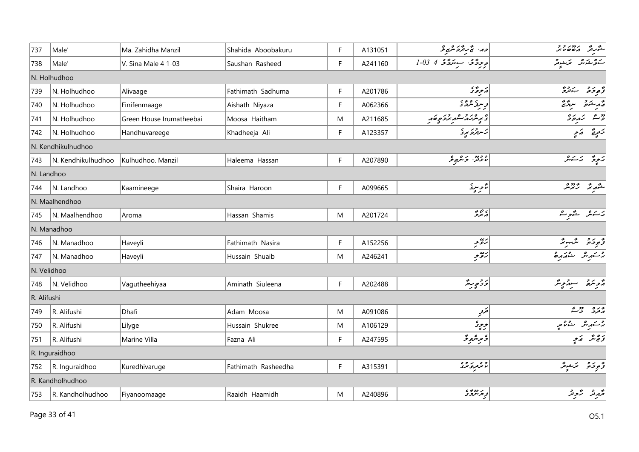| 737         | Male'              | Ma. Zahidha Manzil       | Shahida Aboobakuru  | F         | A131051 | در گردگر مهم د                                          | ش در در دور<br>شرگر مان موسی                          |
|-------------|--------------------|--------------------------|---------------------|-----------|---------|---------------------------------------------------------|-------------------------------------------------------|
| 738         | Male'              | V. Sina Male 4 1-03      | Saushan Rasheed     | F         | A241160 | $\overline{1-03 + 35 - 35}$                             | سكوشكاش المرتضوض                                      |
|             | N. Holhudhoo       |                          |                     |           |         |                                                         |                                                       |
| 739         | N. Holhudhoo       | Alivaage                 | Fathimath Sadhuma   | F         | A201786 | د په په<br>د ترو د                                      | و د د دو.<br>ژبوده سورد                               |
| 740         | N. Holhudhoo       | Finifenmaage             | Aishath Niyaza      | F         | A062366 | وسروعود                                                 |                                                       |
| 741         | N. Holhudhoo       | Green House Irumatheebai | Moosa Haitham       | M         | A211685 | ם כני כני כל היה בקורות ביות.<br>ביתיית מרות מבקים ביות |                                                       |
| 742         | N. Holhudhoo       | Handhuvareege            | Khadheeja Ali       | F         | A123357 | ر سروری <sub>مور</sub> ی                                | زَمِرِجٌ - مَا يَحْ                                   |
|             | N. Kendhikulhudhoo |                          |                     |           |         |                                                         |                                                       |
| 743         | N. Kendhikulhudhoo | Kulhudhoo. Manzil        | Haleema Hassan      | F         | A207890 | د دود که هم هم                                          | يَارِدُ إِيْاسَاسُ                                    |
| N. Landhoo  |                    |                          |                     |           |         |                                                         |                                                       |
| 744         | N. Landhoo         | Kaamineege               | Shaira Haroon       | F         | A099665 | لأحرسي                                                  | ڪريگر گرجر مو                                         |
|             | N. Maalhendhoo     |                          |                     |           |         |                                                         |                                                       |
| 745         | N. Maalhendhoo     | Aroma                    | Hassan Shamis       | ${\sf M}$ | A201724 | ى مى بىر<br>مەنىرى                                      | ىر كەشرا سۇرەك                                        |
|             | N. Manadhoo        |                          |                     |           |         |                                                         |                                                       |
| 746         | N. Manadhoo        | Haveyli                  | Fathimath Nasira    | F         | A152256 | ريمو                                                    | أقرموخرمي التمسونتي                                   |
| 747         | N. Manadhoo        | Haveyli                  | Hussain Shuaib      | M         | A246241 | رەيە                                                    | بركتهر شرورة                                          |
| N. Velidhoo |                    |                          |                     |           |         |                                                         |                                                       |
| 748         | N. Velidhoo        | Vagutheehiyaa            | Aminath Siuleena    | F         | A202488 | ءَ جو مر پڙ                                             | ۇ بىر ئىشتى ئىشتە                                     |
| R. Alifushi |                    |                          |                     |           |         |                                                         |                                                       |
| 749         | R. Alifushi        | Dhafi                    | Adam Moosa          | M         | A091086 | اقدو                                                    | پره دوند                                              |
| 750         | R. Alifushi        | Lilyge                   | Hussain Shukree     | M         | A106129 | مومور<br>مربو                                           | برستهرش خورتمبر<br>برستهرش خورتمبر<br>برج نثر الهامبر |
| 751         | R. Alifushi        | Marine Villa             | Fazna Ali           | F         | A247595 | ۇبرىئرو ۋ                                               |                                                       |
|             | R. Inguraidhoo     |                          |                     |           |         |                                                         |                                                       |
| 752         | R. Inguraidhoo     | Kuredhivaruge            | Fathimath Rasheedha | F         | A315391 | د ، د د د ،<br>ما نروره نرد                             | توجوحو بمشبقه                                         |
|             | R. Kandholhudhoo   |                          |                     |           |         |                                                         |                                                       |
| 753         | R. Kandholhudhoo   | Fiyanoomaage             | Raaidh Haamidh      | ${\sf M}$ | A240896 | ر دوه د.<br>و در سرچ د                                  | بمهرش المروش                                          |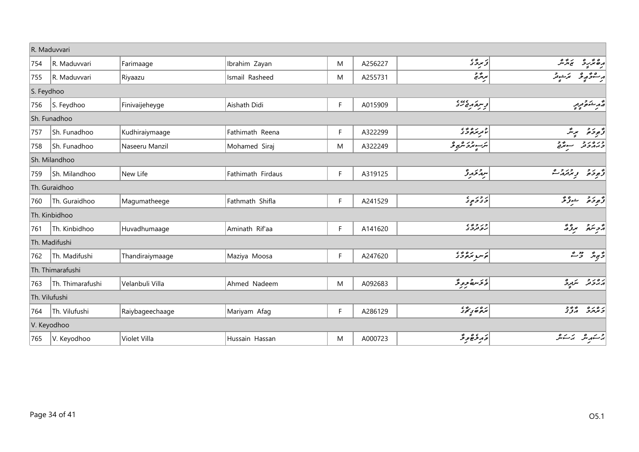|            | R. Maduvvari     |                 |                   |           |         |                                      |                                                    |
|------------|------------------|-----------------|-------------------|-----------|---------|--------------------------------------|----------------------------------------------------|
| 754        | R. Maduvvari     | Farimaage       | Ibrahim Zayan     | M         | A256227 | ر<br>تو بورگری                       | ەرھەتمەر 2<br>ب<br>ىج تر تىر                       |
| 755        | R. Maduvvari     | Riyaazu         | Ismail Rasheed    | M         | A255731 | بر ہ <sup>و</sup> ج                  | ر شۇر ئىي ئىي ئى                                   |
| S. Feydhoo |                  |                 |                   |           |         |                                      |                                                    |
| 756        | S. Feydhoo       | Finivaijeheyge  | Aishath Didi      | F         | A015909 | <br> وسرعه مرض <sup>ر ی</sup>        | ر<br>په کېم شوکه تو تو                             |
|            | Sh. Funadhoo     |                 |                   |           |         |                                      |                                                    |
| 757        | Sh. Funadhoo     | Kudhiraiymaage  | Fathimath Reena   | F         | A322299 | و ره وه و<br>ما تر پره و د           | قەددە بېرىتر                                       |
| 758        | Sh. Funadhoo     | Naseeru Manzil  | Mohamed Siraj     | ${\sf M}$ | A322249 | <sub>مركب</sub> برى ش <sub>ك</sub> و | ورەر د سەرد<br><i>دىدە</i> ردىر سەيرى              |
|            | Sh. Milandhoo    |                 |                   |           |         |                                      |                                                    |
| 759        | Sh. Milandhoo    | New Life        | Fathimath Firdaus | F         | A319125 | سرچمبرو                              | ژُودَهُ پرترَ م                                    |
|            | Th. Guraidhoo    |                 |                   |           |         |                                      |                                                    |
| 760        | Th. Guraidhoo    | Magumatheege    | Fathmath Shifla   | F         | A241529 | تر تر ځمو تر                         | ۇ ب <sub>و</sub> ر د<br>ے وگ                       |
|            | Th. Kinbidhoo    |                 |                   |           |         |                                      |                                                    |
| 761        | Th. Kinbidhoo    | Huvadhumaage    | Aminath Rif'aa    | F         | A141620 | و ر و د »<br>ر ه ترو د               | ړ څر سرچ<br>بروژ                                   |
|            | Th. Madifushi    |                 |                   |           |         |                                      |                                                    |
| 762        | Th. Madifushi    | Thandiraiymaage | Maziya Moosa      | F         | A247620 | پر مره و و ،<br>  پر مرجوحری         | ۇيې ئۇڭ                                            |
|            | Th. Thimarafushi |                 |                   |           |         |                                      |                                                    |
| 763        | Th. Thimarafushi | Velanbuli Villa | Ahmed Nadeem      | ${\sf M}$ | A092683 | ە ئەسھۇرە ئ                          | ړه رو شمېرو                                        |
|            | Th. Vilufushi    |                 |                   |           |         |                                      |                                                    |
| 764        | Th. Vilufushi    | Raiybageechaage | Mariyam Afaq      | F         | A286129 | بره د په په د                        | ر ه ر ه<br><del>ر</del> بربرگ<br>پر دی۔<br>مرکز تی |
|            | V. Keyodhoo      |                 |                   |           |         |                                      |                                                    |
| 765        | V. Keyodhoo      | Violet Villa    | Hussain Hassan    | ${\sf M}$ | A000723 | ءَ ٻرءَ جو جَر                       | يز شهر شر پر شهر                                   |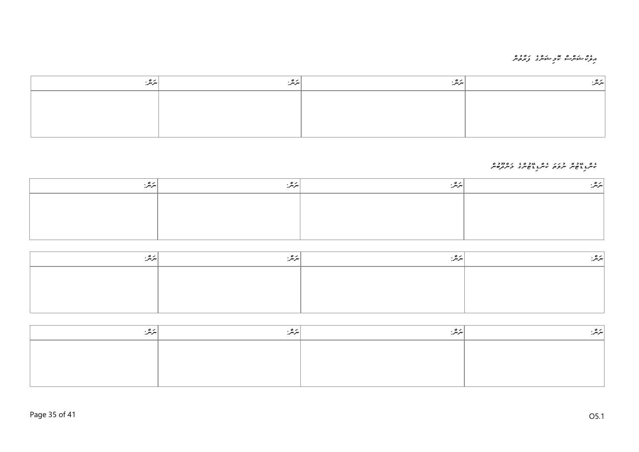## *w7qAn8m? sCw7mRo>u; wEw7mRw;sBo<*

| ' مرمر | 'يئرىثر: |
|--------|----------|
|        |          |
|        |          |
|        |          |

## *w7q9r@w7m> sCw7qHtFoFw7s; mAm=q7 w7qHtFoFw7s;*

| ىر تە | $\mathcal{O} \times$<br>$\sim$ | $\sim$<br>. . | لترنثر |
|-------|--------------------------------|---------------|--------|
|       |                                |               |        |
|       |                                |               |        |
|       |                                |               |        |

| انترنثر: | $^{\circ}$ | يبرهر | $^{\circ}$<br>سرسر |
|----------|------------|-------|--------------------|
|          |            |       |                    |
|          |            |       |                    |
|          |            |       |                    |

| ىرتىر: | 。<br>سر سر | .,<br>مرسر |
|--------|------------|------------|
|        |            |            |
|        |            |            |
|        |            |            |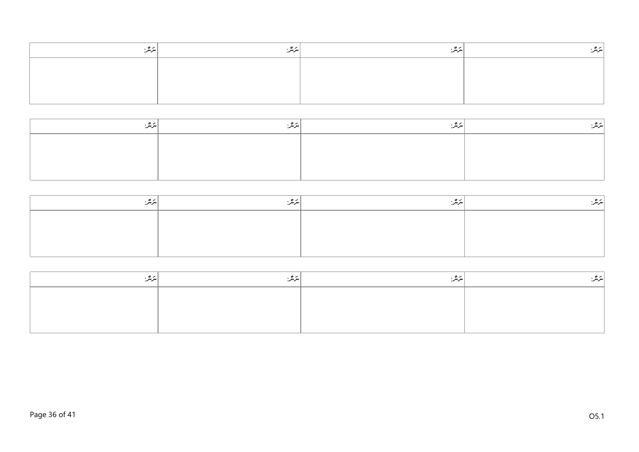| يزهر | $^{\circ}$ | ىئرىتر: |  |
|------|------------|---------|--|
|      |            |         |  |
|      |            |         |  |
|      |            |         |  |

| <sup>.</sup> سرسر. |  |
|--------------------|--|
|                    |  |
|                    |  |
|                    |  |

| ىئرىتر. | $\sim$ | ا بر هه. | لىرىش |
|---------|--------|----------|-------|
|         |        |          |       |
|         |        |          |       |
|         |        |          |       |

| يترمثر | $^{\circ}$ | يرمر. |
|--------|------------|-------|
|        |            |       |
|        |            |       |
|        |            |       |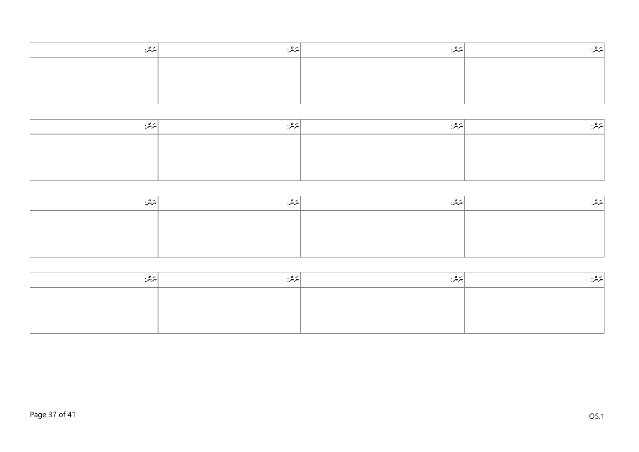| ير هو . | $\overline{\phantom{a}}$ | يرمر | اير هنه. |
|---------|--------------------------|------|----------|
|         |                          |      |          |
|         |                          |      |          |
|         |                          |      |          |

| ىر تىر: | $\circ$ $\sim$<br>" سرسر . | يبرحه | o . |
|---------|----------------------------|-------|-----|
|         |                            |       |     |
|         |                            |       |     |
|         |                            |       |     |

| انترنثر: | ر ه |  |
|----------|-----|--|
|          |     |  |
|          |     |  |
|          |     |  |

|  | . ه |
|--|-----|
|  |     |
|  |     |
|  |     |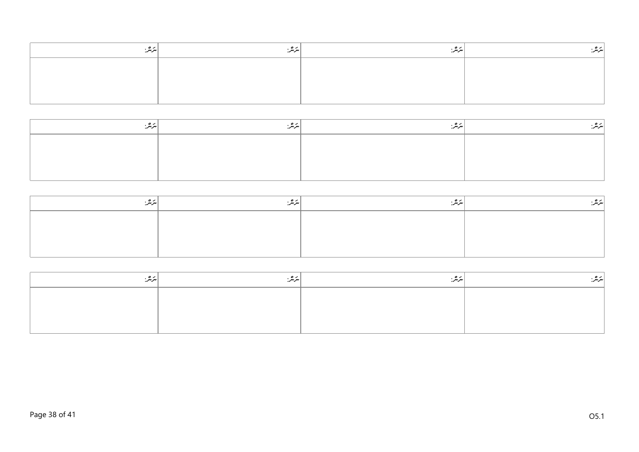| ير هو . | $\overline{\phantom{a}}$ | يرمر | اير هنه. |
|---------|--------------------------|------|----------|
|         |                          |      |          |
|         |                          |      |          |
|         |                          |      |          |

| ئىرتىر: | $\sim$<br>ا سرسر . | يئرمثر | o . |
|---------|--------------------|--------|-----|
|         |                    |        |     |
|         |                    |        |     |
|         |                    |        |     |

| انترنثر: | ر ه |  |
|----------|-----|--|
|          |     |  |
|          |     |  |
|          |     |  |

|  | . ه |
|--|-----|
|  |     |
|  |     |
|  |     |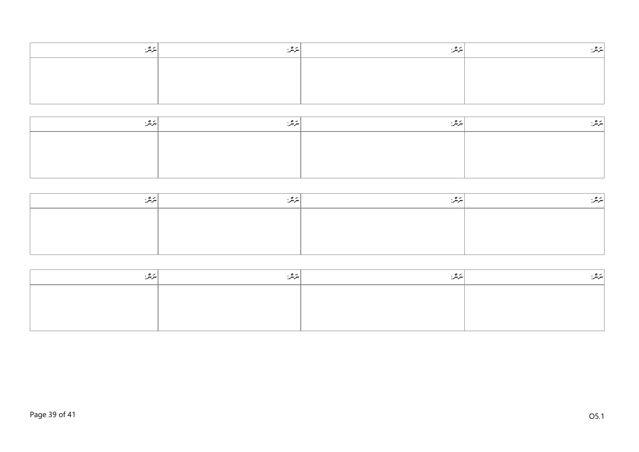| ير هو . | $\overline{\phantom{a}}$ | يرمر | لتزمثن |
|---------|--------------------------|------|--------|
|         |                          |      |        |
|         |                          |      |        |
|         |                          |      |        |

| ايرعر: | ر ه<br>. . |  |
|--------|------------|--|
|        |            |  |
|        |            |  |
|        |            |  |

| بر ه | 。 | $\sim$<br>َ سومس. |  |
|------|---|-------------------|--|
|      |   |                   |  |
|      |   |                   |  |
|      |   |                   |  |

| 。<br>. س | ىرىىر |  |
|----------|-------|--|
|          |       |  |
|          |       |  |
|          |       |  |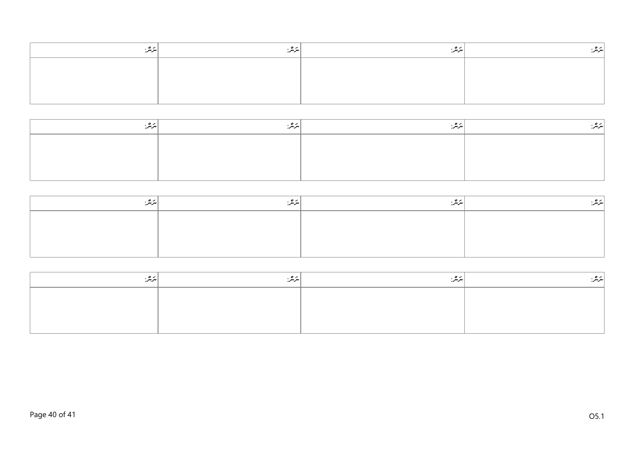| ير هو . | $\overline{\phantom{a}}$ | يرمر | لتزمثن |
|---------|--------------------------|------|--------|
|         |                          |      |        |
|         |                          |      |        |
|         |                          |      |        |

| ىر تىر: | $\circ$ $\sim$<br>" سرسر . | يبرحه | o . |
|---------|----------------------------|-------|-----|
|         |                            |       |     |
|         |                            |       |     |
|         |                            |       |     |

| انترنثر: | ر ه |  |
|----------|-----|--|
|          |     |  |
|          |     |  |
|          |     |  |

|  | . ه |
|--|-----|
|  |     |
|  |     |
|  |     |